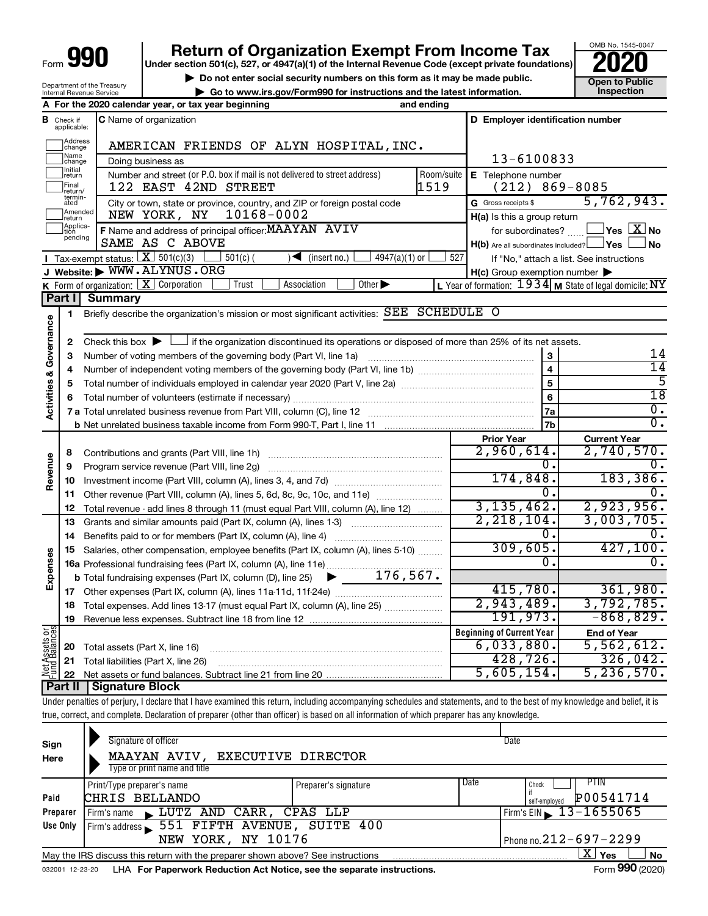# **990** Return of Organization Exempt From Income Tax <br>
Under section 501(c), 527, or 4947(a)(1) of the Internal Revenue Code (except private foundations)<br> **PO20**

**▶ Do not enter social security numbers on this form as it may be made public. Open to Public**<br>
inspection instructions and the latest information. Inspection

OMB No. 1545-0047

| Department of the Treasury      |  |
|---------------------------------|--|
| <b>Internal Revenue Service</b> |  |

**| Go to www.irs.gov/Form990 for instructions and the latest information. Inspection A For the 2020 calendar year, or tax year beginning and ending**

| В                                  | Check if<br>applicable: | <b>C</b> Name of organization                                                                                                                          |                | D Employer identification number                    |                                                                        |
|------------------------------------|-------------------------|--------------------------------------------------------------------------------------------------------------------------------------------------------|----------------|-----------------------------------------------------|------------------------------------------------------------------------|
|                                    | Address<br>change       | AMERICAN FRIENDS OF ALYN HOSPITAL, INC.                                                                                                                |                |                                                     |                                                                        |
|                                    | Name<br>change          | Doing business as                                                                                                                                      | 13-6100833     |                                                     |                                                                        |
|                                    | Initial<br>return       | Number and street (or P.O. box if mail is not delivered to street address)                                                                             | Room/suite     | E Telephone number                                  |                                                                        |
|                                    | Final<br>return/        | 122 EAST 42ND STREET                                                                                                                                   | 1519           | $(212) 869 - 8085$                                  |                                                                        |
|                                    | termin-<br>ated         | City or town, state or province, country, and ZIP or foreign postal code                                                                               |                | G Gross receipts \$                                 | 5,762,943.                                                             |
|                                    | Amended<br>return       | NEW YORK, NY<br>10168-0002                                                                                                                             |                | H(a) Is this a group return                         |                                                                        |
|                                    | Applica-<br>Ition       | F Name and address of principal officer: MAAYAN AVIV                                                                                                   |                | for subordinates?                                   | $\Box$ Yes $\Box X$ No                                                 |
|                                    | pending                 | SAME AS C ABOVE                                                                                                                                        |                | $H(b)$ Are all subordinates included? $\Box$ Yes    | <b>No</b>                                                              |
|                                    |                         | Tax-exempt status: $X \overline{3}$ 501(c)(3)<br>$\sim$ (insert no.) $\vert$<br>$4947(a)(1)$ or<br>$501(c)$ (                                          | 527            |                                                     | If "No," attach a list. See instructions                               |
|                                    |                         | Website: WWW.ALYNUS.ORG                                                                                                                                |                | $H(c)$ Group exemption number $\blacktriangleright$ |                                                                        |
|                                    |                         | K Form of organization: $X$ Corporation<br>Association<br>Other $\blacktriangleright$<br>Trust                                                         |                |                                                     | L Year of formation: $1934$ M State of legal domicile: $\overline{NY}$ |
|                                    | Part I                  | <b>Summary</b>                                                                                                                                         |                |                                                     |                                                                        |
|                                    | 1                       | Briefly describe the organization's mission or most significant activities: SEE SCHEDULE O                                                             |                |                                                     |                                                                        |
| <b>Activities &amp; Governance</b> |                         |                                                                                                                                                        |                |                                                     |                                                                        |
|                                    | $\mathbf{2}$            | Check this box $\blacktriangleright$ $\Box$ if the organization discontinued its operations or disposed of more than 25% of its net assets.            |                |                                                     |                                                                        |
|                                    | 3                       |                                                                                                                                                        |                |                                                     | 14<br>$\overline{14}$                                                  |
|                                    | 4                       |                                                                                                                                                        |                | $\overline{\mathbf{4}}$                             | 5                                                                      |
|                                    | 5                       |                                                                                                                                                        | $\overline{5}$ | $\overline{18}$                                     |                                                                        |
|                                    | 6                       |                                                                                                                                                        | 6              | Ο.                                                  |                                                                        |
|                                    |                         |                                                                                                                                                        | 7a             | $\overline{0}$ .                                    |                                                                        |
|                                    |                         |                                                                                                                                                        | 7b             |                                                     |                                                                        |
|                                    |                         |                                                                                                                                                        |                | <b>Prior Year</b><br>2,960,614.                     | <b>Current Year</b><br>2,740,570.                                      |
|                                    | 8                       |                                                                                                                                                        |                | Ο.                                                  |                                                                        |
| Revenue                            | 9                       | Program service revenue (Part VIII, line 2g)                                                                                                           |                | 174,848.                                            | 183, 386.                                                              |
|                                    | 10                      | Other revenue (Part VIII, column (A), lines 5, 6d, 8c, 9c, 10c, and 11e)                                                                               |                | Ω.                                                  |                                                                        |
|                                    | 11<br>12                |                                                                                                                                                        |                | 3, 135, 462.                                        | 2,923,956.                                                             |
|                                    | 13                      | Total revenue - add lines 8 through 11 (must equal Part VIII, column (A), line 12)<br>Grants and similar amounts paid (Part IX, column (A), lines 1-3) |                | 2, 218, 104.                                        | 3,003,705.                                                             |
|                                    | 14                      |                                                                                                                                                        |                | 0.                                                  | 0.                                                                     |
|                                    | 15                      | Salaries, other compensation, employee benefits (Part IX, column (A), lines 5-10)                                                                      |                | 309,605.                                            | 427,100.                                                               |
| Expenses                           |                         |                                                                                                                                                        |                | 0.                                                  | 0.                                                                     |
|                                    |                         |                                                                                                                                                        |                |                                                     |                                                                        |
|                                    |                         |                                                                                                                                                        |                | 415,780.                                            | 361,980.                                                               |
|                                    | 18                      | Total expenses. Add lines 13-17 (must equal Part IX, column (A), line 25)                                                                              |                | 2,943,489.                                          | 3,792,785.                                                             |
|                                    | 19                      |                                                                                                                                                        |                | 191,973.                                            | $-868, 829.$                                                           |
|                                    |                         |                                                                                                                                                        |                | <b>Beginning of Current Year</b>                    | <b>End of Year</b>                                                     |
| Assets or                          | 20                      | Total assets (Part X, line 16)                                                                                                                         |                | 6,033,880.                                          | 5,562,612.                                                             |
|                                    | 21                      | Total liabilities (Part X, line 26)                                                                                                                    |                | 428, 726.                                           | 326,042.                                                               |
| 로급<br>리드                           | 22                      |                                                                                                                                                        |                | 5,605,154.                                          | 5, 236, 570.                                                           |
|                                    | Part II                 | Signature Block                                                                                                                                        |                |                                                     |                                                                        |

Under penalties of perjury, I declare that I have examined this return, including accompanying schedules and statements, and to the best of my knowledge and belief, it is true, correct, and complete. Declaration of preparer (other than officer) is based on all information of which preparer has any knowledge.

| Sign<br>Here                                                                                              | Signature of officer<br>MAAYAN AVIV, EXECUTIVE DIRECTOR<br>Type or print name and title                      | Date                         |                              |  |  |  |  |  |  |
|-----------------------------------------------------------------------------------------------------------|--------------------------------------------------------------------------------------------------------------|------------------------------|------------------------------|--|--|--|--|--|--|
|                                                                                                           | Print/Type preparer's name                                                                                   | Preparer's signature         | Date<br><b>PTIN</b><br>Check |  |  |  |  |  |  |
| Paid                                                                                                      | CHRIS BELLANDO                                                                                               |                              | P00541714<br>self-emploved   |  |  |  |  |  |  |
| Preparer                                                                                                  | LUTZ AND CARR, CPAS LLP<br>Firm's name                                                                       |                              | Firm's EIN $\, 13 - 1655065$ |  |  |  |  |  |  |
| Use Only                                                                                                  | Firm's address 551 FIFTH AVENUE, SUITE 400                                                                   |                              |                              |  |  |  |  |  |  |
|                                                                                                           | NEW YORK, NY 10176                                                                                           | Phone no. $212 - 697 - 2299$ |                              |  |  |  |  |  |  |
| ΧI<br>Yes<br><b>No</b><br>May the IRS discuss this return with the preparer shown above? See instructions |                                                                                                              |                              |                              |  |  |  |  |  |  |
|                                                                                                           | Form 990 (2020)<br>LHA For Paperwork Reduction Act Notice, see the separate instructions.<br>032001 12-23-20 |                              |                              |  |  |  |  |  |  |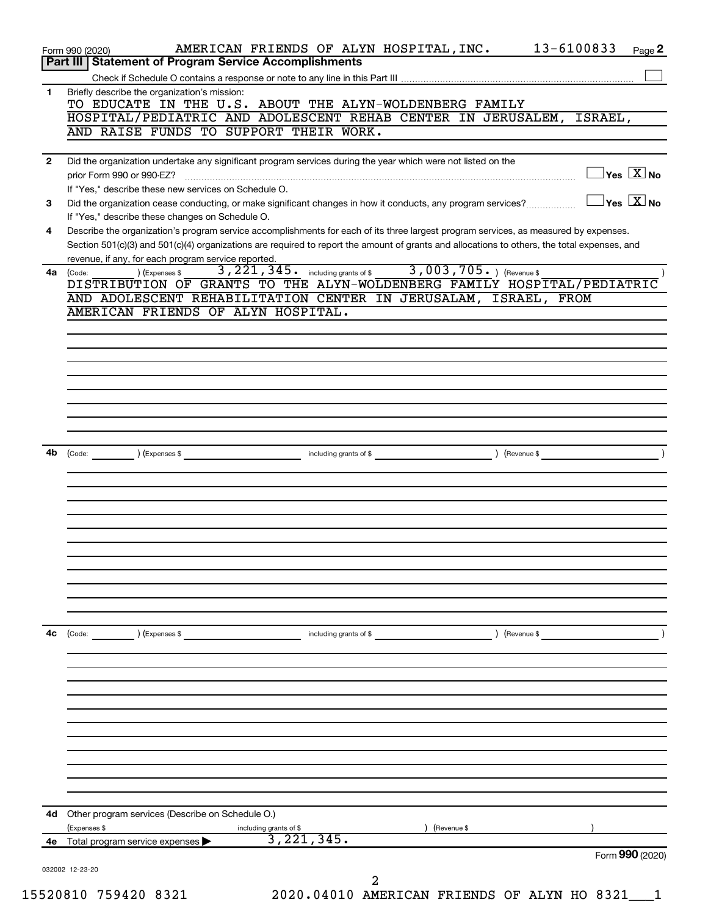|    | 13-6100833<br>AMERICAN FRIENDS OF ALYN HOSPITAL, INC.<br>Page 2<br>Form 990 (2020)<br>Part III   Statement of Program Service Accomplishments                                                                                               |
|----|---------------------------------------------------------------------------------------------------------------------------------------------------------------------------------------------------------------------------------------------|
|    |                                                                                                                                                                                                                                             |
| 1  | Briefly describe the organization's mission:<br>TO EDUCATE IN THE U.S. ABOUT THE ALYN-WOLDENBERG FAMILY<br>HOSPITAL/PEDIATRIC AND ADOLESCENT REHAB CENTER IN JERUSALEM,<br>ISRAEL,                                                          |
|    | AND RAISE FUNDS TO SUPPORT THEIR WORK.                                                                                                                                                                                                      |
| 2  | Did the organization undertake any significant program services during the year which were not listed on the                                                                                                                                |
|    | $\exists$ Yes $\boxed{\text{X}}$ No<br>prior Form 990 or 990-EZ?<br>If "Yes," describe these new services on Schedule O.                                                                                                                    |
| 3  | $\exists$ Yes $\boxed{\text{X}}$ No<br>Did the organization cease conducting, or make significant changes in how it conducts, any program services?                                                                                         |
| 4  | If "Yes," describe these changes on Schedule O.<br>Describe the organization's program service accomplishments for each of its three largest program services, as measured by expenses.                                                     |
|    | Section 501(c)(3) and 501(c)(4) organizations are required to report the amount of grants and allocations to others, the total expenses, and<br>revenue, if any, for each program service reported.                                         |
| 4a | including grants of \$ $3,003,705$ . $($ Revenue \$<br>3,221,345.<br>(Code:<br>) (Expenses \$<br>DISTRIBUTION OF GRANTS TO THE ALYN-WOLDENBERG FAMILY HOSPITAL/PEDIATRIC<br>AND ADOLESCENT REHABILITATION CENTER IN JERUSALAM, ISRAEL, FROM |
|    | AMERICAN FRIENDS OF ALYN HOSPITAL.                                                                                                                                                                                                          |
|    |                                                                                                                                                                                                                                             |
|    |                                                                                                                                                                                                                                             |
|    |                                                                                                                                                                                                                                             |
|    |                                                                                                                                                                                                                                             |
|    |                                                                                                                                                                                                                                             |
|    |                                                                                                                                                                                                                                             |
|    |                                                                                                                                                                                                                                             |
| 4b | (Expenses \$<br>including grants of \$<br>(Revenue \$<br>(Code:                                                                                                                                                                             |
|    |                                                                                                                                                                                                                                             |
|    |                                                                                                                                                                                                                                             |
|    |                                                                                                                                                                                                                                             |
|    |                                                                                                                                                                                                                                             |
|    |                                                                                                                                                                                                                                             |
|    |                                                                                                                                                                                                                                             |
|    |                                                                                                                                                                                                                                             |
|    |                                                                                                                                                                                                                                             |
|    |                                                                                                                                                                                                                                             |
|    |                                                                                                                                                                                                                                             |
|    |                                                                                                                                                                                                                                             |
| 4с | (Code:<br>(Expenses \$<br>including grants of \$<br>(Revenue \$                                                                                                                                                                             |
|    |                                                                                                                                                                                                                                             |
|    |                                                                                                                                                                                                                                             |
|    |                                                                                                                                                                                                                                             |
|    |                                                                                                                                                                                                                                             |
|    |                                                                                                                                                                                                                                             |
|    |                                                                                                                                                                                                                                             |
|    |                                                                                                                                                                                                                                             |
|    |                                                                                                                                                                                                                                             |
|    |                                                                                                                                                                                                                                             |
|    |                                                                                                                                                                                                                                             |
|    | Other program services (Describe on Schedule O.)                                                                                                                                                                                            |
| 4d | (Expenses \$<br>(Revenue \$                                                                                                                                                                                                                 |
| 4е | including grants of \$<br>3, 221, 345.<br>Total program service expenses<br>Form 990 (2020)                                                                                                                                                 |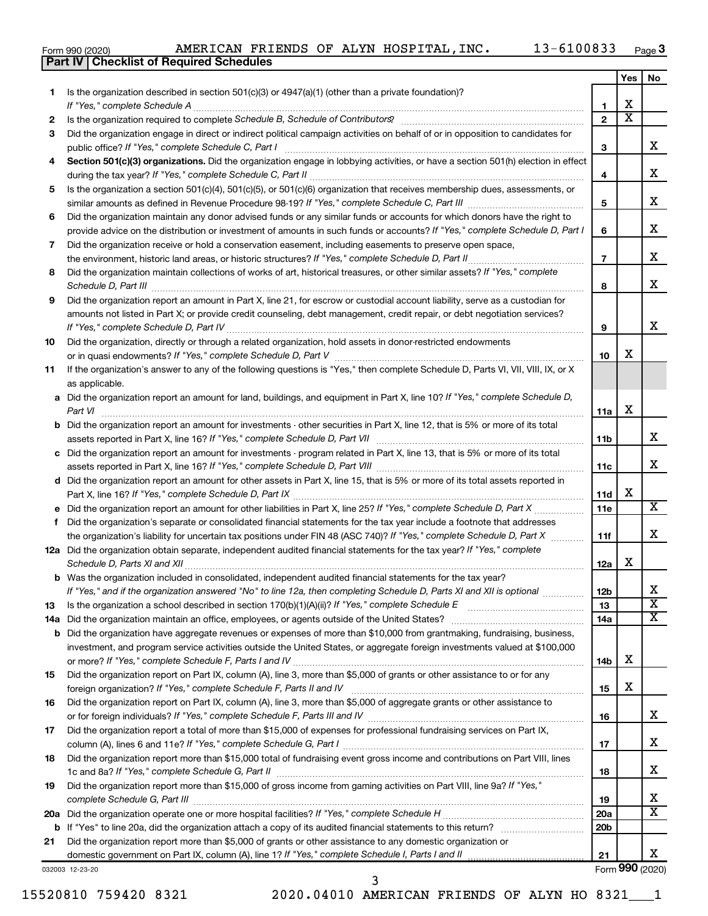|  | Form 990 (2020) |
|--|-----------------|
|  |                 |

**Part IV Checklist of Required Schedules**

|     |                                                                                                                                                                                                                                                            |                 | Yes                   | No                      |
|-----|------------------------------------------------------------------------------------------------------------------------------------------------------------------------------------------------------------------------------------------------------------|-----------------|-----------------------|-------------------------|
| 1   | Is the organization described in section $501(c)(3)$ or $4947(a)(1)$ (other than a private foundation)?                                                                                                                                                    |                 |                       |                         |
|     | If "Yes," complete Schedule A                                                                                                                                                                                                                              | 1               | x                     |                         |
| 2   |                                                                                                                                                                                                                                                            | $\overline{2}$  | $\overline{\text{x}}$ |                         |
| 3   | Did the organization engage in direct or indirect political campaign activities on behalf of or in opposition to candidates for                                                                                                                            |                 |                       |                         |
|     | public office? If "Yes," complete Schedule C, Part I                                                                                                                                                                                                       | З               |                       | X.                      |
| 4   | Section 501(c)(3) organizations. Did the organization engage in lobbying activities, or have a section 501(h) election in effect                                                                                                                           |                 |                       |                         |
|     |                                                                                                                                                                                                                                                            | 4               |                       | x                       |
| 5   | Is the organization a section 501(c)(4), 501(c)(5), or 501(c)(6) organization that receives membership dues, assessments, or                                                                                                                               | 5               |                       | x                       |
| 6   | Did the organization maintain any donor advised funds or any similar funds or accounts for which donors have the right to                                                                                                                                  |                 |                       |                         |
|     | provide advice on the distribution or investment of amounts in such funds or accounts? If "Yes," complete Schedule D, Part I                                                                                                                               | 6               |                       | x                       |
| 7   | Did the organization receive or hold a conservation easement, including easements to preserve open space,                                                                                                                                                  | $\overline{7}$  |                       | x                       |
| 8   | Did the organization maintain collections of works of art, historical treasures, or other similar assets? If "Yes," complete                                                                                                                               |                 |                       |                         |
|     | Schedule D, Part III <b>Marting Communities</b> and the contract of the contract of the contract of the contract of the contract of the contract of the contract of the contract of the contract of the contract of the contract of                        | 8               |                       | x                       |
| 9   | Did the organization report an amount in Part X, line 21, for escrow or custodial account liability, serve as a custodian for<br>amounts not listed in Part X; or provide credit counseling, debt management, credit repair, or debt negotiation services? |                 |                       | x                       |
|     |                                                                                                                                                                                                                                                            | 9               |                       |                         |
| 10  | Did the organization, directly or through a related organization, hold assets in donor-restricted endowments                                                                                                                                               | 10              | x                     |                         |
| 11  | If the organization's answer to any of the following questions is "Yes," then complete Schedule D, Parts VI, VII, VIII, IX, or X                                                                                                                           |                 |                       |                         |
|     | as applicable.                                                                                                                                                                                                                                             |                 |                       |                         |
|     | a Did the organization report an amount for land, buildings, and equipment in Part X, line 10? If "Yes," complete Schedule D,                                                                                                                              |                 |                       |                         |
|     |                                                                                                                                                                                                                                                            | 11a             | х                     |                         |
|     | <b>b</b> Did the organization report an amount for investments - other securities in Part X, line 12, that is 5% or more of its total                                                                                                                      |                 |                       |                         |
|     | assets reported in Part X, line 16? If "Yes," complete Schedule D, Part VII [11] [11] [12] [12] [12] [12] [12] [                                                                                                                                           | 11 <sub>b</sub> |                       | x                       |
|     | c Did the organization report an amount for investments - program related in Part X, line 13, that is 5% or more of its total                                                                                                                              |                 |                       |                         |
|     |                                                                                                                                                                                                                                                            | 11c             |                       | X.                      |
|     | d Did the organization report an amount for other assets in Part X, line 15, that is 5% or more of its total assets reported in                                                                                                                            |                 |                       |                         |
|     |                                                                                                                                                                                                                                                            | 11d             | x                     | $\overline{\mathbf{X}}$ |
|     |                                                                                                                                                                                                                                                            | 11e             |                       |                         |
| f.  | Did the organization's separate or consolidated financial statements for the tax year include a footnote that addresses<br>the organization's liability for uncertain tax positions under FIN 48 (ASC 740)? If "Yes," complete Schedule D, Part X          | 11f             |                       | x                       |
|     | 12a Did the organization obtain separate, independent audited financial statements for the tax year? If "Yes," complete                                                                                                                                    |                 |                       |                         |
|     | Schedule D, Parts XI and XII                                                                                                                                                                                                                               | 12a             | x                     |                         |
|     | <b>b</b> Was the organization included in consolidated, independent audited financial statements for the tax year?                                                                                                                                         |                 |                       |                         |
|     | If "Yes," and if the organization answered "No" to line 12a, then completing Schedule D, Parts XI and XII is optional                                                                                                                                      | 12 <sub>b</sub> |                       | х                       |
| 13  | Is the organization a school described in section $170(b)(1)(A)(ii)?$ If "Yes," complete Schedule E                                                                                                                                                        | 13              |                       | $\overline{\textbf{x}}$ |
| 14a |                                                                                                                                                                                                                                                            | 14a             |                       | x                       |
| b   | Did the organization have aggregate revenues or expenses of more than \$10,000 from grantmaking, fundraising, business,                                                                                                                                    |                 |                       |                         |
|     | investment, and program service activities outside the United States, or aggregate foreign investments valued at \$100,000                                                                                                                                 |                 |                       |                         |
|     |                                                                                                                                                                                                                                                            | 14b             | x                     |                         |
| 15  | Did the organization report on Part IX, column (A), line 3, more than \$5,000 of grants or other assistance to or for any                                                                                                                                  | 15              | x                     |                         |
| 16  | Did the organization report on Part IX, column (A), line 3, more than \$5,000 of aggregate grants or other assistance to                                                                                                                                   |                 |                       |                         |
|     |                                                                                                                                                                                                                                                            | 16              |                       | x                       |
| 17  | Did the organization report a total of more than \$15,000 of expenses for professional fundraising services on Part IX,                                                                                                                                    |                 |                       |                         |
|     |                                                                                                                                                                                                                                                            | 17              |                       | x                       |
| 18  | Did the organization report more than \$15,000 total of fundraising event gross income and contributions on Part VIII, lines                                                                                                                               | 18              |                       | х                       |
| 19  | Did the organization report more than \$15,000 of gross income from gaming activities on Part VIII, line 9a? If "Yes,"                                                                                                                                     |                 |                       |                         |
|     |                                                                                                                                                                                                                                                            | 19              |                       | х                       |
| 20a |                                                                                                                                                                                                                                                            | <b>20a</b>      |                       | $\overline{\text{X}}$   |
| b   |                                                                                                                                                                                                                                                            | 20 <sub>b</sub> |                       |                         |
| 21  | Did the organization report more than \$5,000 of grants or other assistance to any domestic organization or                                                                                                                                                |                 |                       |                         |
|     |                                                                                                                                                                                                                                                            | 21              |                       | x                       |
|     | 032003 12-23-20                                                                                                                                                                                                                                            |                 |                       | Form 990 (2020)         |

Form (2020) **990**

| ٠<br><br>×<br>$\sim$ | ٠ |
|----------------------|---|
|                      |   |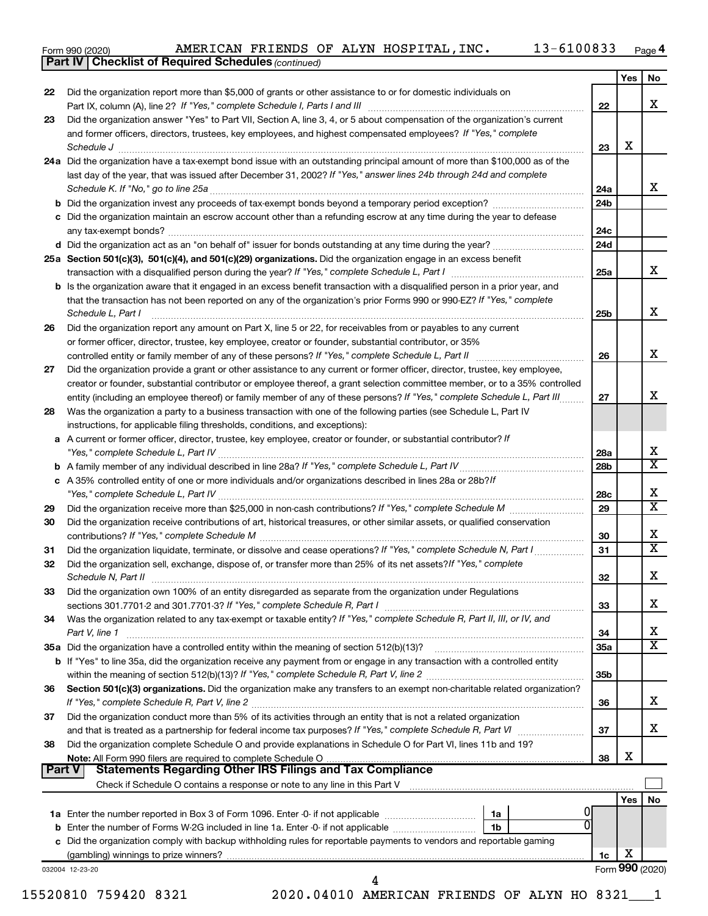|  | Form 990 (2020) |
|--|-----------------|
|  |                 |

*(continued)* **Part IV Checklist of Required Schedules**

| 22 |                                                                                                                                                                                                                                                                                                                                                         |                 | <b>Yes</b>      | No                           |
|----|---------------------------------------------------------------------------------------------------------------------------------------------------------------------------------------------------------------------------------------------------------------------------------------------------------------------------------------------------------|-----------------|-----------------|------------------------------|
|    | Did the organization report more than \$5,000 of grants or other assistance to or for domestic individuals on                                                                                                                                                                                                                                           | 22              |                 | x                            |
| 23 | Did the organization answer "Yes" to Part VII, Section A, line 3, 4, or 5 about compensation of the organization's current                                                                                                                                                                                                                              |                 |                 |                              |
|    | and former officers, directors, trustees, key employees, and highest compensated employees? If "Yes," complete                                                                                                                                                                                                                                          | 23              | X               |                              |
|    | Schedule J <b>Execute Schedule J Execute Schedule J</b><br>24a Did the organization have a tax-exempt bond issue with an outstanding principal amount of more than \$100,000 as of the                                                                                                                                                                  |                 |                 |                              |
|    | last day of the year, that was issued after December 31, 2002? If "Yes," answer lines 24b through 24d and complete                                                                                                                                                                                                                                      | 24a             |                 | X                            |
|    |                                                                                                                                                                                                                                                                                                                                                         | 24 <sub>b</sub> |                 |                              |
|    | c Did the organization maintain an escrow account other than a refunding escrow at any time during the year to defease                                                                                                                                                                                                                                  |                 |                 |                              |
|    |                                                                                                                                                                                                                                                                                                                                                         | 24c             |                 |                              |
|    |                                                                                                                                                                                                                                                                                                                                                         | 24d             |                 |                              |
|    | 25a Section 501(c)(3), 501(c)(4), and 501(c)(29) organizations. Did the organization engage in an excess benefit                                                                                                                                                                                                                                        |                 |                 |                              |
|    |                                                                                                                                                                                                                                                                                                                                                         | 25a             |                 | x                            |
|    |                                                                                                                                                                                                                                                                                                                                                         |                 |                 |                              |
|    | <b>b</b> Is the organization aware that it engaged in an excess benefit transaction with a disqualified person in a prior year, and<br>that the transaction has not been reported on any of the organization's prior Forms 990 or 990-EZ? If "Yes," complete<br>Schedule L, Part I                                                                      | 25b             |                 | x                            |
| 26 | Did the organization report any amount on Part X, line 5 or 22, for receivables from or payables to any current                                                                                                                                                                                                                                         |                 |                 |                              |
|    | or former officer, director, trustee, key employee, creator or founder, substantial contributor, or 35%                                                                                                                                                                                                                                                 |                 |                 |                              |
|    |                                                                                                                                                                                                                                                                                                                                                         | 26              |                 | X                            |
| 27 | Did the organization provide a grant or other assistance to any current or former officer, director, trustee, key employee,                                                                                                                                                                                                                             |                 |                 |                              |
|    | creator or founder, substantial contributor or employee thereof, a grant selection committee member, or to a 35% controlled                                                                                                                                                                                                                             |                 |                 |                              |
|    | entity (including an employee thereof) or family member of any of these persons? If "Yes," complete Schedule L, Part III                                                                                                                                                                                                                                | 27              |                 | X                            |
| 28 | Was the organization a party to a business transaction with one of the following parties (see Schedule L, Part IV                                                                                                                                                                                                                                       |                 |                 |                              |
|    | instructions, for applicable filing thresholds, conditions, and exceptions):                                                                                                                                                                                                                                                                            |                 |                 |                              |
|    | a A current or former officer, director, trustee, key employee, creator or founder, or substantial contributor? If                                                                                                                                                                                                                                      | 28a             |                 | х                            |
|    |                                                                                                                                                                                                                                                                                                                                                         | 28b             |                 | $\overline{\mathtt{x}}$      |
|    | c A 35% controlled entity of one or more individuals and/or organizations described in lines 28a or 28b?/f                                                                                                                                                                                                                                              | 28c             |                 | х                            |
| 29 |                                                                                                                                                                                                                                                                                                                                                         | 29              |                 | $\overline{\mathtt{x}}$      |
| 30 | Did the organization receive contributions of art, historical treasures, or other similar assets, or qualified conservation                                                                                                                                                                                                                             | 30              |                 | х                            |
| 31 |                                                                                                                                                                                                                                                                                                                                                         | 31              |                 | $\overline{\mathtt{x}}$      |
| 32 | Did the organization sell, exchange, dispose of, or transfer more than 25% of its net assets? If "Yes," complete<br>Schedule N, Part II <b>Marken Communist Construction</b> Construction Construction Construction Construction Construction Construction Construction Construction Construction Construction Construction Construction Construction C | 32              |                 | X                            |
| 33 | Did the organization own 100% of an entity disregarded as separate from the organization under Regulations                                                                                                                                                                                                                                              |                 |                 |                              |
|    | sections 301.7701-2 and 301.7701-3? If "Yes," complete Schedule R, Part I [1] [1] [1] [1] [1] [1] sections 301.7701-2 and 301.7701-3? If "Yes," complete Schedule R, Part I                                                                                                                                                                             | 33              |                 | X                            |
| 34 | Was the organization related to any tax-exempt or taxable entity? If "Yes," complete Schedule R, Part II, III, or IV, and                                                                                                                                                                                                                               |                 |                 |                              |
|    | Part V, line 1                                                                                                                                                                                                                                                                                                                                          | 34              |                 | х<br>$\overline{\mathtt{x}}$ |
|    |                                                                                                                                                                                                                                                                                                                                                         | 35a             |                 |                              |
|    | <b>b</b> If "Yes" to line 35a, did the organization receive any payment from or engage in any transaction with a controlled entity                                                                                                                                                                                                                      |                 |                 |                              |
|    |                                                                                                                                                                                                                                                                                                                                                         | 35b             |                 |                              |
| 36 | Section 501(c)(3) organizations. Did the organization make any transfers to an exempt non-charitable related organization?                                                                                                                                                                                                                              | 36              |                 | X                            |
| 37 | Did the organization conduct more than 5% of its activities through an entity that is not a related organization                                                                                                                                                                                                                                        |                 |                 |                              |
|    |                                                                                                                                                                                                                                                                                                                                                         | 37              |                 | X                            |
| 38 | Did the organization complete Schedule O and provide explanations in Schedule O for Part VI, lines 11b and 19?                                                                                                                                                                                                                                          |                 |                 |                              |
|    |                                                                                                                                                                                                                                                                                                                                                         | 38              | X               |                              |
|    | <b>Part V</b>                                                                                                                                                                                                                                                                                                                                           |                 |                 |                              |
|    |                                                                                                                                                                                                                                                                                                                                                         |                 |                 |                              |
|    |                                                                                                                                                                                                                                                                                                                                                         |                 | Yes             | No.                          |
|    | 1a                                                                                                                                                                                                                                                                                                                                                      |                 |                 |                              |
|    |                                                                                                                                                                                                                                                                                                                                                         |                 |                 |                              |
|    | 1b                                                                                                                                                                                                                                                                                                                                                      |                 |                 |                              |
|    | c Did the organization comply with backup withholding rules for reportable payments to vendors and reportable gaming                                                                                                                                                                                                                                    |                 |                 |                              |
|    |                                                                                                                                                                                                                                                                                                                                                         | 1c              | X               |                              |
|    | 032004 12-23-20                                                                                                                                                                                                                                                                                                                                         |                 | Form 990 (2020) |                              |
|    | 15520810 759420 8321                                                                                                                                                                                                                                                                                                                                    |                 |                 |                              |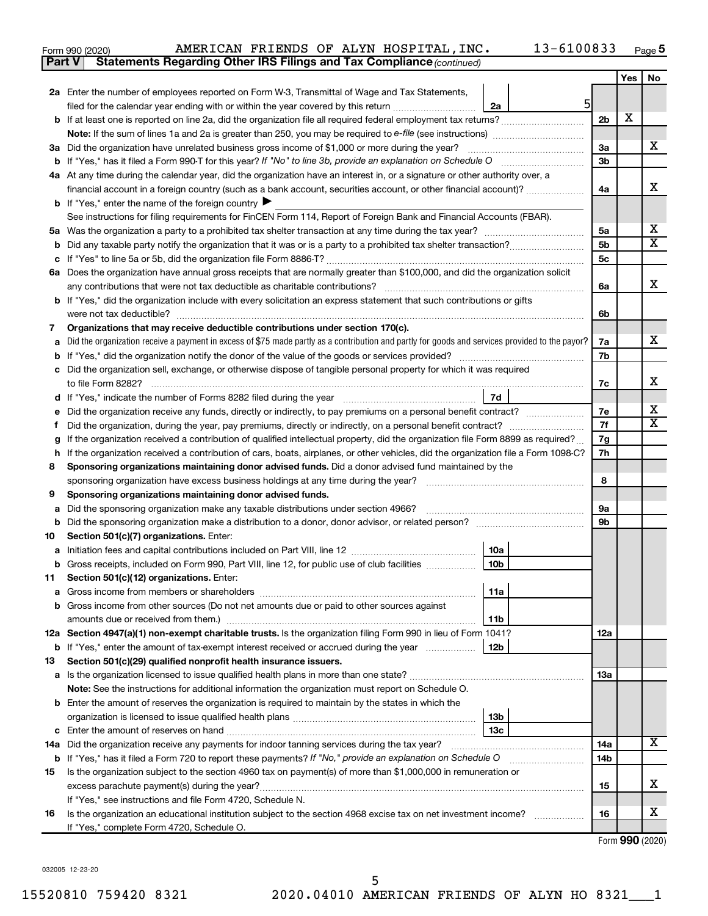| Form 990 (2020) |  |  | AMERICAN FRIENDS OF ALYN HOSPITAL, INC.                                             | $13 - 6100833$ | Page ${\bf 5}$ |
|-----------------|--|--|-------------------------------------------------------------------------------------|----------------|----------------|
|                 |  |  | <b>Part V</b> Statements Regarding Other IRS Filings and Tax Compliance (continued) |                |                |

|         |                                                                                                                                                                                                      |                      | Yes | No                      |  |  |  |  |
|---------|------------------------------------------------------------------------------------------------------------------------------------------------------------------------------------------------------|----------------------|-----|-------------------------|--|--|--|--|
|         | 2a Enter the number of employees reported on Form W-3, Transmittal of Wage and Tax Statements,                                                                                                       |                      |     |                         |  |  |  |  |
|         | 5<br>filed for the calendar year ending with or within the year covered by this return<br>2a                                                                                                         |                      |     |                         |  |  |  |  |
|         | b If at least one is reported on line 2a, did the organization file all required federal employment tax returns?                                                                                     | 2 <sub>b</sub>       | X   |                         |  |  |  |  |
|         |                                                                                                                                                                                                      |                      |     |                         |  |  |  |  |
|         | 3a Did the organization have unrelated business gross income of \$1,000 or more during the year?                                                                                                     | 3a                   |     | x                       |  |  |  |  |
|         |                                                                                                                                                                                                      | 3 <sub>b</sub>       |     |                         |  |  |  |  |
|         | 4a At any time during the calendar year, did the organization have an interest in, or a signature or other authority over, a                                                                         |                      |     |                         |  |  |  |  |
|         | financial account in a foreign country (such as a bank account, securities account, or other financial account)?                                                                                     | 4a                   |     | х                       |  |  |  |  |
|         | <b>b</b> If "Yes," enter the name of the foreign country $\blacktriangleright$                                                                                                                       |                      |     |                         |  |  |  |  |
|         | See instructions for filing requirements for FinCEN Form 114, Report of Foreign Bank and Financial Accounts (FBAR).                                                                                  |                      |     | х                       |  |  |  |  |
|         |                                                                                                                                                                                                      | 5a<br>5 <sub>b</sub> |     | $\overline{\textbf{X}}$ |  |  |  |  |
| b       |                                                                                                                                                                                                      | 5 <sub>c</sub>       |     |                         |  |  |  |  |
|         | 6a Does the organization have annual gross receipts that are normally greater than \$100,000, and did the organization solicit                                                                       |                      |     |                         |  |  |  |  |
|         | any contributions that were not tax deductible as charitable contributions?                                                                                                                          | 6a                   |     | x                       |  |  |  |  |
|         | b If "Yes," did the organization include with every solicitation an express statement that such contributions or gifts                                                                               |                      |     |                         |  |  |  |  |
|         | were not tax deductible?                                                                                                                                                                             | 6b                   |     |                         |  |  |  |  |
| 7       | Organizations that may receive deductible contributions under section 170(c).                                                                                                                        |                      |     |                         |  |  |  |  |
|         | Did the organization receive a payment in excess of \$75 made partly as a contribution and partly for goods and services provided to the payor?                                                      | 7a                   |     | x                       |  |  |  |  |
|         |                                                                                                                                                                                                      | 7b                   |     |                         |  |  |  |  |
| c       | Did the organization sell, exchange, or otherwise dispose of tangible personal property for which it was required                                                                                    |                      |     |                         |  |  |  |  |
|         | to file Form 8282?                                                                                                                                                                                   | 7c                   |     | х                       |  |  |  |  |
| d       | 7d<br>If "Yes," indicate the number of Forms 8282 filed during the year [11] Meson manuscription of the way in the water of Forms 8282 filed during the year                                         |                      |     |                         |  |  |  |  |
|         | Did the organization receive any funds, directly or indirectly, to pay premiums on a personal benefit contract?                                                                                      | 7e                   |     | х                       |  |  |  |  |
|         | Did the organization, during the year, pay premiums, directly or indirectly, on a personal benefit contract?                                                                                         | 7f                   |     | $\overline{\textbf{X}}$ |  |  |  |  |
| g       | If the organization received a contribution of qualified intellectual property, did the organization file Form 8899 as required?                                                                     | 7g                   |     |                         |  |  |  |  |
| h       | If the organization received a contribution of cars, boats, airplanes, or other vehicles, did the organization file a Form 1098-C?                                                                   | 7h                   |     |                         |  |  |  |  |
| 8       | Sponsoring organizations maintaining donor advised funds. Did a donor advised fund maintained by the                                                                                                 |                      |     |                         |  |  |  |  |
|         | sponsoring organization have excess business holdings at any time during the year?<br>and a complete the contract of the complete the complete the complete the complete the complete the complete t | 8                    |     |                         |  |  |  |  |
| 9       | Sponsoring organizations maintaining donor advised funds.                                                                                                                                            |                      |     |                         |  |  |  |  |
| а       | Did the sponsoring organization make any taxable distributions under section 4966?                                                                                                                   | <b>9a</b>            |     |                         |  |  |  |  |
| b       |                                                                                                                                                                                                      | 9 <sub>b</sub>       |     |                         |  |  |  |  |
| 10      | Section 501(c)(7) organizations. Enter:                                                                                                                                                              |                      |     |                         |  |  |  |  |
| а       | 10a<br>10 <sub>b</sub>                                                                                                                                                                               |                      |     |                         |  |  |  |  |
| b<br>11 | Gross receipts, included on Form 990, Part VIII, line 12, for public use of club facilities<br>Section 501(c)(12) organizations. Enter:                                                              |                      |     |                         |  |  |  |  |
|         | 11a                                                                                                                                                                                                  |                      |     |                         |  |  |  |  |
|         | b Gross income from other sources (Do not net amounts due or paid to other sources against                                                                                                           |                      |     |                         |  |  |  |  |
|         | amounts due or received from them.)<br>11b                                                                                                                                                           |                      |     |                         |  |  |  |  |
|         | 12a Section 4947(a)(1) non-exempt charitable trusts. Is the organization filing Form 990 in lieu of Form 1041?                                                                                       | 12a                  |     |                         |  |  |  |  |
|         | 12 <sub>b</sub><br><b>b</b> If "Yes," enter the amount of tax-exempt interest received or accrued during the year                                                                                    |                      |     |                         |  |  |  |  |
| 13      | Section 501(c)(29) qualified nonprofit health insurance issuers.                                                                                                                                     |                      |     |                         |  |  |  |  |
|         |                                                                                                                                                                                                      | 13a                  |     |                         |  |  |  |  |
|         | Note: See the instructions for additional information the organization must report on Schedule O.                                                                                                    |                      |     |                         |  |  |  |  |
|         | <b>b</b> Enter the amount of reserves the organization is required to maintain by the states in which the                                                                                            |                      |     |                         |  |  |  |  |
|         | 13b                                                                                                                                                                                                  |                      |     |                         |  |  |  |  |
|         | 13 <sub>c</sub>                                                                                                                                                                                      |                      |     |                         |  |  |  |  |
|         | 14a Did the organization receive any payments for indoor tanning services during the tax year?                                                                                                       | 14a                  |     | X                       |  |  |  |  |
|         | b If "Yes," has it filed a Form 720 to report these payments? If "No," provide an explanation on Schedule O                                                                                          | 14b                  |     |                         |  |  |  |  |
| 15      | Is the organization subject to the section 4960 tax on payment(s) of more than \$1,000,000 in remuneration or                                                                                        |                      |     |                         |  |  |  |  |
|         |                                                                                                                                                                                                      | 15                   |     | x                       |  |  |  |  |
|         | If "Yes," see instructions and file Form 4720, Schedule N.                                                                                                                                           |                      |     | х                       |  |  |  |  |
| 16      | Is the organization an educational institution subject to the section 4968 excise tax on net investment income?                                                                                      | 16                   |     |                         |  |  |  |  |
|         | If "Yes," complete Form 4720, Schedule O.                                                                                                                                                            |                      |     |                         |  |  |  |  |

Form (2020) **990**

032005 12-23-20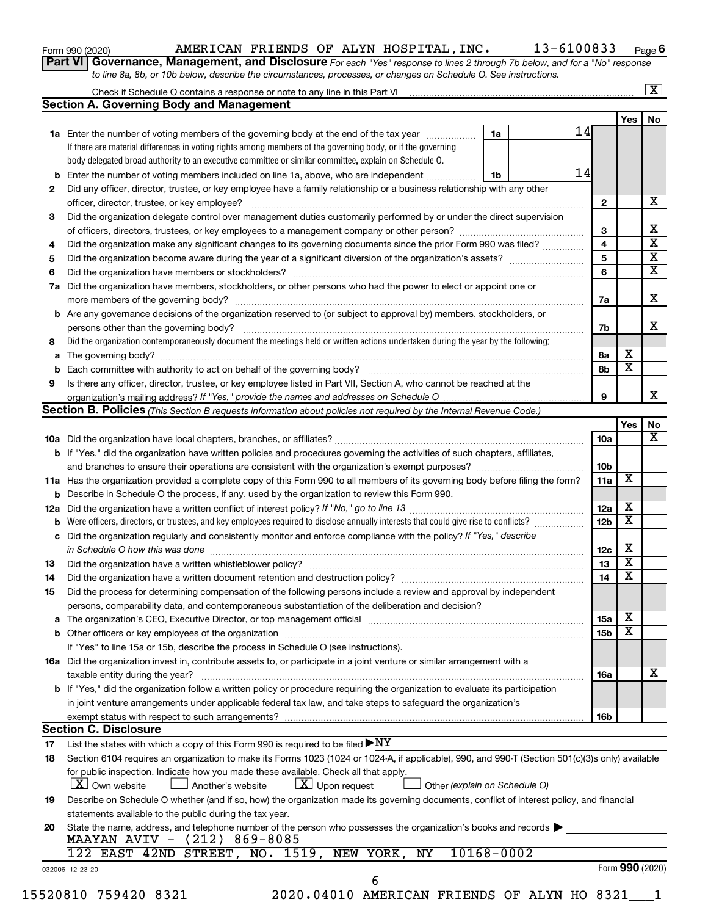| Form 990 (2020) |  |
|-----------------|--|
|-----------------|--|

# Form 990 (2020) Page AMERICAN FRIENDS OF ALYN HOSPITAL,INC. 13-6100833

**Part VI** Governance, Management, and Disclosure For each "Yes" response to lines 2 through 7b below, and for a "No" response *to line 8a, 8b, or 10b below, describe the circumstances, processes, or changes on Schedule O. See instructions.*

|    | Check if Schedule O contains a response or note to any line in this Part VI [1] [1] [1] [1] [1] [1] [1] [1] [1<br><b>Section A. Governing Body and Management</b> |            |                 |                         |    |
|----|-------------------------------------------------------------------------------------------------------------------------------------------------------------------|------------|-----------------|-------------------------|----|
|    |                                                                                                                                                                   |            |                 | Yes                     | No |
|    | 1a Enter the number of voting members of the governing body at the end of the tax year                                                                            | 1a         | 14              |                         |    |
|    | If there are material differences in voting rights among members of the governing body, or if the governing                                                       |            |                 |                         |    |
|    |                                                                                                                                                                   |            |                 |                         |    |
|    | body delegated broad authority to an executive committee or similar committee, explain on Schedule O.                                                             |            | 14              |                         |    |
|    | <b>b</b> Enter the number of voting members included on line 1a, above, who are independent                                                                       | 1b         |                 |                         |    |
| 2  | Did any officer, director, trustee, or key employee have a family relationship or a business relationship with any other                                          |            |                 |                         |    |
|    |                                                                                                                                                                   |            | 2               |                         |    |
| 3  | Did the organization delegate control over management duties customarily performed by or under the direct supervision                                             |            |                 |                         |    |
|    |                                                                                                                                                                   |            | 3               |                         |    |
| 4  | Did the organization make any significant changes to its governing documents since the prior Form 990 was filed?                                                  |            | 4               |                         |    |
| 5  |                                                                                                                                                                   |            | 5               |                         |    |
| 6  |                                                                                                                                                                   |            | 6               |                         |    |
| 7a | Did the organization have members, stockholders, or other persons who had the power to elect or appoint one or                                                    |            |                 |                         |    |
|    |                                                                                                                                                                   |            |                 |                         |    |
|    |                                                                                                                                                                   |            | 7a              |                         |    |
|    | <b>b</b> Are any governance decisions of the organization reserved to (or subject to approval by) members, stockholders, or                                       |            |                 |                         |    |
|    |                                                                                                                                                                   |            | 7b              |                         |    |
| 8  | Did the organization contemporaneously document the meetings held or written actions undertaken during the year by the following:                                 |            |                 |                         |    |
|    |                                                                                                                                                                   |            | 8а              | х                       |    |
|    |                                                                                                                                                                   |            | 8b              | $\overline{\mathbf{x}}$ |    |
| 9  | Is there any officer, director, trustee, or key employee listed in Part VII, Section A, who cannot be reached at the                                              |            |                 |                         |    |
|    |                                                                                                                                                                   |            | 9               |                         |    |
|    | Section B. Policies (This Section B requests information about policies not required by the Internal Revenue Code.)                                               |            |                 |                         |    |
|    |                                                                                                                                                                   |            |                 | Yes                     |    |
|    |                                                                                                                                                                   |            | 10a             |                         |    |
|    |                                                                                                                                                                   |            |                 |                         |    |
|    | b If "Yes," did the organization have written policies and procedures governing the activities of such chapters, affiliates,                                      |            |                 |                         |    |
|    |                                                                                                                                                                   |            | 10b             |                         |    |
|    | 11a Has the organization provided a complete copy of this Form 990 to all members of its governing body before filing the form?                                   |            | 11a             | X                       |    |
|    | <b>b</b> Describe in Schedule O the process, if any, used by the organization to review this Form 990.                                                            |            |                 |                         |    |
|    |                                                                                                                                                                   |            | 12a             | х                       |    |
|    | <b>b</b> Were officers, directors, or trustees, and key employees required to disclose annually interests that could give rise to conflicts?                      |            | 12 <sub>b</sub> | х                       |    |
|    | c Did the organization regularly and consistently monitor and enforce compliance with the policy? If "Yes," describe                                              |            |                 |                         |    |
|    | in Schedule O how this was done <i>manufacture contract to the set of the set of the set of the set of the set of t</i>                                           |            | 12c             | X                       |    |
| 13 |                                                                                                                                                                   |            | 13              | $\overline{\textbf{x}}$ |    |
| 14 |                                                                                                                                                                   |            | 14              | $\overline{\mathbf{X}}$ |    |
|    |                                                                                                                                                                   |            |                 |                         |    |
| 15 | Did the process for determining compensation of the following persons include a review and approval by independent                                                |            |                 |                         |    |
|    | persons, comparability data, and contemporaneous substantiation of the deliberation and decision?                                                                 |            |                 |                         |    |
|    |                                                                                                                                                                   |            | 15a             | х                       |    |
|    |                                                                                                                                                                   |            | 15 <sub>b</sub> | $\overline{\textbf{x}}$ |    |
|    | If "Yes" to line 15a or 15b, describe the process in Schedule O (see instructions).                                                                               |            |                 |                         |    |
|    | 16a Did the organization invest in, contribute assets to, or participate in a joint venture or similar arrangement with a                                         |            |                 |                         |    |
|    | taxable entity during the year?                                                                                                                                   |            | 16a             |                         |    |
|    | <b>b</b> If "Yes," did the organization follow a written policy or procedure requiring the organization to evaluate its participation                             |            |                 |                         |    |
|    | in joint venture arrangements under applicable federal tax law, and take steps to safeguard the organization's                                                    |            |                 |                         |    |
|    | exempt status with respect to such arrangements?                                                                                                                  |            | 16b             |                         |    |
|    | <b>Section C. Disclosure</b>                                                                                                                                      |            |                 |                         |    |
|    |                                                                                                                                                                   |            |                 |                         |    |
| 17 | List the states with which a copy of this Form 990 is required to be filed $\blacktriangleright\text{NY}$                                                         |            |                 |                         |    |
| 18 | Section 6104 requires an organization to make its Forms 1023 (1024 or 1024-A, if applicable), 990, and 990-T (Section 501(c)(3)s only) available                  |            |                 |                         |    |
|    | for public inspection. Indicate how you made these available. Check all that apply.                                                                               |            |                 |                         |    |
|    |                                                                                                                                                                   |            |                 |                         |    |
|    | $\lfloor x \rfloor$ Upon request<br><b>X</b> Own website<br>Another's website<br>Other (explain on Schedule O)                                                    |            |                 |                         |    |
| 19 | Describe on Schedule O whether (and if so, how) the organization made its governing documents, conflict of interest policy, and financial                         |            |                 |                         |    |
|    | statements available to the public during the tax year.                                                                                                           |            |                 |                         |    |
| 20 |                                                                                                                                                                   |            |                 |                         |    |
|    | State the name, address, and telephone number of the person who possesses the organization's books and records                                                    |            |                 |                         |    |
|    | MAAYAN AVIV - (212) 869-8085                                                                                                                                      |            |                 |                         |    |
|    | 122 EAST 42ND STREET, NO. 1519, NEW YORK, NY<br>032006 12-23-20                                                                                                   | 10168-0002 |                 | Form 990 (2020)         |    |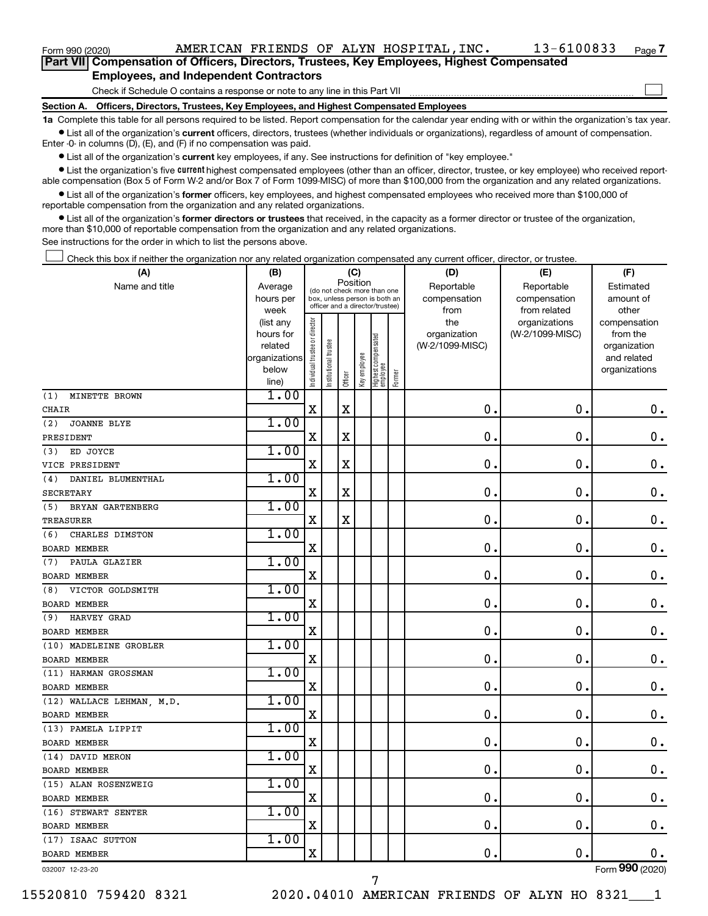$\Box$ 

| Part VII Compensation of Officers, Directors, Trustees, Key Employees, Highest Compensated |  |  |  |  |
|--------------------------------------------------------------------------------------------|--|--|--|--|
| <b>Employees, and Independent Contractors</b>                                              |  |  |  |  |

Check if Schedule O contains a response or note to any line in this Part VII

**Section A. Officers, Directors, Trustees, Key Employees, and Highest Compensated Employees**

**1a**  Complete this table for all persons required to be listed. Report compensation for the calendar year ending with or within the organization's tax year.  $\bullet$  List all of the organization's current officers, directors, trustees (whether individuals or organizations), regardless of amount of compensation.

Enter -0- in columns (D), (E), and (F) if no compensation was paid.

**•** List all of the organization's current key employees, if any. See instructions for definition of "key employee."

• List the organization's five *current* highest compensated employees (other than an officer, director, trustee, or key employee) who received reportable compensation (Box 5 of Form W-2 and/or Box 7 of Form 1099-MISC) of more than \$100,000 from the organization and any related organizations.

 $\bullet$  List all of the organization's former officers, key employees, and highest compensated employees who received more than \$100,000 of reportable compensation from the organization and any related organizations.

**•** List all of the organization's former directors or trustees that received, in the capacity as a former director or trustee of the organization, more than \$10,000 of reportable compensation from the organization and any related organizations.

See instructions for the order in which to list the persons above.

Check this box if neither the organization nor any related organization compensated any current officer, director, or trustee.  $\Box$ 

| (A)                       | (B)                    |                                |                                                                  | (C)         |              |                                   |        | (D)                 | (E)                              | (F)                      |
|---------------------------|------------------------|--------------------------------|------------------------------------------------------------------|-------------|--------------|-----------------------------------|--------|---------------------|----------------------------------|--------------------------|
| Name and title            | Average                |                                | (do not check more than one                                      |             | Position     |                                   |        | Reportable          | Reportable                       | Estimated                |
|                           | hours per              |                                | box, unless person is both an<br>officer and a director/trustee) |             |              |                                   |        | compensation        | compensation                     | amount of                |
|                           | week                   |                                |                                                                  |             |              |                                   |        | from                | from related                     | other                    |
|                           | (list any<br>hours for | Individual trustee or director |                                                                  |             |              |                                   |        | the<br>organization | organizations<br>(W-2/1099-MISC) | compensation<br>from the |
|                           | related                |                                |                                                                  |             |              |                                   |        | (W-2/1099-MISC)     |                                  | organization             |
|                           | organizations          |                                | nstitutional trustee                                             |             |              |                                   |        |                     |                                  | and related              |
|                           | below                  |                                |                                                                  |             | Key employee |                                   |        |                     |                                  | organizations            |
|                           | line)                  |                                |                                                                  | Officer     |              | Highest compensated<br>  employee | Former |                     |                                  |                          |
| MINETTE BROWN<br>(1)      | 1.00                   |                                |                                                                  |             |              |                                   |        |                     |                                  |                          |
| <b>CHAIR</b>              |                        | $\mathbf X$                    |                                                                  | $\mathbf X$ |              |                                   |        | 0.                  | $\mathbf 0$ .                    | $\mathbf 0$ .            |
| <b>JOANNE BLYE</b><br>(2) | 1.00                   |                                |                                                                  |             |              |                                   |        |                     |                                  |                          |
| PRESIDENT                 |                        | $\mathbf X$                    |                                                                  | $\mathbf X$ |              |                                   |        | $\mathbf 0$ .       | $\mathbf 0$ .                    | $\mathbf 0$ .            |
| ED JOYCE<br>(3)           | 1.00                   |                                |                                                                  |             |              |                                   |        |                     |                                  |                          |
| VICE PRESIDENT            |                        | X                              |                                                                  | X           |              |                                   |        | $\mathbf 0$ .       | 0.                               | 0.                       |
| DANIEL BLUMENTHAL<br>(4)  | 1.00                   |                                |                                                                  |             |              |                                   |        |                     |                                  |                          |
| <b>SECRETARY</b>          |                        | $\mathbf X$                    |                                                                  | X           |              |                                   |        | $\mathbf 0$ .       | $\mathbf 0$ .                    | $\mathbf 0$ .            |
| (5)<br>BRYAN GARTENBERG   | 1.00                   |                                |                                                                  |             |              |                                   |        |                     |                                  |                          |
| TREASURER                 |                        | $\mathbf X$                    |                                                                  | X           |              |                                   |        | $\mathbf 0$ .       | $\mathbf 0$ .                    | $\mathbf 0$ .            |
| CHARLES DIMSTON<br>(6)    | 1.00                   |                                |                                                                  |             |              |                                   |        |                     |                                  |                          |
| <b>BOARD MEMBER</b>       |                        | X                              |                                                                  |             |              |                                   |        | $\mathbf 0$ .       | $\mathbf 0$ .                    | $\mathbf 0$ .            |
| PAULA GLAZIER<br>(7)      | 1.00                   |                                |                                                                  |             |              |                                   |        |                     |                                  |                          |
| <b>BOARD MEMBER</b>       |                        | X                              |                                                                  |             |              |                                   |        | $\mathbf 0$ .       | $\mathbf 0$                      | $\mathbf 0$ .            |
| VICTOR GOLDSMITH<br>(8)   | 1.00                   |                                |                                                                  |             |              |                                   |        |                     |                                  |                          |
| <b>BOARD MEMBER</b>       |                        | X                              |                                                                  |             |              |                                   |        | $\mathbf 0$ .       | $\mathbf 0$ .                    | $\mathbf 0$ .            |
| HARVEY GRAD<br>(9)        | 1.00                   |                                |                                                                  |             |              |                                   |        |                     |                                  |                          |
| <b>BOARD MEMBER</b>       |                        | $\mathbf X$                    |                                                                  |             |              |                                   |        | $\mathbf 0$ .       | $\mathbf 0$ .                    | $\mathbf 0$ .            |
| (10) MADELEINE GROBLER    | 1.00                   |                                |                                                                  |             |              |                                   |        |                     |                                  |                          |
| <b>BOARD MEMBER</b>       |                        | $\mathbf X$                    |                                                                  |             |              |                                   |        | 0.                  | $\mathbf 0$ .                    | 0.                       |
| (11) HARMAN GROSSMAN      | 1.00                   |                                |                                                                  |             |              |                                   |        |                     |                                  |                          |
| <b>BOARD MEMBER</b>       |                        | X                              |                                                                  |             |              |                                   |        | $\mathbf 0$ .       | $\mathbf 0$ .                    | $\mathbf 0$ .            |
| (12) WALLACE LEHMAN, M.D. | 1.00                   |                                |                                                                  |             |              |                                   |        |                     |                                  |                          |
| <b>BOARD MEMBER</b>       |                        | $\mathbf X$                    |                                                                  |             |              |                                   |        | $\mathbf 0$ .       | $\mathbf 0$ .                    | $\mathbf 0$ .            |
| (13) PAMELA LIPPIT        | 1.00                   |                                |                                                                  |             |              |                                   |        |                     |                                  |                          |
| <b>BOARD MEMBER</b>       |                        | $\mathbf X$                    |                                                                  |             |              |                                   |        | $\mathbf 0$ .       | $\mathbf 0$                      | $\mathbf 0$ .            |
| (14) DAVID MERON          | 1.00                   |                                |                                                                  |             |              |                                   |        |                     |                                  |                          |
| <b>BOARD MEMBER</b>       |                        | $\overline{\mathbf{X}}$        |                                                                  |             |              |                                   |        | 0.                  | О.                               | $\mathbf 0$ .            |
| (15) ALAN ROSENZWEIG      | 1.00                   |                                |                                                                  |             |              |                                   |        |                     |                                  |                          |
| <b>BOARD MEMBER</b>       |                        | X                              |                                                                  |             |              |                                   |        | $\mathbf 0$         | $\mathbf 0$                      | $\mathbf 0$ .            |
| (16) STEWART SENTER       | 1.00                   |                                |                                                                  |             |              |                                   |        |                     |                                  |                          |
| <b>BOARD MEMBER</b>       |                        | $\mathbf X$                    |                                                                  |             |              |                                   |        | $\mathbf 0$ .       | $\mathbf 0$ .                    | 0.                       |
| (17) ISAAC SUTTON         | 1.00                   |                                |                                                                  |             |              |                                   |        |                     |                                  |                          |
| <b>BOARD MEMBER</b>       |                        | $\mathbf X$                    |                                                                  |             |              |                                   |        | 0.                  | $\mathbf 0$ .                    | $0$ .                    |
| 032007 12-23-20           |                        |                                |                                                                  |             |              |                                   |        |                     |                                  | Form 990 (2020)          |

7

032007 12-23-20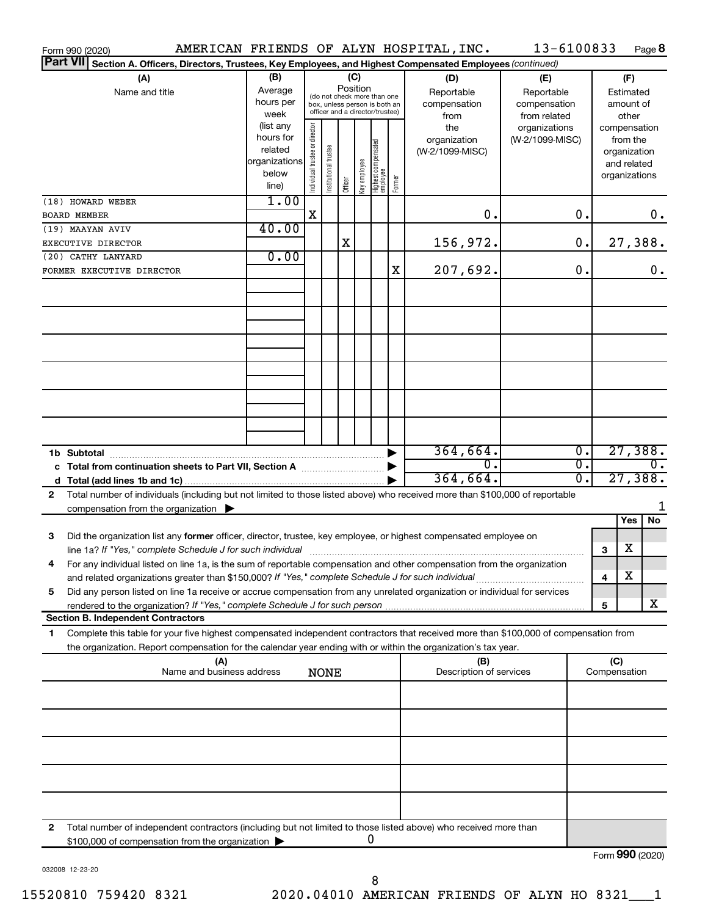| Form 990 (2020)                                                                                                                           |                        |                                |                       |          |              |                                                              |        | AMERICAN FRIENDS OF ALYN HOSPITAL, INC. | 13-6100833      |                                      |                     |             | Page 8           |
|-------------------------------------------------------------------------------------------------------------------------------------------|------------------------|--------------------------------|-----------------------|----------|--------------|--------------------------------------------------------------|--------|-----------------------------------------|-----------------|--------------------------------------|---------------------|-------------|------------------|
| <b>Part VII</b><br>Section A. Officers, Directors, Trustees, Key Employees, and Highest Compensated Employees (continued)                 |                        |                                |                       |          |              |                                                              |        |                                         |                 |                                      |                     |             |                  |
| (A)                                                                                                                                       | (B)                    |                                |                       | (C)      |              |                                                              |        | (D)                                     | (E)             |                                      |                     | (F)         |                  |
| Name and title                                                                                                                            | Average                |                                |                       | Position |              |                                                              |        | Reportable                              | Reportable      |                                      |                     | Estimated   |                  |
|                                                                                                                                           | hours per              |                                |                       |          |              | (do not check more than one<br>box, unless person is both an |        | compensation                            | compensation    | amount of                            |                     |             |                  |
|                                                                                                                                           | week                   |                                |                       |          |              | officer and a director/trustee)                              |        | from                                    | from related    |                                      |                     | other       |                  |
|                                                                                                                                           | (list any              |                                |                       |          |              |                                                              |        | the                                     | organizations   |                                      | compensation        |             |                  |
|                                                                                                                                           | hours for              |                                |                       |          |              |                                                              |        | organization                            | (W-2/1099-MISC) |                                      |                     | from the    |                  |
|                                                                                                                                           | related                |                                |                       |          |              |                                                              |        | (W-2/1099-MISC)                         |                 |                                      | organization        |             |                  |
|                                                                                                                                           | organizations<br>below |                                |                       |          |              |                                                              |        |                                         |                 |                                      |                     | and related |                  |
|                                                                                                                                           | line)                  | Individual trustee or director | Institutional trustee | Officer  | Key employee | Highest compensated<br>  employee                            | Former |                                         |                 |                                      | organizations       |             |                  |
|                                                                                                                                           | 1.00                   |                                |                       |          |              |                                                              |        |                                         |                 |                                      |                     |             |                  |
| (18) HOWARD WEBER                                                                                                                         |                        | x                              |                       |          |              |                                                              |        | 0.                                      |                 | 0.                                   |                     |             | 0.               |
| <b>BOARD MEMBER</b>                                                                                                                       | 40.00                  |                                |                       |          |              |                                                              |        |                                         |                 |                                      |                     |             |                  |
| (19) MAAYAN AVIV                                                                                                                          |                        |                                |                       | Χ        |              |                                                              |        | 156,972.                                |                 | 0.                                   |                     |             | 27,388.          |
| EXECUTIVE DIRECTOR                                                                                                                        | 0.00                   |                                |                       |          |              |                                                              |        |                                         |                 |                                      |                     |             |                  |
| (20) CATHY LANYARD                                                                                                                        |                        |                                |                       |          |              |                                                              |        |                                         |                 | 0.                                   |                     |             |                  |
| FORMER EXECUTIVE DIRECTOR                                                                                                                 |                        |                                |                       |          |              |                                                              | х      | 207,692.                                |                 |                                      |                     |             | 0.               |
|                                                                                                                                           |                        |                                |                       |          |              |                                                              |        |                                         |                 |                                      |                     |             |                  |
|                                                                                                                                           |                        |                                |                       |          |              |                                                              |        |                                         |                 |                                      |                     |             |                  |
|                                                                                                                                           |                        |                                |                       |          |              |                                                              |        |                                         |                 |                                      |                     |             |                  |
|                                                                                                                                           |                        |                                |                       |          |              |                                                              |        |                                         |                 |                                      |                     |             |                  |
|                                                                                                                                           |                        |                                |                       |          |              |                                                              |        |                                         |                 |                                      |                     |             |                  |
|                                                                                                                                           |                        |                                |                       |          |              |                                                              |        |                                         |                 |                                      |                     |             |                  |
|                                                                                                                                           |                        |                                |                       |          |              |                                                              |        |                                         |                 |                                      |                     |             |                  |
|                                                                                                                                           |                        |                                |                       |          |              |                                                              |        |                                         |                 |                                      |                     |             |                  |
|                                                                                                                                           |                        |                                |                       |          |              |                                                              |        |                                         |                 |                                      |                     |             |                  |
|                                                                                                                                           |                        |                                |                       |          |              |                                                              |        |                                         |                 |                                      |                     |             |                  |
|                                                                                                                                           |                        |                                |                       |          |              |                                                              |        |                                         |                 |                                      |                     |             |                  |
|                                                                                                                                           |                        |                                |                       |          |              |                                                              |        |                                         |                 |                                      |                     |             |                  |
|                                                                                                                                           |                        |                                |                       |          |              |                                                              |        | 364,664.<br>σ.                          |                 | $\overline{0}$ .<br>$\overline{0}$ . |                     |             | 27,388.          |
| c Total from continuation sheets to Part VII, Section A manus and the set of the Section A                                                |                        |                                |                       |          |              |                                                              |        |                                         |                 |                                      |                     |             | $\overline{0}$ . |
|                                                                                                                                           |                        |                                |                       |          |              |                                                              |        | 364,664.                                |                 | $\overline{0}$ .                     |                     |             | 27,388.          |
| Total number of individuals (including but not limited to those listed above) who received more than \$100,000 of reportable<br>2         |                        |                                |                       |          |              |                                                              |        |                                         |                 |                                      |                     |             |                  |
| compensation from the organization $\blacktriangleright$                                                                                  |                        |                                |                       |          |              |                                                              |        |                                         |                 |                                      |                     |             |                  |
|                                                                                                                                           |                        |                                |                       |          |              |                                                              |        |                                         |                 |                                      |                     | Yes         | No               |
| 3<br>Did the organization list any former officer, director, trustee, key employee, or highest compensated employee on                    |                        |                                |                       |          |              |                                                              |        |                                         |                 |                                      |                     |             |                  |
|                                                                                                                                           |                        |                                |                       |          |              |                                                              |        |                                         |                 |                                      | 3                   | х           |                  |
| For any individual listed on line 1a, is the sum of reportable compensation and other compensation from the organization                  |                        |                                |                       |          |              |                                                              |        |                                         |                 |                                      |                     |             |                  |
| and related organizations greater than \$150,000? If "Yes," complete Schedule J for such individual                                       |                        |                                |                       |          |              |                                                              |        |                                         |                 |                                      | 4                   | х           |                  |
| Did any person listed on line 1a receive or accrue compensation from any unrelated organization or individual for services<br>5           |                        |                                |                       |          |              |                                                              |        |                                         |                 |                                      |                     |             |                  |
|                                                                                                                                           |                        |                                |                       |          |              |                                                              |        |                                         |                 |                                      | 5                   |             | x                |
| <b>Section B. Independent Contractors</b>                                                                                                 |                        |                                |                       |          |              |                                                              |        |                                         |                 |                                      |                     |             |                  |
| Complete this table for your five highest compensated independent contractors that received more than \$100,000 of compensation from<br>1 |                        |                                |                       |          |              |                                                              |        |                                         |                 |                                      |                     |             |                  |
| the organization. Report compensation for the calendar year ending with or within the organization's tax year.                            |                        |                                |                       |          |              |                                                              |        |                                         |                 |                                      |                     |             |                  |
| (A)<br>Name and business address                                                                                                          |                        |                                |                       |          |              |                                                              |        | (B)<br>Description of services          |                 |                                      | (C)<br>Compensation |             |                  |
|                                                                                                                                           |                        |                                | <b>NONE</b>           |          |              |                                                              |        |                                         |                 |                                      |                     |             |                  |
|                                                                                                                                           |                        |                                |                       |          |              |                                                              |        |                                         |                 |                                      |                     |             |                  |
|                                                                                                                                           |                        |                                |                       |          |              |                                                              |        |                                         |                 |                                      |                     |             |                  |
|                                                                                                                                           |                        |                                |                       |          |              |                                                              |        |                                         |                 |                                      |                     |             |                  |
|                                                                                                                                           |                        |                                |                       |          |              |                                                              |        |                                         |                 |                                      |                     |             |                  |
|                                                                                                                                           |                        |                                |                       |          |              |                                                              |        |                                         |                 |                                      |                     |             |                  |
|                                                                                                                                           |                        |                                |                       |          |              |                                                              |        |                                         |                 |                                      |                     |             |                  |
|                                                                                                                                           |                        |                                |                       |          |              |                                                              |        |                                         |                 |                                      |                     |             |                  |
|                                                                                                                                           |                        |                                |                       |          |              |                                                              |        |                                         |                 |                                      |                     |             |                  |
|                                                                                                                                           |                        |                                |                       |          |              |                                                              |        |                                         |                 |                                      |                     |             |                  |
|                                                                                                                                           |                        |                                |                       |          |              |                                                              |        |                                         |                 |                                      |                     |             |                  |
| Total number of independent contractors (including but not limited to those listed above) who received more than<br>2                     |                        |                                |                       |          |              |                                                              |        |                                         |                 |                                      |                     |             |                  |
| \$100,000 of compensation from the organization                                                                                           |                        |                                |                       |          |              | 0                                                            |        |                                         |                 |                                      |                     |             |                  |
|                                                                                                                                           |                        |                                |                       |          |              |                                                              |        |                                         |                 |                                      | Form 990 (2020)     |             |                  |

032008 12-23-20

Form 990 (2020) **990**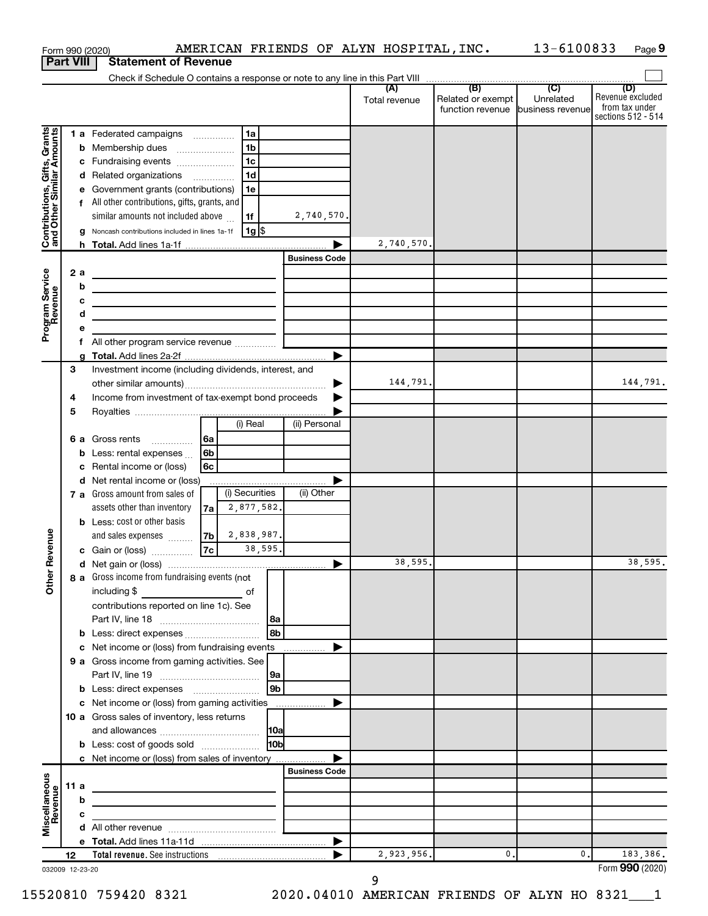|                                                           |      |        | Form 990 (2020)                                                            |                |                       |            |                      | AMERICAN FRIENDS OF ALYN HOSPITAL, INC. |                                                               | 13-6100833       | Page 9                                                          |
|-----------------------------------------------------------|------|--------|----------------------------------------------------------------------------|----------------|-----------------------|------------|----------------------|-----------------------------------------|---------------------------------------------------------------|------------------|-----------------------------------------------------------------|
| <b>Part VIII</b>                                          |      |        | <b>Statement of Revenue</b>                                                |                |                       |            |                      |                                         |                                                               |                  |                                                                 |
|                                                           |      |        |                                                                            |                |                       |            |                      |                                         |                                                               |                  |                                                                 |
|                                                           |      |        |                                                                            |                |                       |            |                      | (A)<br>Total revenue                    | (B)<br>Related or exempt<br>function revenue business revenue | (C)<br>Unrelated | (D)<br>Revenue excluded<br>from tax under<br>sections 512 - 514 |
|                                                           |      |        | 1 a Federated campaigns                                                    |                | 1a                    |            |                      |                                         |                                                               |                  |                                                                 |
| Contributions, Gifts, Grants<br>and Other Similar Amounts |      |        | <b>b</b> Membership dues                                                   |                | 1 <sub>b</sub>        |            |                      |                                         |                                                               |                  |                                                                 |
|                                                           |      |        | c Fundraising events                                                       |                | 1 <sub>c</sub>        |            |                      |                                         |                                                               |                  |                                                                 |
|                                                           |      |        | d Related organizations                                                    |                | 1 <sub>d</sub>        |            |                      |                                         |                                                               |                  |                                                                 |
|                                                           |      |        | e Government grants (contributions)                                        |                | 1e                    |            |                      |                                         |                                                               |                  |                                                                 |
|                                                           |      |        | f All other contributions, gifts, grants, and                              |                |                       |            |                      |                                         |                                                               |                  |                                                                 |
|                                                           |      |        | similar amounts not included above                                         |                | 1f                    |            | 2,740,570.           |                                         |                                                               |                  |                                                                 |
|                                                           |      |        | g Noncash contributions included in lines 1a-1f                            |                | 1g                    |            |                      |                                         |                                                               |                  |                                                                 |
|                                                           |      |        |                                                                            |                |                       |            |                      | 2,740,570.                              |                                                               |                  |                                                                 |
|                                                           |      |        |                                                                            |                |                       |            | <b>Business Code</b> |                                         |                                                               |                  |                                                                 |
|                                                           |      | 2a     | the control of the control of the control of the control of the control of |                |                       |            |                      |                                         |                                                               |                  |                                                                 |
|                                                           |      | b      | <u> 1989 - Andrea Andrew Maria (h. 1989).</u>                              |                |                       |            |                      |                                         |                                                               |                  |                                                                 |
|                                                           |      | c      | <u> 1989 - Johann Barbara, martxa alemaniar arg</u>                        |                |                       |            |                      |                                         |                                                               |                  |                                                                 |
| Program Service<br>Revenue                                |      | d      | the control of the control of the control of the control of the control of |                |                       |            |                      |                                         |                                                               |                  |                                                                 |
|                                                           |      | е      |                                                                            |                |                       |            |                      |                                         |                                                               |                  |                                                                 |
|                                                           |      | f<br>g |                                                                            |                |                       |            |                      |                                         |                                                               |                  |                                                                 |
|                                                           | 3    |        | Investment income (including dividends, interest, and                      |                |                       |            |                      |                                         |                                                               |                  |                                                                 |
|                                                           |      |        |                                                                            |                |                       |            | ▶                    | 144,791.                                |                                                               |                  | 144,791.                                                        |
|                                                           | 4    |        | Income from investment of tax-exempt bond proceeds                         |                |                       |            |                      |                                         |                                                               |                  |                                                                 |
|                                                           | 5    |        |                                                                            |                |                       |            |                      |                                         |                                                               |                  |                                                                 |
|                                                           |      |        |                                                                            |                | (i) Real              |            | (ii) Personal        |                                         |                                                               |                  |                                                                 |
|                                                           |      |        | 6 a Gross rents                                                            | 6a             |                       |            |                      |                                         |                                                               |                  |                                                                 |
|                                                           |      |        | <b>b</b> Less: rental expenses $\ldots$                                    | 6 <sub>b</sub> |                       |            |                      |                                         |                                                               |                  |                                                                 |
|                                                           |      | c      | Rental income or (loss)                                                    | 6c             |                       |            |                      |                                         |                                                               |                  |                                                                 |
|                                                           |      |        | d Net rental income or (loss)                                              |                |                       |            |                      |                                         |                                                               |                  |                                                                 |
|                                                           |      |        | 7 a Gross amount from sales of                                             |                | (i) Securities        |            | (ii) Other           |                                         |                                                               |                  |                                                                 |
|                                                           |      |        | assets other than inventory                                                | 7a             | 2,877,582.            |            |                      |                                         |                                                               |                  |                                                                 |
|                                                           |      |        | <b>b</b> Less: cost or other basis                                         |                |                       |            |                      |                                         |                                                               |                  |                                                                 |
| evenue                                                    |      |        | and sales expenses                                                         | 7bl<br>7c      | 2,838,987.<br>38,595. |            |                      |                                         |                                                               |                  |                                                                 |
| č                                                         |      |        | c Gain or (loss)                                                           |                |                       |            |                      | 38,595.                                 |                                                               |                  | 38,595.                                                         |
|                                                           |      |        | 8 a Gross income from fundraising events (not                              |                |                       |            |                      |                                         |                                                               |                  |                                                                 |
| Other                                                     |      |        | including \$                                                               |                |                       |            |                      |                                         |                                                               |                  |                                                                 |
|                                                           |      |        | contributions reported on line 1c). See                                    |                |                       |            |                      |                                         |                                                               |                  |                                                                 |
|                                                           |      |        |                                                                            |                |                       | l8a        |                      |                                         |                                                               |                  |                                                                 |
|                                                           |      |        |                                                                            |                |                       | l 8b       |                      |                                         |                                                               |                  |                                                                 |
|                                                           |      | c      | Net income or (loss) from fundraising events                               |                |                       |            | ▶                    |                                         |                                                               |                  |                                                                 |
|                                                           |      |        | 9 a Gross income from gaming activities. See                               |                |                       |            |                      |                                         |                                                               |                  |                                                                 |
|                                                           |      |        |                                                                            |                |                       | 9a         |                      |                                         |                                                               |                  |                                                                 |
|                                                           |      |        |                                                                            |                |                       | l 9b       |                      |                                         |                                                               |                  |                                                                 |
|                                                           |      |        | c Net income or (loss) from gaming activities                              |                |                       |            | ▶                    |                                         |                                                               |                  |                                                                 |
|                                                           |      |        | <b>10 a</b> Gross sales of inventory, less returns                         |                |                       |            |                      |                                         |                                                               |                  |                                                                 |
|                                                           |      |        | <b>b</b> Less: cost of goods sold                                          |                |                       | <b>HOb</b> |                      |                                         |                                                               |                  |                                                                 |
|                                                           |      |        | c Net income or (loss) from sales of inventory                             |                |                       |            |                      |                                         |                                                               |                  |                                                                 |
|                                                           |      |        |                                                                            |                |                       |            | <b>Business Code</b> |                                         |                                                               |                  |                                                                 |
| Miscellaneous<br>Revenue                                  | 11 a |        |                                                                            |                |                       |            |                      |                                         |                                                               |                  |                                                                 |
|                                                           |      | b      |                                                                            |                |                       |            |                      |                                         |                                                               |                  |                                                                 |
|                                                           |      | c      |                                                                            |                |                       |            |                      |                                         |                                                               |                  |                                                                 |
|                                                           |      |        |                                                                            |                |                       |            |                      |                                         |                                                               |                  |                                                                 |
|                                                           |      |        |                                                                            |                |                       |            | ▶                    |                                         |                                                               |                  |                                                                 |
|                                                           | 12   |        |                                                                            |                |                       |            |                      | 2,923,956.                              | $\mathbf 0$                                                   | 0.               | 183,386.                                                        |
| 032009 12-23-20                                           |      |        |                                                                            |                |                       |            |                      |                                         |                                                               |                  | Form 990 (2020)                                                 |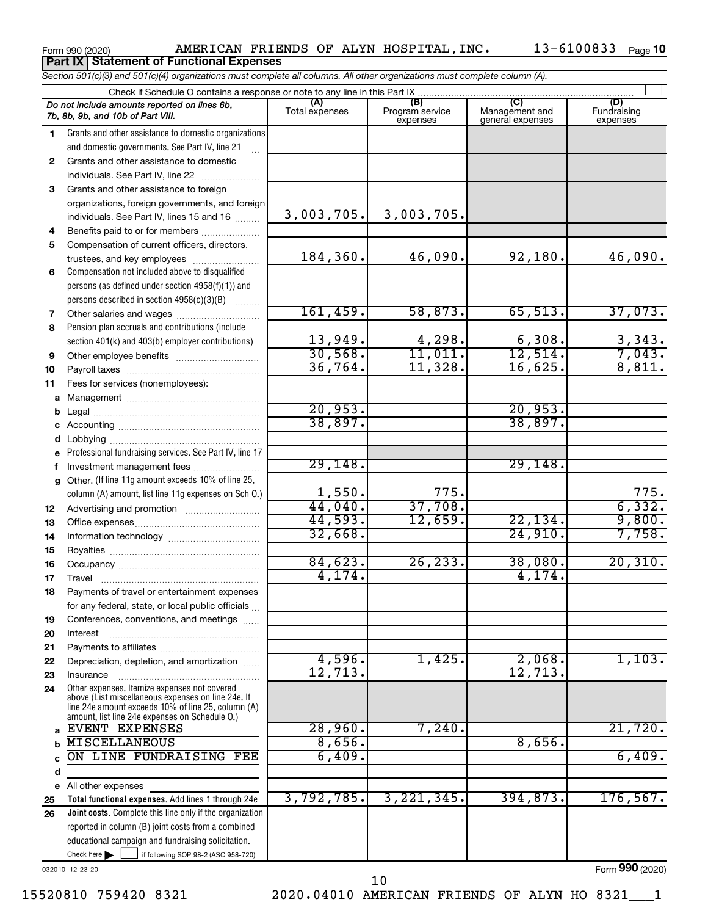| Form 990 (2020) | AMERICAN FRIENI                                 |  |
|-----------------|-------------------------------------------------|--|
|                 | <b>Part IX Statement of Functional Expenses</b> |  |

Form 990 (2020) AMERICAN FRIENDS OF ALYN HOSPITAL,INC. 13-6100833 <sub>Page</sub> 10

|              | Section 501(c)(3) and 501(c)(4) organizations must complete all columns. All other organizations must complete column (A).                                                                                 |                       |                                    |                                    |                                |
|--------------|------------------------------------------------------------------------------------------------------------------------------------------------------------------------------------------------------------|-----------------------|------------------------------------|------------------------------------|--------------------------------|
|              | Check if Schedule O contains a response or note to any line in this Part IX                                                                                                                                |                       |                                    | (C)                                |                                |
|              | Do not include amounts reported on lines 6b,<br>7b, 8b, 9b, and 10b of Part VIII.                                                                                                                          | (A)<br>Total expenses | (B)<br>Program service<br>expenses | Management and<br>general expenses | (D)<br>Fundraising<br>expenses |
| 1.           | Grants and other assistance to domestic organizations                                                                                                                                                      |                       |                                    |                                    |                                |
|              | and domestic governments. See Part IV, line 21                                                                                                                                                             |                       |                                    |                                    |                                |
| $\mathbf{2}$ | Grants and other assistance to domestic                                                                                                                                                                    |                       |                                    |                                    |                                |
|              | individuals. See Part IV, line 22                                                                                                                                                                          |                       |                                    |                                    |                                |
| 3            | Grants and other assistance to foreign                                                                                                                                                                     |                       |                                    |                                    |                                |
|              | organizations, foreign governments, and foreign                                                                                                                                                            |                       |                                    |                                    |                                |
|              | individuals. See Part IV, lines 15 and 16                                                                                                                                                                  | 3,003,705.            | 3,003,705.                         |                                    |                                |
| 4            | Benefits paid to or for members                                                                                                                                                                            |                       |                                    |                                    |                                |
| 5            | Compensation of current officers, directors,                                                                                                                                                               | 184,360.              | 46,090.                            |                                    |                                |
|              | trustees, and key employees                                                                                                                                                                                |                       |                                    | 92,180.                            | 46,090.                        |
| 6            | Compensation not included above to disqualified                                                                                                                                                            |                       |                                    |                                    |                                |
|              | persons (as defined under section 4958(f)(1)) and                                                                                                                                                          |                       |                                    |                                    |                                |
|              | persons described in section 4958(c)(3)(B)                                                                                                                                                                 | 161,459.              | 58,873.                            | 65,513.                            | 37,073.                        |
| 7<br>8       | Pension plan accruals and contributions (include                                                                                                                                                           |                       |                                    |                                    |                                |
|              |                                                                                                                                                                                                            | 13,949.               | 4,298.                             | 6,308.                             |                                |
| 9            | section 401(k) and 403(b) employer contributions)                                                                                                                                                          | 30,568.               | 11,011.                            | 12,514.                            | $\frac{3,343}{7,043}$          |
| 10           | Other employee benefits                                                                                                                                                                                    | 36,764.               | 11,328.                            | 16,625.                            | 8,811.                         |
| 11           | Fees for services (nonemployees):                                                                                                                                                                          |                       |                                    |                                    |                                |
|              |                                                                                                                                                                                                            |                       |                                    |                                    |                                |
| b            |                                                                                                                                                                                                            | 20,953.               |                                    | 20,953.                            |                                |
| с            |                                                                                                                                                                                                            | 38,897.               |                                    | 38,897.                            |                                |
| d            |                                                                                                                                                                                                            |                       |                                    |                                    |                                |
|              | Professional fundraising services. See Part IV, line 17                                                                                                                                                    |                       |                                    |                                    |                                |
| f            | Investment management fees                                                                                                                                                                                 | 29,148.               |                                    | 29,148                             |                                |
|              | g Other. (If line 11g amount exceeds 10% of line 25,                                                                                                                                                       |                       |                                    |                                    |                                |
|              | column (A) amount, list line 11g expenses on Sch O.)                                                                                                                                                       | 1,550.                | 775.                               |                                    | 775.                           |
| 12           |                                                                                                                                                                                                            | 44,040.               | 37,708.                            |                                    | 6,332.                         |
| 13           |                                                                                                                                                                                                            | 44,593.               | 12,659.                            | 22, 134.                           | 9,800.                         |
| 14           |                                                                                                                                                                                                            | 32,668.               |                                    | 24,910.                            | 7,758.                         |
| 15           |                                                                                                                                                                                                            |                       |                                    |                                    |                                |
| 16           |                                                                                                                                                                                                            | 84,623.               | 26, 233.                           | 38,080.                            | 20, 310.                       |
| 17           |                                                                                                                                                                                                            | 4,174.                |                                    | 4,174.                             |                                |
| 18           | Payments of travel or entertainment expenses                                                                                                                                                               |                       |                                    |                                    |                                |
|              | for any federal, state, or local public officials                                                                                                                                                          |                       |                                    |                                    |                                |
| 19           | Conferences, conventions, and meetings                                                                                                                                                                     |                       |                                    |                                    |                                |
| 20           | Interest                                                                                                                                                                                                   |                       |                                    |                                    |                                |
| 21           |                                                                                                                                                                                                            |                       | 1,425.                             |                                    |                                |
| 22           | Depreciation, depletion, and amortization                                                                                                                                                                  | 4,596.<br>12,713.     |                                    | 2,068.<br>12,713.                  | 1,103.                         |
| 23           | Insurance                                                                                                                                                                                                  |                       |                                    |                                    |                                |
| 24           | Other expenses. Itemize expenses not covered<br>above (List miscellaneous expenses on line 24e. If<br>line 24e amount exceeds 10% of line 25, column (A)<br>amount, list line 24e expenses on Schedule O.) |                       |                                    |                                    |                                |
| a            | EVENT EXPENSES                                                                                                                                                                                             | 28,960.               | 7,240.                             |                                    | 21,720.                        |
| b            | <b>MISCELLANEOUS</b>                                                                                                                                                                                       | 8,656.                |                                    | 8,656.                             |                                |
| C            | ON LINE FUNDRAISING FEE                                                                                                                                                                                    | 6,409.                |                                    |                                    | 6,409.                         |
| d            |                                                                                                                                                                                                            |                       |                                    |                                    |                                |
|              | e All other expenses                                                                                                                                                                                       |                       |                                    |                                    |                                |
| 25           | Total functional expenses. Add lines 1 through 24e                                                                                                                                                         | 3,792,785.            | 3, 221, 345.                       | 394,873.                           | 176, 567.                      |
| 26           | <b>Joint costs.</b> Complete this line only if the organization                                                                                                                                            |                       |                                    |                                    |                                |
|              | reported in column (B) joint costs from a combined                                                                                                                                                         |                       |                                    |                                    |                                |
|              | educational campaign and fundraising solicitation.                                                                                                                                                         |                       |                                    |                                    |                                |
|              | Check here $\blacktriangleright$<br>if following SOP 98-2 (ASC 958-720)                                                                                                                                    |                       |                                    |                                    |                                |

032010 12-23-20

Form (2020) **990**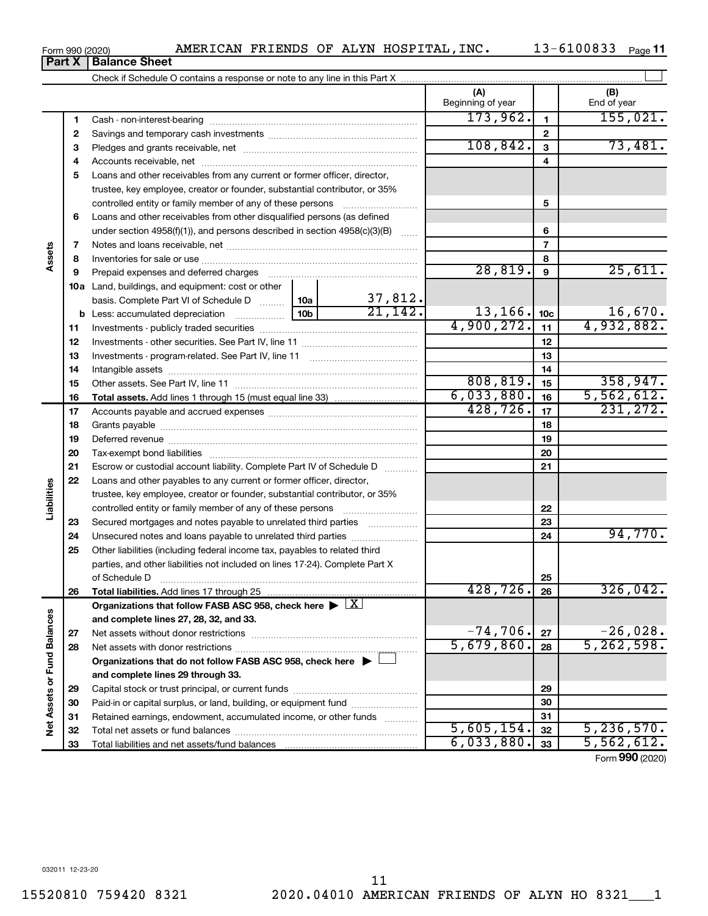|     |                                                                                                                                                         |                 |         | (A)<br>Beginning of year |                 | (B)<br>End of year    |
|-----|---------------------------------------------------------------------------------------------------------------------------------------------------------|-----------------|---------|--------------------------|-----------------|-----------------------|
| 1   | Cash - non-interest-bearing                                                                                                                             |                 |         | 173,962.                 |                 | $155,021$ .           |
| 2   |                                                                                                                                                         |                 |         |                          | 2               |                       |
| 3   |                                                                                                                                                         |                 |         | 108,842.                 | 3               | 73,481.               |
| 4   |                                                                                                                                                         |                 |         |                          | 4               |                       |
| 5   | Loans and other receivables from any current or former officer, director,<br>trustee, key employee, creator or founder, substantial contributor, or 35% |                 |         |                          |                 |                       |
|     | controlled entity or family member of any of these persons                                                                                              |                 |         | 5                        |                 |                       |
| 6   | Loans and other receivables from other disqualified persons (as defined                                                                                 |                 |         |                          |                 |                       |
|     | under section $4958(f)(1)$ , and persons described in section $4958(c)(3)(B)$                                                                           |                 |         |                          | 6               |                       |
| 7   |                                                                                                                                                         |                 |         |                          | 7               |                       |
| 8   |                                                                                                                                                         |                 |         |                          | 8               |                       |
| 9   | Prepaid expenses and deferred charges                                                                                                                   |                 |         | 28,819.                  | 9               | $25,61\overline{1}$ . |
| 10a | Land, buildings, and equipment: cost or other                                                                                                           |                 | 37,812. |                          |                 |                       |
|     | basis. Complete Part VI of Schedule D                                                                                                                   | 10a             | 21,142. | 13,166.                  |                 | 16,670.               |
|     | <b>b</b> Less: accumulated depreciation                                                                                                                 | 10 <sub>b</sub> |         |                          | 10 <sub>c</sub> |                       |

 Investments - publicly traded securities ~~~~~~~~~~~~~~~~~~~ Investments - other securities. See Part IV, line 11 ~~~~~~~~~~~~~~ Investments - program-related. See Part IV, line 11 ~~~~~~~~~~~~~ Intangible assets ~~~~~~~~~~~~~~~~~~~~~~~~~~~~~~ Other assets. See Part IV, line 11  $\ldots$   $\ldots$   $\ldots$   $\ldots$   $\ldots$   $\ldots$   $\ldots$   $\ldots$   $\ldots$   $\ldots$   $\ldots$   $\ldots$   $\ldots$   $\ldots$   $\ldots$   $\ldots$   $\ldots$   $\ldots$   $\ldots$   $\ldots$   $\ldots$   $\ldots$   $\ldots$   $\ldots$   $\ldots$   $\ldots$   $\ldots$   $\ldots$   $\ldots$   $\ldots$   $\$ 

**Total assets.**  Add lines 1 through 15 (must equal line 33)

Accounts payable and accrued expenses ~~~~~~~~~~~~~~~~~~ Grants payable ~~~~~~~~~~~~~~~~~~~~~~~~~~~~~~~ Deferred revenue ~~~~~~~~~~~~~~~~~~~~~~~~~~~~~~ Tax-exempt bond liabilities ~~~~~~~~~~~~~~~~~~~~~~~~~ Escrow or custodial account liability. Complete Part IV of Schedule D ...........

**Total liabilities.**  Add lines 17 through 25

Net assets without donor restrictions ~~~~~~~~~~~~~~~~~~~~ Net assets with donor restrictions ~~~~~~~~~~~~~~~~~~~~~~

Capital stock or trust principal, or current funds ~~~~~~~~~~~~~~~ Paid-in or capital surplus, or land, building, or equipment fund ....................... Retained earnings, endowment, accumulated income, or other funds ............ Total net assets or fund balances ~~~~~~~~~~~~~~~~~~~~~~

**Organizations that do not follow FASB ASC 958, check here** | †

Organizations that follow FASB ASC 958, check here  $\blacktriangleright \boxed{\text{X}}$ 

Loans and other payables to any current or former officer, director, trustee, key employee, creator or founder, substantial contributor, or 35% controlled entity or family member of any of these persons ~~~~~~~~~ Secured mortgages and notes payable to unrelated third parties  $\ldots$ ................. Unsecured notes and loans payable to unrelated third parties ................. Other liabilities (including federal income tax, payables to related third parties, and other liabilities not included on lines 17-24). Complete Part X of Schedule D ~~~~~~~~~~~~~~~~~~~~~~~~~~~~~~~

**and complete lines 27, 28, 32, and 33.**

**and complete lines 29 through 33.**

Total liabilities and net assets/fund balances

| Check if Schedule O contains a response or note to any line in this Part X |                   |  |
|----------------------------------------------------------------------------|-------------------|--|
|                                                                            | Beginning of year |  |
| $\sim$                                                                     |                   |  |

 $\perp$ 

4,900,272. 11 4,932,882.

808,819. 15 358,947.  $\overline{6,033,880.}$  16 5,562,612.  $\overline{428, 726.}$   $\overline{17}$   $\overline{231, 272.}$ 

> **22 23 24**

**25 26**

428,726. 326,042.

 $-74,706$ .  $27$   $-26,028$ .  $5,679,860.$  28  $5,262,598.$ 

**27 28**

 $5,605,154.$   $32$  5, 236, 570.  $6,033,880.$  33 5,562,612.

Form (2020) **990**

94,770.

**Part X** | **Balance Sheet** 

**Assets**

**23 24 25**

**Liabilities**

**26**

**27 28**

**Net Assets or Fund Balances**

Net Assets or Fund Balances

032011 12-23-20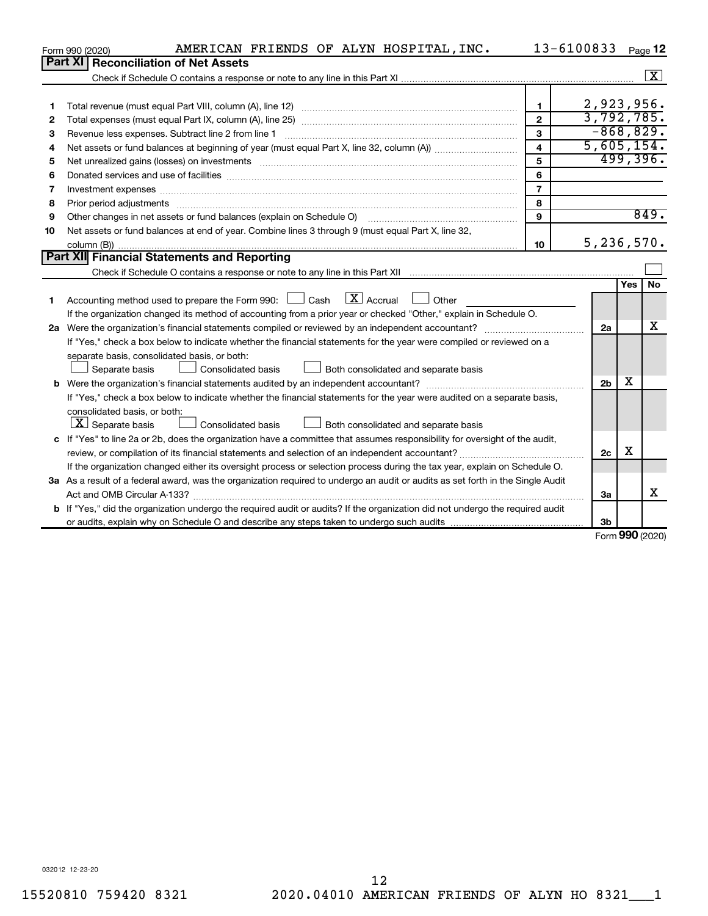|    | AMERICAN FRIENDS OF ALYN HOSPITAL, INC.<br>Form 990 (2020)                                                                      |                         | 13-6100833     |     | Page 12            |
|----|---------------------------------------------------------------------------------------------------------------------------------|-------------------------|----------------|-----|--------------------|
|    | Part XI   Reconciliation of Net Assets                                                                                          |                         |                |     |                    |
|    |                                                                                                                                 |                         |                |     | $\boxed{\text{X}}$ |
|    |                                                                                                                                 |                         |                |     |                    |
| 1  |                                                                                                                                 | $\mathbf{1}$            | 2,923,956.     |     |                    |
| 2  |                                                                                                                                 | $\mathbf{2}$            | 3,792,785.     |     |                    |
| з  |                                                                                                                                 | 3                       | $-868, 829.$   |     |                    |
| 4  |                                                                                                                                 | $\overline{\mathbf{4}}$ | 5,605,154.     |     |                    |
| 5  |                                                                                                                                 | 5                       |                |     | 499,396.           |
| 6  |                                                                                                                                 | 6                       |                |     |                    |
| 7  | Investment expenses www.communication.com/www.communication.com/www.communication.com/www.com                                   | $\overline{7}$          |                |     |                    |
| 8  |                                                                                                                                 | 8                       |                |     |                    |
| 9  |                                                                                                                                 | 9                       |                |     | 849.               |
| 10 | Net assets or fund balances at end of year. Combine lines 3 through 9 (must equal Part X, line 32,                              |                         |                |     |                    |
|    |                                                                                                                                 | 10                      | 5,236,570.     |     |                    |
|    | <b>Part XII</b> Financial Statements and Reporting                                                                              |                         |                |     |                    |
|    |                                                                                                                                 |                         |                |     |                    |
|    |                                                                                                                                 |                         |                | Yes | <b>No</b>          |
| 1  | Accounting method used to prepare the Form 990: $\Box$ Cash $\Box X$ Accrual<br><b>Other</b>                                    |                         |                |     |                    |
|    | If the organization changed its method of accounting from a prior year or checked "Other," explain in Schedule O.               |                         |                |     |                    |
|    |                                                                                                                                 |                         | 2a             |     | x                  |
|    | If "Yes," check a box below to indicate whether the financial statements for the year were compiled or reviewed on a            |                         |                |     |                    |
|    | separate basis, consolidated basis, or both:                                                                                    |                         |                |     |                    |
|    | Both consolidated and separate basis<br>Separate basis<br>Consolidated basis                                                    |                         |                |     |                    |
|    |                                                                                                                                 |                         | 2 <sub>b</sub> | X   |                    |
|    | If "Yes," check a box below to indicate whether the financial statements for the year were audited on a separate basis,         |                         |                |     |                    |
|    | consolidated basis, or both:                                                                                                    |                         |                |     |                    |
|    | $\lfloor x \rfloor$ Separate basis<br><b>Consolidated basis</b><br>Both consolidated and separate basis                         |                         |                |     |                    |
|    | c If "Yes" to line 2a or 2b, does the organization have a committee that assumes responsibility for oversight of the audit,     |                         |                |     |                    |
|    | review, or compilation of its financial statements and selection of an independent accountant?                                  |                         | 2c             | х   |                    |
|    | If the organization changed either its oversight process or selection process during the tax year, explain on Schedule O.       |                         |                |     |                    |
|    | 3a As a result of a federal award, was the organization required to undergo an audit or audits as set forth in the Single Audit |                         |                |     |                    |
|    |                                                                                                                                 |                         | За             |     | X                  |
| b  | If "Yes," did the organization undergo the required audit or audits? If the organization did not undergo the required audit     |                         |                |     |                    |
|    |                                                                                                                                 |                         | 3b             |     |                    |

Form (2020) **990**

032012 12-23-20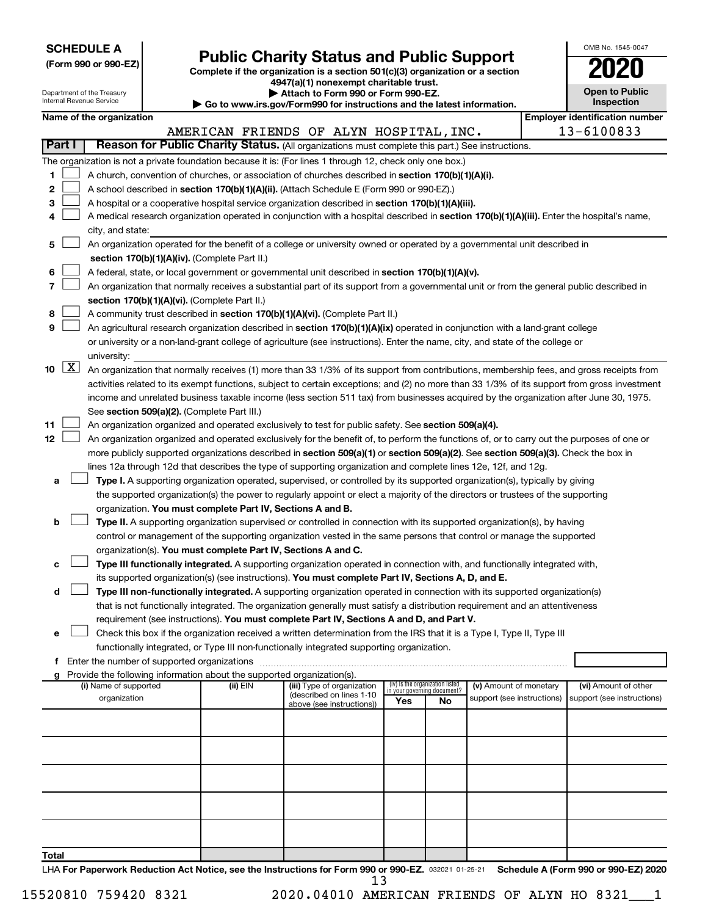| <b>SCHEDULE A</b> |  |
|-------------------|--|
|-------------------|--|

# Form 990 or 990-EZ) **Public Charity Status and Public Support**<br>
Complete if the organization is a section 501(c)(3) organization or a section<br> **2020**

**4947(a)(1) nonexempt charitable trust.**

| OMB No. 1545-0047                   |
|-------------------------------------|
| 2020                                |
| <b>Open to Public</b><br>Inenaction |

l

|               |                     | Department of the Treasury<br>Internal Revenue Service |                                                                        | Attach to Form 990 or Form 990-EZ.<br>$\blacktriangleright$ Go to www.irs.gov/Form990 for instructions and the latest information.                                                                                                                             |     |                                 |                                                      | <b>Open to Public</b><br>Inspection                |  |
|---------------|---------------------|--------------------------------------------------------|------------------------------------------------------------------------|----------------------------------------------------------------------------------------------------------------------------------------------------------------------------------------------------------------------------------------------------------------|-----|---------------------------------|------------------------------------------------------|----------------------------------------------------|--|
|               |                     | Name of the organization                               |                                                                        |                                                                                                                                                                                                                                                                |     |                                 |                                                      | <b>Employer identification number</b>              |  |
|               |                     |                                                        |                                                                        | AMERICAN FRIENDS OF ALYN HOSPITAL, INC.                                                                                                                                                                                                                        |     |                                 |                                                      | 13-6100833                                         |  |
| <b>Part I</b> |                     |                                                        |                                                                        | Reason for Public Charity Status. (All organizations must complete this part.) See instructions.                                                                                                                                                               |     |                                 |                                                      |                                                    |  |
|               |                     |                                                        |                                                                        | The organization is not a private foundation because it is: (For lines 1 through 12, check only one box.)                                                                                                                                                      |     |                                 |                                                      |                                                    |  |
| 1             |                     |                                                        |                                                                        | A church, convention of churches, or association of churches described in section 170(b)(1)(A)(i).                                                                                                                                                             |     |                                 |                                                      |                                                    |  |
| 2             |                     |                                                        |                                                                        | A school described in section 170(b)(1)(A)(ii). (Attach Schedule E (Form 990 or 990-EZ).)                                                                                                                                                                      |     |                                 |                                                      |                                                    |  |
| 3             |                     |                                                        |                                                                        | A hospital or a cooperative hospital service organization described in section 170(b)(1)(A)(iii).                                                                                                                                                              |     |                                 |                                                      |                                                    |  |
| 4             |                     |                                                        |                                                                        | A medical research organization operated in conjunction with a hospital described in section 170(b)(1)(A)(iii). Enter the hospital's name,                                                                                                                     |     |                                 |                                                      |                                                    |  |
|               |                     | city, and state:                                       |                                                                        |                                                                                                                                                                                                                                                                |     |                                 |                                                      |                                                    |  |
| 5             |                     |                                                        |                                                                        | An organization operated for the benefit of a college or university owned or operated by a governmental unit described in                                                                                                                                      |     |                                 |                                                      |                                                    |  |
|               |                     |                                                        | section 170(b)(1)(A)(iv). (Complete Part II.)                          |                                                                                                                                                                                                                                                                |     |                                 |                                                      |                                                    |  |
| 6             |                     |                                                        |                                                                        | A federal, state, or local government or governmental unit described in section 170(b)(1)(A)(v).                                                                                                                                                               |     |                                 |                                                      |                                                    |  |
| 7             |                     |                                                        |                                                                        | An organization that normally receives a substantial part of its support from a governmental unit or from the general public described in                                                                                                                      |     |                                 |                                                      |                                                    |  |
|               |                     |                                                        | section 170(b)(1)(A)(vi). (Complete Part II.)                          |                                                                                                                                                                                                                                                                |     |                                 |                                                      |                                                    |  |
| 8             |                     |                                                        |                                                                        | A community trust described in section 170(b)(1)(A)(vi). (Complete Part II.)                                                                                                                                                                                   |     |                                 |                                                      |                                                    |  |
| 9             |                     |                                                        |                                                                        | An agricultural research organization described in section 170(b)(1)(A)(ix) operated in conjunction with a land-grant college                                                                                                                                  |     |                                 |                                                      |                                                    |  |
|               |                     |                                                        |                                                                        | or university or a non-land-grant college of agriculture (see instructions). Enter the name, city, and state of the college or                                                                                                                                 |     |                                 |                                                      |                                                    |  |
|               |                     | university:                                            |                                                                        |                                                                                                                                                                                                                                                                |     |                                 |                                                      |                                                    |  |
| 10            | $\lfloor x \rfloor$ |                                                        |                                                                        | An organization that normally receives (1) more than 33 1/3% of its support from contributions, membership fees, and gross receipts from                                                                                                                       |     |                                 |                                                      |                                                    |  |
|               |                     |                                                        |                                                                        | activities related to its exempt functions, subject to certain exceptions; and (2) no more than 33 1/3% of its support from gross investment                                                                                                                   |     |                                 |                                                      |                                                    |  |
|               |                     |                                                        |                                                                        | income and unrelated business taxable income (less section 511 tax) from businesses acquired by the organization after June 30, 1975.                                                                                                                          |     |                                 |                                                      |                                                    |  |
|               |                     |                                                        | See section 509(a)(2). (Complete Part III.)                            |                                                                                                                                                                                                                                                                |     |                                 |                                                      |                                                    |  |
| 11            |                     |                                                        |                                                                        | An organization organized and operated exclusively to test for public safety. See section 509(a)(4).                                                                                                                                                           |     |                                 |                                                      |                                                    |  |
| 12            |                     |                                                        |                                                                        | An organization organized and operated exclusively for the benefit of, to perform the functions of, or to carry out the purposes of one or                                                                                                                     |     |                                 |                                                      |                                                    |  |
|               |                     |                                                        |                                                                        | more publicly supported organizations described in section 509(a)(1) or section 509(a)(2). See section 509(a)(3). Check the box in                                                                                                                             |     |                                 |                                                      |                                                    |  |
|               |                     |                                                        |                                                                        | lines 12a through 12d that describes the type of supporting organization and complete lines 12e, 12f, and 12g.                                                                                                                                                 |     |                                 |                                                      |                                                    |  |
| а             |                     |                                                        |                                                                        | Type I. A supporting organization operated, supervised, or controlled by its supported organization(s), typically by giving<br>the supported organization(s) the power to regularly appoint or elect a majority of the directors or trustees of the supporting |     |                                 |                                                      |                                                    |  |
|               |                     |                                                        | organization. You must complete Part IV, Sections A and B.             |                                                                                                                                                                                                                                                                |     |                                 |                                                      |                                                    |  |
| b             |                     |                                                        |                                                                        | Type II. A supporting organization supervised or controlled in connection with its supported organization(s), by having                                                                                                                                        |     |                                 |                                                      |                                                    |  |
|               |                     |                                                        |                                                                        | control or management of the supporting organization vested in the same persons that control or manage the supported                                                                                                                                           |     |                                 |                                                      |                                                    |  |
|               |                     |                                                        | organization(s). You must complete Part IV, Sections A and C.          |                                                                                                                                                                                                                                                                |     |                                 |                                                      |                                                    |  |
| с             |                     |                                                        |                                                                        | Type III functionally integrated. A supporting organization operated in connection with, and functionally integrated with,                                                                                                                                     |     |                                 |                                                      |                                                    |  |
|               |                     |                                                        |                                                                        | its supported organization(s) (see instructions). You must complete Part IV, Sections A, D, and E.                                                                                                                                                             |     |                                 |                                                      |                                                    |  |
| d             |                     |                                                        |                                                                        | Type III non-functionally integrated. A supporting organization operated in connection with its supported organization(s)                                                                                                                                      |     |                                 |                                                      |                                                    |  |
|               |                     |                                                        |                                                                        | that is not functionally integrated. The organization generally must satisfy a distribution requirement and an attentiveness                                                                                                                                   |     |                                 |                                                      |                                                    |  |
|               |                     |                                                        |                                                                        | requirement (see instructions). You must complete Part IV, Sections A and D, and Part V.                                                                                                                                                                       |     |                                 |                                                      |                                                    |  |
| е             |                     |                                                        |                                                                        | Check this box if the organization received a written determination from the IRS that it is a Type I, Type II, Type III                                                                                                                                        |     |                                 |                                                      |                                                    |  |
|               |                     |                                                        |                                                                        | functionally integrated, or Type III non-functionally integrated supporting organization.                                                                                                                                                                      |     |                                 |                                                      |                                                    |  |
|               |                     |                                                        |                                                                        |                                                                                                                                                                                                                                                                |     |                                 |                                                      |                                                    |  |
|               |                     |                                                        | Provide the following information about the supported organization(s). |                                                                                                                                                                                                                                                                |     | (iv) Is the organization listed |                                                      |                                                    |  |
|               |                     | (i) Name of supported<br>organization                  | (ii) EIN                                                               | (iii) Type of organization<br>(described on lines 1-10                                                                                                                                                                                                         |     | in your governing document?     | (v) Amount of monetary<br>support (see instructions) | (vi) Amount of other<br>support (see instructions) |  |
|               |                     |                                                        |                                                                        | above (see instructions))                                                                                                                                                                                                                                      | Yes | No                              |                                                      |                                                    |  |
|               |                     |                                                        |                                                                        |                                                                                                                                                                                                                                                                |     |                                 |                                                      |                                                    |  |
|               |                     |                                                        |                                                                        |                                                                                                                                                                                                                                                                |     |                                 |                                                      |                                                    |  |
|               |                     |                                                        |                                                                        |                                                                                                                                                                                                                                                                |     |                                 |                                                      |                                                    |  |
|               |                     |                                                        |                                                                        |                                                                                                                                                                                                                                                                |     |                                 |                                                      |                                                    |  |
|               |                     |                                                        |                                                                        |                                                                                                                                                                                                                                                                |     |                                 |                                                      |                                                    |  |
|               |                     |                                                        |                                                                        |                                                                                                                                                                                                                                                                |     |                                 |                                                      |                                                    |  |
|               |                     |                                                        |                                                                        |                                                                                                                                                                                                                                                                |     |                                 |                                                      |                                                    |  |
|               |                     |                                                        |                                                                        |                                                                                                                                                                                                                                                                |     |                                 |                                                      |                                                    |  |
|               |                     |                                                        |                                                                        |                                                                                                                                                                                                                                                                |     |                                 |                                                      |                                                    |  |
| Total         |                     |                                                        |                                                                        |                                                                                                                                                                                                                                                                |     |                                 |                                                      |                                                    |  |

LHA For Paperwork Reduction Act Notice, see the Instructions for Form 990 or 990-EZ. 032021 01-25-21 Schedule A (Form 990 or 990-EZ) 2020 13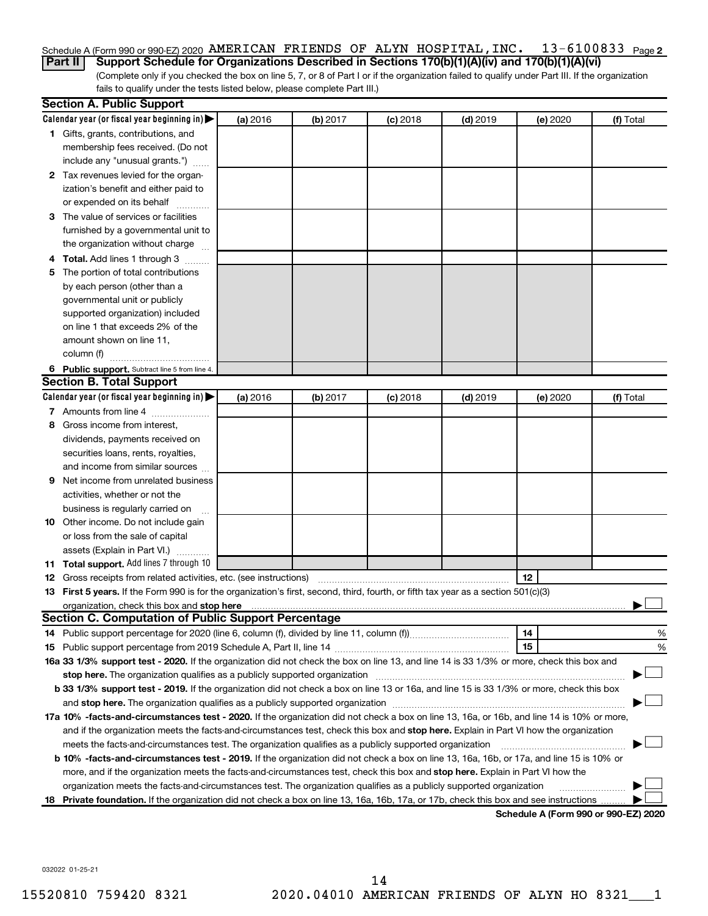#### 13-6100833 Page 2 Schedule A (Form 990 or 990-EZ) 2020  $\,$  AMERICAN FRIENDS OF ALYN <code>HOSPITAL</code> , <code>INC</code> .  $\,$  <code>13–6100833</code>  $\,$  <code>Page</code>

(Complete only if you checked the box on line 5, 7, or 8 of Part I or if the organization failed to qualify under Part III. If the organization fails to qualify under the tests listed below, please complete Part III.) **Part II Support Schedule for Organizations Described in Sections 170(b)(1)(A)(iv) and 170(b)(1)(A)(vi)**

|    | <b>Section A. Public Support</b>                                                                                                               |          |          |            |            |                                             |           |
|----|------------------------------------------------------------------------------------------------------------------------------------------------|----------|----------|------------|------------|---------------------------------------------|-----------|
|    | Calendar year (or fiscal year beginning in) $\blacktriangleright$                                                                              | (a) 2016 | (b) 2017 | $(c)$ 2018 | $(d)$ 2019 | (e) 2020                                    | (f) Total |
|    | 1 Gifts, grants, contributions, and                                                                                                            |          |          |            |            |                                             |           |
|    | membership fees received. (Do not                                                                                                              |          |          |            |            |                                             |           |
|    | include any "unusual grants.")                                                                                                                 |          |          |            |            |                                             |           |
|    | 2 Tax revenues levied for the organ-                                                                                                           |          |          |            |            |                                             |           |
|    | ization's benefit and either paid to                                                                                                           |          |          |            |            |                                             |           |
|    | or expended on its behalf                                                                                                                      |          |          |            |            |                                             |           |
|    | 3 The value of services or facilities                                                                                                          |          |          |            |            |                                             |           |
|    | furnished by a governmental unit to                                                                                                            |          |          |            |            |                                             |           |
|    | the organization without charge                                                                                                                |          |          |            |            |                                             |           |
|    | Total. Add lines 1 through 3                                                                                                                   |          |          |            |            |                                             |           |
| 5  | The portion of total contributions                                                                                                             |          |          |            |            |                                             |           |
|    | by each person (other than a                                                                                                                   |          |          |            |            |                                             |           |
|    | governmental unit or publicly                                                                                                                  |          |          |            |            |                                             |           |
|    | supported organization) included                                                                                                               |          |          |            |            |                                             |           |
|    | on line 1 that exceeds 2% of the                                                                                                               |          |          |            |            |                                             |           |
|    | amount shown on line 11,                                                                                                                       |          |          |            |            |                                             |           |
|    | column (f)                                                                                                                                     |          |          |            |            |                                             |           |
|    | 6 Public support. Subtract line 5 from line 4.                                                                                                 |          |          |            |            |                                             |           |
|    | <b>Section B. Total Support</b>                                                                                                                |          |          |            |            |                                             |           |
|    | Calendar year (or fiscal year beginning in) $\blacktriangleright$                                                                              | (a) 2016 | (b) 2017 | $(c)$ 2018 | $(d)$ 2019 | (e) 2020                                    | (f) Total |
|    | 7 Amounts from line 4                                                                                                                          |          |          |            |            |                                             |           |
| 8  | Gross income from interest,                                                                                                                    |          |          |            |            |                                             |           |
|    | dividends, payments received on                                                                                                                |          |          |            |            |                                             |           |
|    | securities loans, rents, royalties,                                                                                                            |          |          |            |            |                                             |           |
|    | and income from similar sources                                                                                                                |          |          |            |            |                                             |           |
| 9  | Net income from unrelated business                                                                                                             |          |          |            |            |                                             |           |
|    | activities, whether or not the                                                                                                                 |          |          |            |            |                                             |           |
|    | business is regularly carried on                                                                                                               |          |          |            |            |                                             |           |
|    | 10 Other income. Do not include gain                                                                                                           |          |          |            |            |                                             |           |
|    | or loss from the sale of capital                                                                                                               |          |          |            |            |                                             |           |
|    | assets (Explain in Part VI.)                                                                                                                   |          |          |            |            |                                             |           |
|    | 11 Total support. Add lines 7 through 10                                                                                                       |          |          |            |            |                                             |           |
|    | 12 Gross receipts from related activities, etc. (see instructions)                                                                             |          |          |            |            | 12                                          |           |
|    | 13 First 5 years. If the Form 990 is for the organization's first, second, third, fourth, or fifth tax year as a section 501(c)(3)             |          |          |            |            |                                             |           |
|    | organization, check this box and stop here                                                                                                     |          |          |            |            |                                             |           |
|    | Section C. Computation of Public Support Percentage                                                                                            |          |          |            |            |                                             |           |
|    | 14 Public support percentage for 2020 (line 6, column (f), divided by line 11, column (f)                                                      |          |          |            |            | 14                                          | %         |
|    |                                                                                                                                                |          |          |            |            | 15                                          | %         |
|    | 16a 33 1/3% support test - 2020. If the organization did not check the box on line 13, and line 14 is 33 1/3% or more, check this box and      |          |          |            |            |                                             |           |
|    | stop here. The organization qualifies as a publicly supported organization                                                                     |          |          |            |            |                                             |           |
|    | b 33 1/3% support test - 2019. If the organization did not check a box on line 13 or 16a, and line 15 is 33 1/3% or more, check this box       |          |          |            |            |                                             |           |
|    |                                                                                                                                                |          |          |            |            |                                             |           |
|    | 17a 10% -facts-and-circumstances test - 2020. If the organization did not check a box on line 13, 16a, or 16b, and line 14 is 10% or more,     |          |          |            |            |                                             |           |
|    | and if the organization meets the facts-and-circumstances test, check this box and stop here. Explain in Part VI how the organization          |          |          |            |            |                                             |           |
|    | meets the facts-and-circumstances test. The organization qualifies as a publicly supported organization                                        |          |          |            |            |                                             |           |
|    | <b>b 10%</b> -facts-and-circumstances test - 2019. If the organization did not check a box on line 13, 16a, 16b, or 17a, and line 15 is 10% or |          |          |            |            |                                             |           |
|    | more, and if the organization meets the facts-and-circumstances test, check this box and stop here. Explain in Part VI how the                 |          |          |            |            |                                             |           |
|    | organization meets the facts-and-circumstances test. The organization qualifies as a publicly supported organization                           |          |          |            |            |                                             |           |
| 18 | Private foundation. If the organization did not check a box on line 13, 16a, 16b, 17a, or 17b, check this box and see instructions             |          |          |            |            |                                             |           |
|    |                                                                                                                                                |          |          |            |            | <b>Cabadula A (Faum 000 av 000 EZ) 0000</b> |           |

**Schedule A (Form 990 or 990-EZ) 2020**

032022 01-25-21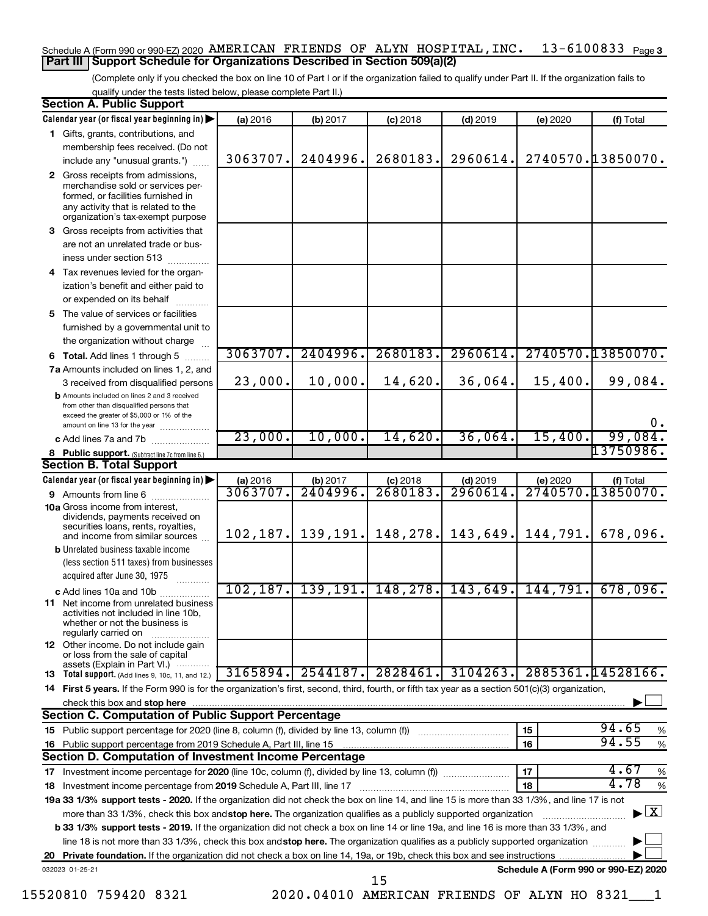# Schedule A (Form 990 or 990-EZ) 2020  $\,$  <code>AMERICAN FRIENDS OF ALYN HOSPITAL</code> , <code>INC</code> .  $\,$  <code>13–6100833</code>  $\,$  <code>Page 3</code> **Part III Support Schedule for Organizations Described in Section 509(a)(2)**

(Complete only if you checked the box on line 10 of Part I or if the organization failed to qualify under Part II. If the organization fails to qualify under the tests listed below, please complete Part II.)

| <b>Section A. Public Support</b>                                                                                                                                                         |           |           |            |            |          |                                          |
|------------------------------------------------------------------------------------------------------------------------------------------------------------------------------------------|-----------|-----------|------------|------------|----------|------------------------------------------|
| Calendar year (or fiscal year beginning in)                                                                                                                                              | (a) 2016  | (b) 2017  | $(c)$ 2018 | $(d)$ 2019 | (e) 2020 | (f) Total                                |
| 1 Gifts, grants, contributions, and                                                                                                                                                      |           |           |            |            |          |                                          |
| membership fees received. (Do not                                                                                                                                                        |           |           |            |            |          |                                          |
| include any "unusual grants.")                                                                                                                                                           | 3063707.  | 2404996.  | 2680183.   | 2960614.   |          | 2740570.13850070.                        |
| 2 Gross receipts from admissions,<br>merchandise sold or services per-<br>formed, or facilities furnished in<br>any activity that is related to the<br>organization's tax-exempt purpose |           |           |            |            |          |                                          |
| 3 Gross receipts from activities that                                                                                                                                                    |           |           |            |            |          |                                          |
| are not an unrelated trade or bus-<br>iness under section 513                                                                                                                            |           |           |            |            |          |                                          |
| 4 Tax revenues levied for the organ-                                                                                                                                                     |           |           |            |            |          |                                          |
| ization's benefit and either paid to                                                                                                                                                     |           |           |            |            |          |                                          |
| or expended on its behalf                                                                                                                                                                |           |           |            |            |          |                                          |
| 5 The value of services or facilities                                                                                                                                                    |           |           |            |            |          |                                          |
| furnished by a governmental unit to                                                                                                                                                      |           |           |            |            |          |                                          |
| the organization without charge                                                                                                                                                          |           |           |            |            |          |                                          |
| <b>6 Total.</b> Add lines 1 through 5                                                                                                                                                    | 3063707.  | 2404996.  | 2680183.   | 2960614.   |          | 2740570.13850070.                        |
| 7a Amounts included on lines 1, 2, and                                                                                                                                                   |           |           |            |            |          |                                          |
| 3 received from disqualified persons                                                                                                                                                     | 23,000.   | 10,000.   | 14,620.    | 36,064.    | 15,400.  | 99,084.                                  |
| <b>b</b> Amounts included on lines 2 and 3 received<br>from other than disqualified persons that<br>exceed the greater of \$5,000 or 1% of the<br>amount on line 13 for the year         |           |           |            |            |          | 0.                                       |
| c Add lines 7a and 7b                                                                                                                                                                    | 23,000.   | 10,000.   | 14,620.    | 36,064.    | 15,400.  | 99,084.                                  |
| 8 Public support. (Subtract line 7c from line 6.)                                                                                                                                        |           |           |            |            |          | 13750986.                                |
| <b>Section B. Total Support</b>                                                                                                                                                          |           |           |            |            |          |                                          |
| Calendar year (or fiscal year beginning in)                                                                                                                                              | (a) 2016  | (b) 2017  | $(c)$ 2018 | $(d)$ 2019 | (e) 2020 | (f) Total                                |
| 9 Amounts from line 6                                                                                                                                                                    | 3063707.  | 2404996   | 2680183    | 2960614    |          | 2740570.13850070.                        |
| <b>10a</b> Gross income from interest,<br>dividends, payments received on<br>securities loans, rents, royalties,<br>and income from similar sources                                      | 102, 187. | 139,191.  | 148,278.   | 143,649.   | 144,791. | 678,096.                                 |
| <b>b</b> Unrelated business taxable income                                                                                                                                               |           |           |            |            |          |                                          |
| (less section 511 taxes) from businesses                                                                                                                                                 |           |           |            |            |          |                                          |
| acquired after June 30, 1975                                                                                                                                                             |           |           |            |            |          |                                          |
| c Add lines 10a and 10b                                                                                                                                                                  | 102, 187. | 139, 191. | 148, 278.  | 143,649.   | 144,791. | 678,096.                                 |
| <b>11</b> Net income from unrelated business<br>activities not included in line 10b,<br>whether or not the business is<br>regularly carried on                                           |           |           |            |            |          |                                          |
| 12 Other income. Do not include gain<br>or loss from the sale of capital                                                                                                                 |           |           |            |            |          |                                          |
| assets (Explain in Part VI.)<br><b>13</b> Total support. (Add lines 9, 10c, 11, and 12.)                                                                                                 | 3165894.  | 2544187.  | 2828461.   | 3104263.   |          | 2885361.14528166.                        |
| 14 First 5 years. If the Form 990 is for the organization's first, second, third, fourth, or fifth tax year as a section 501(c)(3) organization,                                         |           |           |            |            |          |                                          |
| check this box and stop here                                                                                                                                                             |           |           |            |            |          |                                          |
| <b>Section C. Computation of Public Support Percentage</b>                                                                                                                               |           |           |            |            |          |                                          |
|                                                                                                                                                                                          |           |           |            |            | 15       | 94.65<br>%                               |
| 16 Public support percentage from 2019 Schedule A, Part III, line 15                                                                                                                     |           |           |            |            | 16       | 94.55<br>$\%$                            |
| Section D. Computation of Investment Income Percentage                                                                                                                                   |           |           |            |            |          |                                          |
|                                                                                                                                                                                          |           |           |            |            | 17       | 4.67<br>%                                |
| 18 Investment income percentage from 2019 Schedule A, Part III, line 17                                                                                                                  |           |           |            |            | 18       | 4.78<br>%                                |
| 19a 33 1/3% support tests - 2020. If the organization did not check the box on line 14, and line 15 is more than 33 1/3%, and line 17 is not                                             |           |           |            |            |          |                                          |
| more than 33 1/3%, check this box and stop here. The organization qualifies as a publicly supported organization                                                                         |           |           |            |            |          | $\blacktriangleright$ $\boxed{\text{X}}$ |
| b 33 1/3% support tests - 2019. If the organization did not check a box on line 14 or line 19a, and line 16 is more than 33 1/3%, and                                                    |           |           |            |            |          |                                          |
| line 18 is not more than 33 1/3%, check this box and stop here. The organization qualifies as a publicly supported organization                                                          |           |           |            |            |          |                                          |
|                                                                                                                                                                                          |           |           |            |            |          |                                          |
| 032023 01-25-21                                                                                                                                                                          |           |           | 15         |            |          | Schedule A (Form 990 or 990-EZ) 2020     |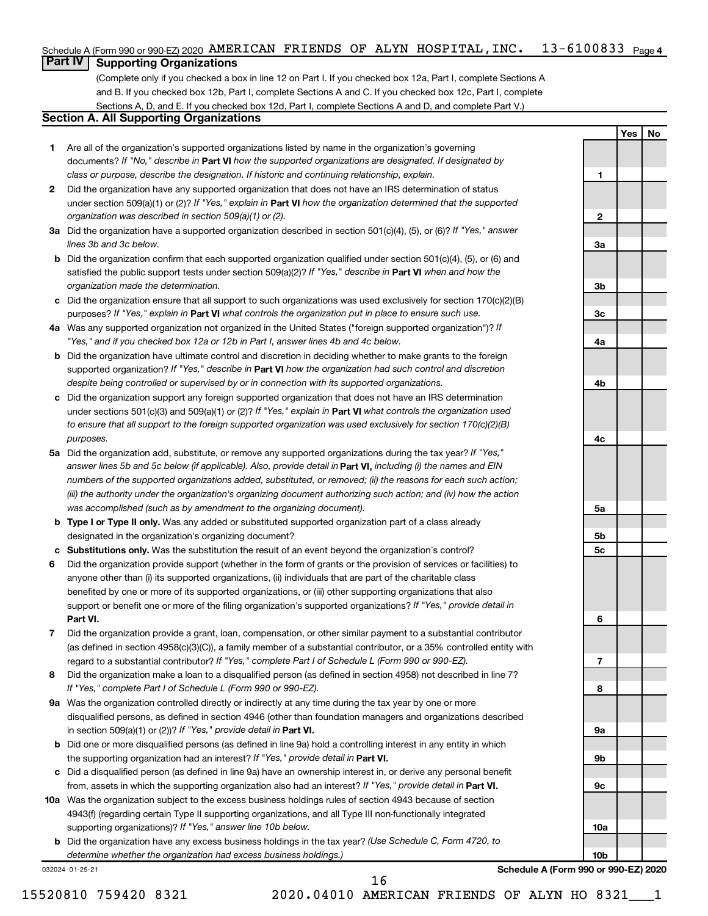#### 13-6100833 <sub>Page 4</sub> Schedule A (Form 990 or 990-EZ) 2020  $\,$  AMERICAN FRIENDS OF ALYN <code>HOSPITAL</code> , <code>INC</code> .  $\,$  <code>13–6100833</code>  $\,$  <code>Page</code>

# **Part IV Supporting Organizations**

(Complete only if you checked a box in line 12 on Part I. If you checked box 12a, Part I, complete Sections A and B. If you checked box 12b, Part I, complete Sections A and C. If you checked box 12c, Part I, complete Sections A, D, and E. If you checked box 12d, Part I, complete Sections A and D, and complete Part V.)

# **Section A. All Supporting Organizations**

- **1** Are all of the organization's supported organizations listed by name in the organization's governing documents? If "No," describe in Part VI how the supported organizations are designated. If designated by *class or purpose, describe the designation. If historic and continuing relationship, explain.*
- **2** Did the organization have any supported organization that does not have an IRS determination of status under section 509(a)(1) or (2)? If "Yes," explain in Part **VI** how the organization determined that the supported *organization was described in section 509(a)(1) or (2).*
- **3a** Did the organization have a supported organization described in section 501(c)(4), (5), or (6)? If "Yes," answer *lines 3b and 3c below.*
- **b** Did the organization confirm that each supported organization qualified under section 501(c)(4), (5), or (6) and satisfied the public support tests under section 509(a)(2)? If "Yes," describe in Part VI when and how the *organization made the determination.*
- **c** Did the organization ensure that all support to such organizations was used exclusively for section 170(c)(2)(B) purposes? If "Yes," explain in Part VI what controls the organization put in place to ensure such use.
- **4 a** *If* Was any supported organization not organized in the United States ("foreign supported organization")? *"Yes," and if you checked box 12a or 12b in Part I, answer lines 4b and 4c below.*
- **b** Did the organization have ultimate control and discretion in deciding whether to make grants to the foreign supported organization? If "Yes," describe in Part VI how the organization had such control and discretion *despite being controlled or supervised by or in connection with its supported organizations.*
- **c** Did the organization support any foreign supported organization that does not have an IRS determination under sections 501(c)(3) and 509(a)(1) or (2)? If "Yes," explain in Part VI what controls the organization used *to ensure that all support to the foreign supported organization was used exclusively for section 170(c)(2)(B) purposes.*
- **5a** Did the organization add, substitute, or remove any supported organizations during the tax year? If "Yes," answer lines 5b and 5c below (if applicable). Also, provide detail in **Part VI,** including (i) the names and EIN *numbers of the supported organizations added, substituted, or removed; (ii) the reasons for each such action; (iii) the authority under the organization's organizing document authorizing such action; and (iv) how the action was accomplished (such as by amendment to the organizing document).*
- **b** Type I or Type II only. Was any added or substituted supported organization part of a class already designated in the organization's organizing document?
- **c Substitutions only.**  Was the substitution the result of an event beyond the organization's control?
- **6** Did the organization provide support (whether in the form of grants or the provision of services or facilities) to **Part VI.** support or benefit one or more of the filing organization's supported organizations? If "Yes," provide detail in anyone other than (i) its supported organizations, (ii) individuals that are part of the charitable class benefited by one or more of its supported organizations, or (iii) other supporting organizations that also
- **7** Did the organization provide a grant, loan, compensation, or other similar payment to a substantial contributor regard to a substantial contributor? If "Yes," complete Part I of Schedule L (Form 990 or 990-EZ). (as defined in section 4958(c)(3)(C)), a family member of a substantial contributor, or a 35% controlled entity with
- **8** Did the organization make a loan to a disqualified person (as defined in section 4958) not described in line 7? *If "Yes," complete Part I of Schedule L (Form 990 or 990-EZ).*
- **9 a** Was the organization controlled directly or indirectly at any time during the tax year by one or more in section 509(a)(1) or (2))? If "Yes," provide detail in **Part VI.** disqualified persons, as defined in section 4946 (other than foundation managers and organizations described
- **b** Did one or more disqualified persons (as defined in line 9a) hold a controlling interest in any entity in which the supporting organization had an interest? If "Yes," provide detail in Part VI.
- **c** Did a disqualified person (as defined in line 9a) have an ownership interest in, or derive any personal benefit from, assets in which the supporting organization also had an interest? If "Yes," provide detail in Part VI.
- **10 a** Was the organization subject to the excess business holdings rules of section 4943 because of section supporting organizations)? If "Yes," answer line 10b below. 4943(f) (regarding certain Type II supporting organizations, and all Type III non-functionally integrated
	- **b** Did the organization have any excess business holdings in the tax year? (Use Schedule C, Form 4720, to *determine whether the organization had excess business holdings.)*

032024 01-25-21

**Schedule A (Form 990 or 990-EZ) 2020**

**Yes No**

**1**

**2**

**3a**

**3b**

**3c**

**4a**

**4b**

**4c**

**5a**

**5b 5c**

**6**

**7**

**8**

**9a**

**9b**

**9c**

**10a**

**10b**

15520810 759420 8321 2020.04010 AMERICAN FRIENDS OF ALYN HO 8321\_\_\_1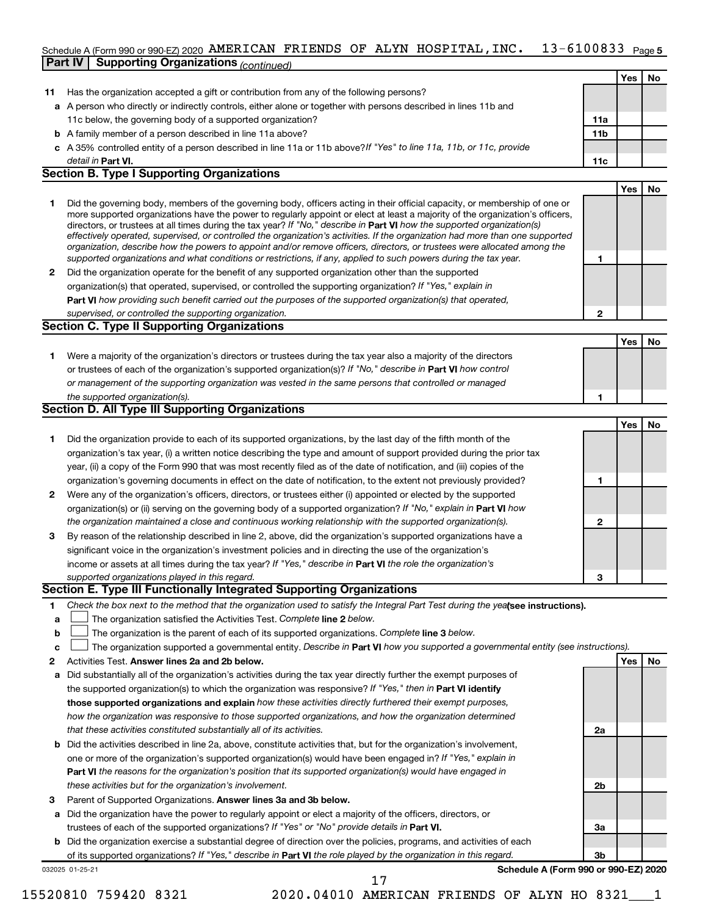#### 13-6100833 Page 5 Schedule A (Form 990 or 990-EZ) 2020  $\,$  AMERICAN FRIENDS OF ALYN <code>HOSPITAL</code> , <code>INC</code> .  $\,$  <code>13–6100833</code>  $\,$  <code>Page</code>

|    | <b>Part IV   Supporting Organizations (continued)</b>                                                                                                                                                                                                       |                 |     |    |
|----|-------------------------------------------------------------------------------------------------------------------------------------------------------------------------------------------------------------------------------------------------------------|-----------------|-----|----|
|    |                                                                                                                                                                                                                                                             |                 | Yes | No |
| 11 | Has the organization accepted a gift or contribution from any of the following persons?                                                                                                                                                                     |                 |     |    |
|    | a A person who directly or indirectly controls, either alone or together with persons described in lines 11b and                                                                                                                                            |                 |     |    |
|    | 11c below, the governing body of a supported organization?                                                                                                                                                                                                  | 11a             |     |    |
|    | <b>b</b> A family member of a person described in line 11a above?                                                                                                                                                                                           | 11 <sub>b</sub> |     |    |
|    | c A 35% controlled entity of a person described in line 11a or 11b above?If "Yes" to line 11a, 11b, or 11c, provide                                                                                                                                         |                 |     |    |
|    | detail in Part VI.                                                                                                                                                                                                                                          | 11c             |     |    |
|    | <b>Section B. Type I Supporting Organizations</b>                                                                                                                                                                                                           |                 |     |    |
|    |                                                                                                                                                                                                                                                             |                 | Yes | No |
|    |                                                                                                                                                                                                                                                             |                 |     |    |
| 1  | Did the governing body, members of the governing body, officers acting in their official capacity, or membership of one or<br>more supported organizations have the power to regularly appoint or elect at least a majority of the organization's officers, |                 |     |    |
|    | directors, or trustees at all times during the tax year? If "No," describe in Part VI how the supported organization(s)                                                                                                                                     |                 |     |    |
|    | effectively operated, supervised, or controlled the organization's activities. If the organization had more than one supported                                                                                                                              |                 |     |    |
|    | organization, describe how the powers to appoint and/or remove officers, directors, or trustees were allocated among the                                                                                                                                    |                 |     |    |
|    | supported organizations and what conditions or restrictions, if any, applied to such powers during the tax year.                                                                                                                                            | 1               |     |    |
| 2  | Did the organization operate for the benefit of any supported organization other than the supported                                                                                                                                                         |                 |     |    |
|    | organization(s) that operated, supervised, or controlled the supporting organization? If "Yes," explain in                                                                                                                                                  |                 |     |    |
|    | Part VI how providing such benefit carried out the purposes of the supported organization(s) that operated,                                                                                                                                                 |                 |     |    |
|    | supervised, or controlled the supporting organization.                                                                                                                                                                                                      | $\mathbf{2}$    |     |    |
|    | <b>Section C. Type II Supporting Organizations</b>                                                                                                                                                                                                          |                 |     |    |
|    |                                                                                                                                                                                                                                                             |                 | Yes | No |
| 1. | Were a majority of the organization's directors or trustees during the tax year also a majority of the directors                                                                                                                                            |                 |     |    |
|    | or trustees of each of the organization's supported organization(s)? If "No," describe in <b>Part VI</b> how control                                                                                                                                        |                 |     |    |
|    | or management of the supporting organization was vested in the same persons that controlled or managed                                                                                                                                                      |                 |     |    |
|    | the supported organization(s).                                                                                                                                                                                                                              | 1               |     |    |
|    | Section D. All Type III Supporting Organizations                                                                                                                                                                                                            |                 |     |    |
|    |                                                                                                                                                                                                                                                             |                 | Yes | No |
| 1  | Did the organization provide to each of its supported organizations, by the last day of the fifth month of the                                                                                                                                              |                 |     |    |
|    | organization's tax year, (i) a written notice describing the type and amount of support provided during the prior tax                                                                                                                                       |                 |     |    |
|    | year, (ii) a copy of the Form 990 that was most recently filed as of the date of notification, and (iii) copies of the                                                                                                                                      |                 |     |    |
|    | organization's governing documents in effect on the date of notification, to the extent not previously provided?                                                                                                                                            | 1               |     |    |
| 2  | Were any of the organization's officers, directors, or trustees either (i) appointed or elected by the supported                                                                                                                                            |                 |     |    |
|    | organization(s) or (ii) serving on the governing body of a supported organization? If "No," explain in Part VI how                                                                                                                                          |                 |     |    |
|    | the organization maintained a close and continuous working relationship with the supported organization(s).                                                                                                                                                 | 2               |     |    |
| 3  | By reason of the relationship described in line 2, above, did the organization's supported organizations have a                                                                                                                                             |                 |     |    |
|    | significant voice in the organization's investment policies and in directing the use of the organization's                                                                                                                                                  |                 |     |    |
|    | income or assets at all times during the tax year? If "Yes," describe in Part VI the role the organization's                                                                                                                                                |                 |     |    |
|    | supported organizations played in this regard.                                                                                                                                                                                                              |                 |     |    |
|    | Section E. Type III Functionally Integrated Supporting Organizations                                                                                                                                                                                        |                 |     |    |
| 1. | Check the box next to the method that the organization used to satisfy the Integral Part Test during the yealsee instructions).                                                                                                                             |                 |     |    |
| a  | The organization satisfied the Activities Test. Complete line 2 below.                                                                                                                                                                                      |                 |     |    |
| b  | The organization is the parent of each of its supported organizations. Complete line 3 below.                                                                                                                                                               |                 |     |    |
| c  | The organization supported a governmental entity. Describe in Part VI how you supported a governmental entity (see instructions).                                                                                                                           |                 |     |    |
|    | Activities Test. Answer lines 2a and 2b below.                                                                                                                                                                                                              |                 |     |    |
| 2  |                                                                                                                                                                                                                                                             |                 | Yes | No |
| а  | Did substantially all of the organization's activities during the tax year directly further the exempt purposes of                                                                                                                                          |                 |     |    |
|    | the supported organization(s) to which the organization was responsive? If "Yes," then in Part VI identify                                                                                                                                                  |                 |     |    |
|    | those supported organizations and explain how these activities directly furthered their exempt purposes,                                                                                                                                                    |                 |     |    |
|    | how the organization was responsive to those supported organizations, and how the organization determined                                                                                                                                                   |                 |     |    |

- **b** Did the activities described in line 2a, above, constitute activities that, but for the organization's involvement, **Part VI**  *the reasons for the organization's position that its supported organization(s) would have engaged in that these activities constituted substantially all of its activities.* one or more of the organization's supported organization(s) would have been engaged in? If "Yes," explain in *these activities but for the organization's involvement.*
- 3 Parent of Supported Organizations. Answer lines 3a and 3b below.
- **a** Did the organization have the power to regularly appoint or elect a majority of the officers, directors, or trustees of each of the supported organizations? If "Yes" or "No" provide details in Part VI.
- **b** Did the organization exercise a substantial degree of direction over the policies, programs, and activities of each of its supported organizations? If "Yes," describe in Part VI the role played by the organization in this regard.

032025 01-25-21

**Schedule A (Form 990 or 990-EZ) 2020**

**2a**

**2b**

**3a**

**3b**

15520810 759420 8321 2020.04010 AMERICAN FRIENDS OF ALYN HO 8321\_\_\_1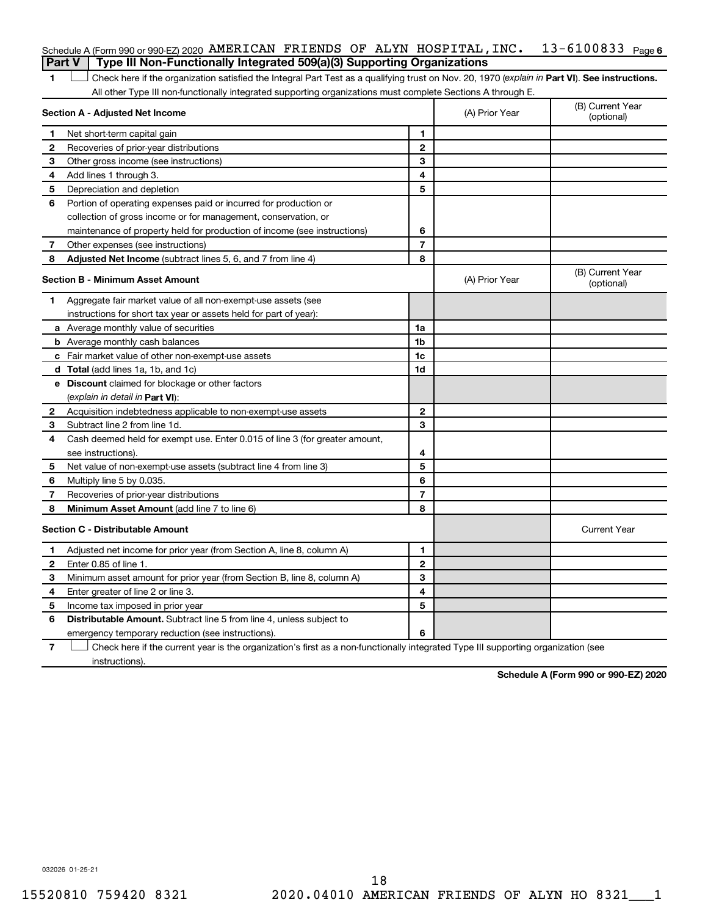| Schedule A (Form 990 or 990-EZ) 2020 AMERICAN FRIENDS OF ALYN HOSPITAL, INC. $13-6100833$ Page 6<br><b>Part V</b> Type III Non-Functionally Integrated 509(a)(3) Supporting Organizations |  |  |  |
|-------------------------------------------------------------------------------------------------------------------------------------------------------------------------------------------|--|--|--|
|                                                                                                                                                                                           |  |  |  |

1 **Letter See instructions.** Check here if the organization satisfied the Integral Part Test as a qualifying trust on Nov. 20, 1970 (*explain in* Part **VI**). See instructions. All other Type III non-functionally integrated supporting organizations must complete Sections A through E.

|    | Section A - Adjusted Net Income                                                                                                   |                | (A) Prior Year | (B) Current Year<br>(optional) |
|----|-----------------------------------------------------------------------------------------------------------------------------------|----------------|----------------|--------------------------------|
| 1  | Net short-term capital gain                                                                                                       | 1              |                |                                |
| 2  | Recoveries of prior-year distributions                                                                                            | $\mathbf{2}$   |                |                                |
| З  | Other gross income (see instructions)                                                                                             | 3              |                |                                |
| 4  | Add lines 1 through 3.                                                                                                            | 4              |                |                                |
| 5  | Depreciation and depletion                                                                                                        | 5              |                |                                |
| 6  | Portion of operating expenses paid or incurred for production or                                                                  |                |                |                                |
|    | collection of gross income or for management, conservation, or                                                                    |                |                |                                |
|    | maintenance of property held for production of income (see instructions)                                                          | 6              |                |                                |
| 7  | Other expenses (see instructions)                                                                                                 | $\overline{7}$ |                |                                |
| 8  | Adjusted Net Income (subtract lines 5, 6, and 7 from line 4)                                                                      | 8              |                |                                |
|    | Section B - Minimum Asset Amount                                                                                                  |                | (A) Prior Year | (B) Current Year<br>(optional) |
| 1. | Aggregate fair market value of all non-exempt-use assets (see                                                                     |                |                |                                |
|    | instructions for short tax year or assets held for part of year):                                                                 |                |                |                                |
|    | <b>a</b> Average monthly value of securities                                                                                      | 1a             |                |                                |
|    | <b>b</b> Average monthly cash balances                                                                                            | 1b             |                |                                |
|    | c Fair market value of other non-exempt-use assets                                                                                | 1c             |                |                                |
|    | d Total (add lines 1a, 1b, and 1c)                                                                                                | 1d             |                |                                |
|    | e Discount claimed for blockage or other factors                                                                                  |                |                |                                |
|    | (explain in detail in Part VI):                                                                                                   |                |                |                                |
| 2  | Acquisition indebtedness applicable to non-exempt-use assets                                                                      | $\mathbf{2}$   |                |                                |
| З  | Subtract line 2 from line 1d.                                                                                                     | 3              |                |                                |
| 4  | Cash deemed held for exempt use. Enter 0.015 of line 3 (for greater amount,                                                       |                |                |                                |
|    | see instructions).                                                                                                                | 4              |                |                                |
| 5  | Net value of non-exempt-use assets (subtract line 4 from line 3)                                                                  | 5              |                |                                |
| 6  | Multiply line 5 by 0.035.                                                                                                         | 6              |                |                                |
| 7  | Recoveries of prior-year distributions                                                                                            | $\overline{7}$ |                |                                |
| 8  | Minimum Asset Amount (add line 7 to line 6)                                                                                       | 8              |                |                                |
|    | <b>Section C - Distributable Amount</b>                                                                                           |                |                | <b>Current Year</b>            |
| 1  | Adjusted net income for prior year (from Section A, line 8, column A)                                                             | 1              |                |                                |
| 2  | Enter 0.85 of line 1.                                                                                                             | $\mathbf{2}$   |                |                                |
| 3  | Minimum asset amount for prior year (from Section B, line 8, column A)                                                            | 3              |                |                                |
| 4  | Enter greater of line 2 or line 3.                                                                                                | 4              |                |                                |
| 5  | Income tax imposed in prior year                                                                                                  | 5              |                |                                |
| 6  | <b>Distributable Amount.</b> Subtract line 5 from line 4, unless subject to                                                       |                |                |                                |
|    | emergency temporary reduction (see instructions).                                                                                 | 6              |                |                                |
| 7  | Check here if the current year is the organization's first as a non-functionally integrated Type III supporting organization (see |                |                |                                |

instructions).

**Schedule A (Form 990 or 990-EZ) 2020**

032026 01-25-21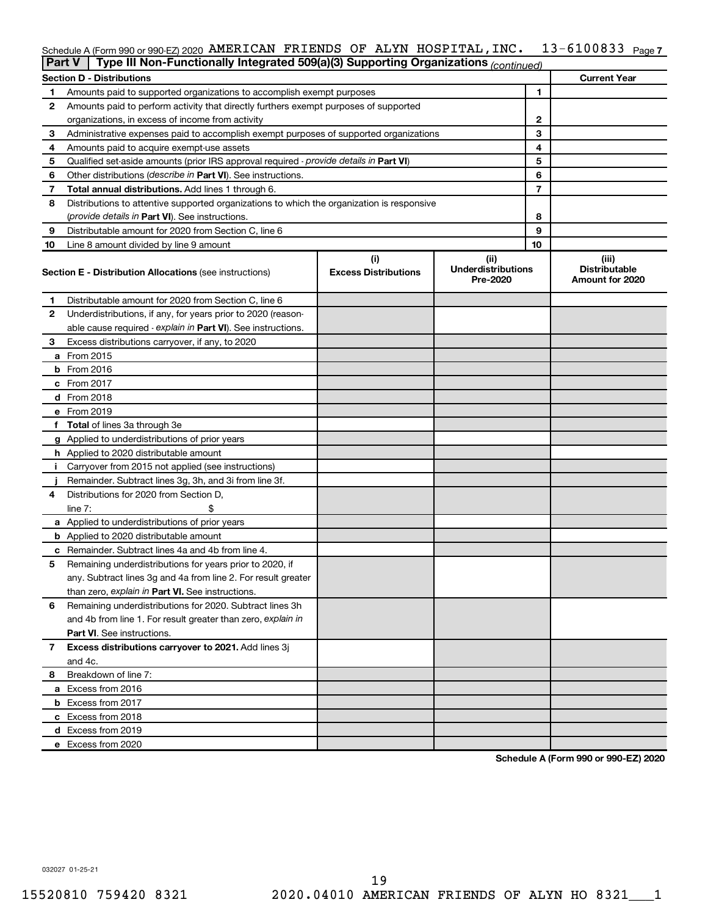# Schedule A (Form 990 or 990-EZ) 2020 AMERICAN FRIENDS OF ALYN HOSPITAL , INC .  $13\texttt{-}6100833$  Page 7

| Part V | Type III Non-Functionally Integrated 509(a)(3) Supporting Organizations (continued)        |                                    |                                               |    |                                                  |
|--------|--------------------------------------------------------------------------------------------|------------------------------------|-----------------------------------------------|----|--------------------------------------------------|
|        | <b>Section D - Distributions</b>                                                           |                                    |                                               |    | <b>Current Year</b>                              |
| 1      | Amounts paid to supported organizations to accomplish exempt purposes                      |                                    |                                               | 1  |                                                  |
| 2      | Amounts paid to perform activity that directly furthers exempt purposes of supported       |                                    |                                               |    |                                                  |
|        | organizations, in excess of income from activity                                           |                                    |                                               | 2  |                                                  |
| 3      | Administrative expenses paid to accomplish exempt purposes of supported organizations      |                                    |                                               | 3  |                                                  |
| 4      | Amounts paid to acquire exempt-use assets                                                  |                                    |                                               | 4  |                                                  |
| 5      | Qualified set-aside amounts (prior IRS approval required - provide details in Part VI)     |                                    |                                               | 5  |                                                  |
| 6      | Other distributions (describe in Part VI). See instructions.                               |                                    |                                               | 6  |                                                  |
| 7      | Total annual distributions. Add lines 1 through 6.                                         |                                    |                                               | 7  |                                                  |
| 8      | Distributions to attentive supported organizations to which the organization is responsive |                                    |                                               |    |                                                  |
|        | ( <i>provide details in Part VI</i> ). See instructions.                                   |                                    |                                               | 8  |                                                  |
| 9      | Distributable amount for 2020 from Section C, line 6                                       |                                    |                                               | 9  |                                                  |
| 10     | Line 8 amount divided by line 9 amount                                                     |                                    |                                               | 10 |                                                  |
|        | <b>Section E - Distribution Allocations (see instructions)</b>                             | (i)<br><b>Excess Distributions</b> | (ii)<br><b>Underdistributions</b><br>Pre-2020 |    | (iii)<br><b>Distributable</b><br>Amount for 2020 |
| 1      | Distributable amount for 2020 from Section C, line 6                                       |                                    |                                               |    |                                                  |
| 2      | Underdistributions, if any, for years prior to 2020 (reason-                               |                                    |                                               |    |                                                  |
|        | able cause required - explain in Part VI). See instructions.                               |                                    |                                               |    |                                                  |
| З      | Excess distributions carryover, if any, to 2020                                            |                                    |                                               |    |                                                  |
|        | a From 2015                                                                                |                                    |                                               |    |                                                  |
|        | $b$ From 2016                                                                              |                                    |                                               |    |                                                  |
|        | c From 2017                                                                                |                                    |                                               |    |                                                  |
|        | <b>d</b> From 2018                                                                         |                                    |                                               |    |                                                  |
|        | e From 2019                                                                                |                                    |                                               |    |                                                  |
|        | f Total of lines 3a through 3e                                                             |                                    |                                               |    |                                                  |
|        | g Applied to underdistributions of prior years                                             |                                    |                                               |    |                                                  |
|        | <b>h</b> Applied to 2020 distributable amount                                              |                                    |                                               |    |                                                  |
| Ť.     | Carryover from 2015 not applied (see instructions)                                         |                                    |                                               |    |                                                  |
|        | Remainder. Subtract lines 3g, 3h, and 3i from line 3f.                                     |                                    |                                               |    |                                                  |
| 4      | Distributions for 2020 from Section D,                                                     |                                    |                                               |    |                                                  |
|        | line $7:$                                                                                  |                                    |                                               |    |                                                  |
|        | a Applied to underdistributions of prior years                                             |                                    |                                               |    |                                                  |
|        | <b>b</b> Applied to 2020 distributable amount                                              |                                    |                                               |    |                                                  |
|        | c Remainder. Subtract lines 4a and 4b from line 4.                                         |                                    |                                               |    |                                                  |
| 5      | Remaining underdistributions for years prior to 2020, if                                   |                                    |                                               |    |                                                  |
|        | any. Subtract lines 3g and 4a from line 2. For result greater                              |                                    |                                               |    |                                                  |
|        | than zero, explain in Part VI. See instructions.                                           |                                    |                                               |    |                                                  |
| 6      | Remaining underdistributions for 2020. Subtract lines 3h                                   |                                    |                                               |    |                                                  |
|        | and 4b from line 1. For result greater than zero, explain in                               |                                    |                                               |    |                                                  |
|        | <b>Part VI.</b> See instructions.                                                          |                                    |                                               |    |                                                  |
| 7      | Excess distributions carryover to 2021. Add lines 3j                                       |                                    |                                               |    |                                                  |
|        | and 4c.                                                                                    |                                    |                                               |    |                                                  |
| 8      | Breakdown of line 7:                                                                       |                                    |                                               |    |                                                  |
|        | a Excess from 2016                                                                         |                                    |                                               |    |                                                  |
|        | <b>b</b> Excess from 2017                                                                  |                                    |                                               |    |                                                  |
|        | c Excess from 2018                                                                         |                                    |                                               |    |                                                  |
|        | d Excess from 2019                                                                         |                                    |                                               |    |                                                  |
|        | e Excess from 2020                                                                         |                                    |                                               |    |                                                  |

**Schedule A (Form 990 or 990-EZ) 2020**

032027 01-25-21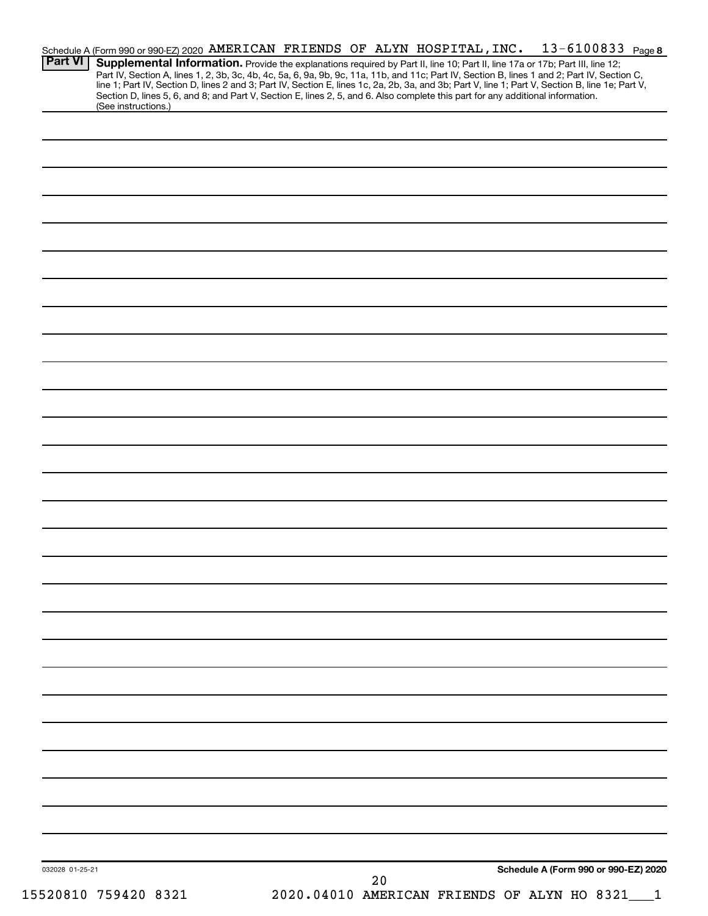| 032028 01-25-21 |                                                                                                                                                                                                                                  |  | 20 |                                                                                                                                 |  |
|-----------------|----------------------------------------------------------------------------------------------------------------------------------------------------------------------------------------------------------------------------------|--|----|---------------------------------------------------------------------------------------------------------------------------------|--|
|                 |                                                                                                                                                                                                                                  |  |    | Schedule A (Form 990 or 990-EZ) 2020                                                                                            |  |
|                 |                                                                                                                                                                                                                                  |  |    |                                                                                                                                 |  |
|                 |                                                                                                                                                                                                                                  |  |    |                                                                                                                                 |  |
|                 |                                                                                                                                                                                                                                  |  |    |                                                                                                                                 |  |
|                 |                                                                                                                                                                                                                                  |  |    |                                                                                                                                 |  |
|                 |                                                                                                                                                                                                                                  |  |    |                                                                                                                                 |  |
|                 |                                                                                                                                                                                                                                  |  |    |                                                                                                                                 |  |
|                 |                                                                                                                                                                                                                                  |  |    |                                                                                                                                 |  |
|                 |                                                                                                                                                                                                                                  |  |    |                                                                                                                                 |  |
|                 |                                                                                                                                                                                                                                  |  |    |                                                                                                                                 |  |
|                 |                                                                                                                                                                                                                                  |  |    |                                                                                                                                 |  |
|                 |                                                                                                                                                                                                                                  |  |    |                                                                                                                                 |  |
|                 |                                                                                                                                                                                                                                  |  |    |                                                                                                                                 |  |
|                 |                                                                                                                                                                                                                                  |  |    |                                                                                                                                 |  |
|                 |                                                                                                                                                                                                                                  |  |    |                                                                                                                                 |  |
|                 |                                                                                                                                                                                                                                  |  |    |                                                                                                                                 |  |
|                 |                                                                                                                                                                                                                                  |  |    |                                                                                                                                 |  |
|                 |                                                                                                                                                                                                                                  |  |    |                                                                                                                                 |  |
|                 |                                                                                                                                                                                                                                  |  |    |                                                                                                                                 |  |
|                 |                                                                                                                                                                                                                                  |  |    |                                                                                                                                 |  |
|                 |                                                                                                                                                                                                                                  |  |    |                                                                                                                                 |  |
|                 |                                                                                                                                                                                                                                  |  |    |                                                                                                                                 |  |
|                 |                                                                                                                                                                                                                                  |  |    |                                                                                                                                 |  |
|                 |                                                                                                                                                                                                                                  |  |    |                                                                                                                                 |  |
|                 |                                                                                                                                                                                                                                  |  |    |                                                                                                                                 |  |
|                 |                                                                                                                                                                                                                                  |  |    |                                                                                                                                 |  |
|                 |                                                                                                                                                                                                                                  |  |    |                                                                                                                                 |  |
|                 |                                                                                                                                                                                                                                  |  |    |                                                                                                                                 |  |
|                 |                                                                                                                                                                                                                                  |  |    |                                                                                                                                 |  |
|                 | (See instructions.)                                                                                                                                                                                                              |  |    | Section D, lines 5, 6, and 8; and Part V, Section E, lines 2, 5, and 6. Also complete this part for any additional information. |  |
|                 | Part IV, Section A, lines 1, 2, 3b, 3c, 4b, 4c, 5a, 6, 9a, 9b, 9c, 11a, 11b, and 11c; Part IV, Section B, lines 1 and 2; Part IV, Section C,<br>line 1; Part IV, Section D, lines 2 and 3; Part IV, Section E, lines 1c, 2a, 2b, |  |    |                                                                                                                                 |  |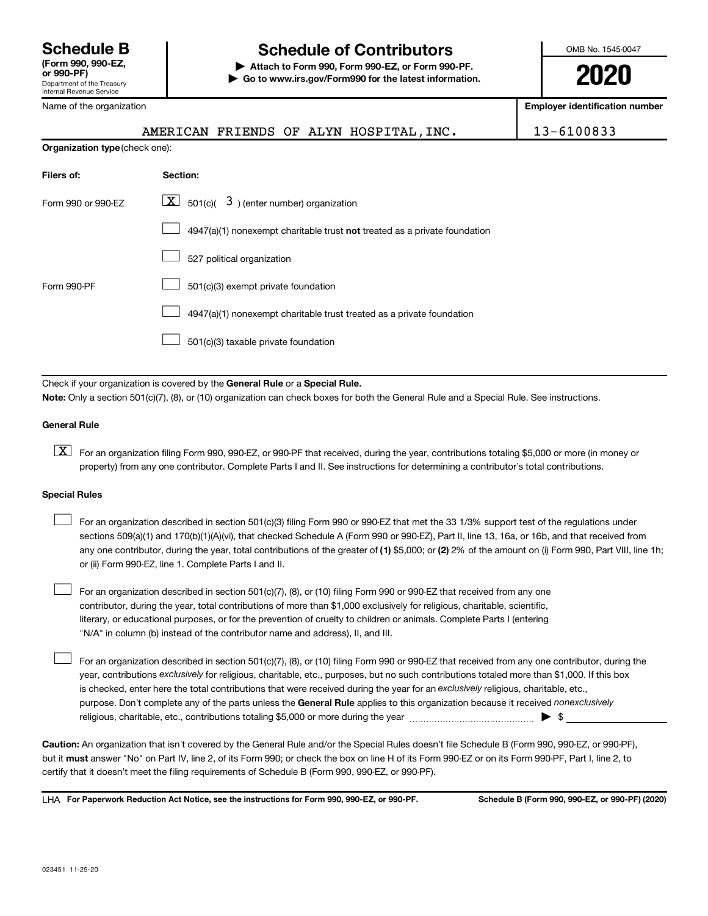# **Schedule B Schedule of Contributors**

**or 990-PF) | Attach to Form 990, Form 990-EZ, or Form 990-PF. | Go to www.irs.gov/Form990 for the latest information.** OMB No. 1545-0047

**2020**

**Employer identification number**

|  | Name of the organization |  |
|--|--------------------------|--|
|  |                          |  |

**Organization type** (check one):

AMERICAN FRIENDS OF ALYN HOSPITAL, INC. | 13-6100833

| Filers of:         | Section:                                                                           |
|--------------------|------------------------------------------------------------------------------------|
| Form 990 or 990-FZ | $\lfloor \mathbf{X} \rfloor$ 501(c)( 3) (enter number) organization                |
|                    | $4947(a)(1)$ nonexempt charitable trust <b>not</b> treated as a private foundation |
|                    | 527 political organization                                                         |
| Form 990-PF        | 501(c)(3) exempt private foundation                                                |
|                    | 4947(a)(1) nonexempt charitable trust treated as a private foundation              |
|                    | 501(c)(3) taxable private foundation                                               |

Check if your organization is covered by the General Rule or a Special Rule.

**Note:**  Only a section 501(c)(7), (8), or (10) organization can check boxes for both the General Rule and a Special Rule. See instructions.

### **General Rule**

**K** For an organization filing Form 990, 990-EZ, or 990-PF that received, during the year, contributions totaling \$5,000 or more (in money or property) from any one contributor. Complete Parts I and II. See instructions for determining a contributor's total contributions.

#### **Special Rules**

 $\Box$ 

any one contributor, during the year, total contributions of the greater of (1) \$5,000; or (2) 2% of the amount on (i) Form 990, Part VIII, line 1h; For an organization described in section 501(c)(3) filing Form 990 or 990-EZ that met the 33 1/3% support test of the regulations under sections 509(a)(1) and 170(b)(1)(A)(vi), that checked Schedule A (Form 990 or 990-EZ), Part II, line 13, 16a, or 16b, and that received from or (ii) Form 990-EZ, line 1. Complete Parts I and II.  $\Box$ 

For an organization described in section 501(c)(7), (8), or (10) filing Form 990 or 990-EZ that received from any one contributor, during the year, total contributions of more than \$1,000 exclusively for religious, charitable, scientific, literary, or educational purposes, or for the prevention of cruelty to children or animals. Complete Parts I (entering "N/A" in column (b) instead of the contributor name and address), II, and III.  $\Box$ 

purpose. Don't complete any of the parts unless the General Rule applies to this organization because it received nonexclusively year, contributions exclusively for religious, charitable, etc., purposes, but no such contributions totaled more than \$1,000. If this box is checked, enter here the total contributions that were received during the year for an exclusively religious, charitable, etc., For an organization described in section 501(c)(7), (8), or (10) filing Form 990 or 990-EZ that received from any one contributor, during the religious, charitable, etc., contributions totaling \$5,000 or more during the year  $~\ldots\ldots\ldots\ldots\ldots\ldots\ldots\ldots\blacktriangleright~$ \$

**Caution:**  An organization that isn't covered by the General Rule and/or the Special Rules doesn't file Schedule B (Form 990, 990-EZ, or 990-PF),  **must** but it answer "No" on Part IV, line 2, of its Form 990; or check the box on line H of its Form 990-EZ or on its Form 990-PF, Part I, line 2, to certify that it doesn't meet the filing requirements of Schedule B (Form 990, 990-EZ, or 990-PF).

**For Paperwork Reduction Act Notice, see the instructions for Form 990, 990-EZ, or 990-PF. Schedule B (Form 990, 990-EZ, or 990-PF) (2020)** LHA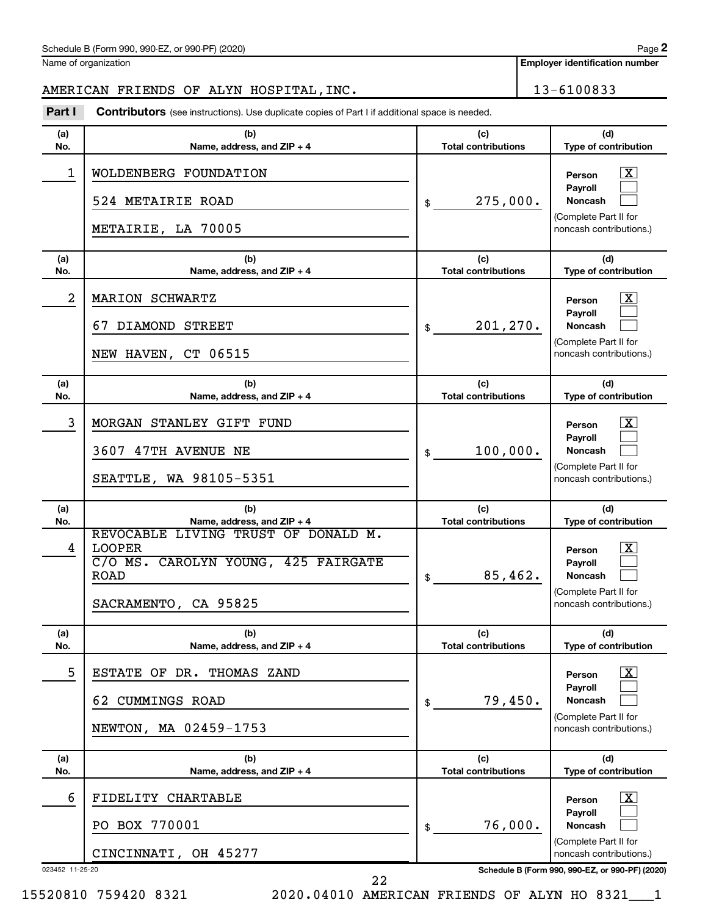**Employer identification number**

# AMERICAN FRIENDS OF ALYN HOSPITAL, INC. 13-6100833

**Part I** Contributors (see instructions). Use duplicate copies of Part I if additional space is needed.

| (a)<br>No.      | (b)<br>Name, address, and ZIP + 4                                                                                                                                | (c)<br><b>Total contributions</b>           | (d)<br>Type of contribution                                                                                                                       |
|-----------------|------------------------------------------------------------------------------------------------------------------------------------------------------------------|---------------------------------------------|---------------------------------------------------------------------------------------------------------------------------------------------------|
| 1               | WOLDENBERG FOUNDATION<br>524 METAIRIE ROAD<br>METAIRIE, LA 70005                                                                                                 | 275,000.<br>\$                              | $\mathbf{X}$<br>Person<br><b>Payroll</b><br><b>Noncash</b><br>(Complete Part II for<br>noncash contributions.)                                    |
| (a)<br>No.      | (b)<br>Name, address, and ZIP + 4                                                                                                                                | (c)<br><b>Total contributions</b>           | (d)<br>Type of contribution                                                                                                                       |
| 2               | MARION SCHWARTZ<br>67 DIAMOND STREET<br>NEW HAVEN, CT 06515                                                                                                      | 201, 270.<br>\$                             | $\overline{\mathbf{X}}$<br>Person<br><b>Payroll</b><br><b>Noncash</b><br>(Complete Part II for<br>noncash contributions.)                         |
| (a)<br>No.      | (b)<br>Name, address, and ZIP + 4                                                                                                                                | (c)<br><b>Total contributions</b>           | (d)<br>Type of contribution                                                                                                                       |
| 3               | MORGAN STANLEY GIFT FUND<br>3607 47TH AVENUE NE<br>SEATTLE, WA 98105-5351                                                                                        | 100,000.<br>\$                              | $\mathbf{X}$<br>Person<br><b>Payroll</b><br><b>Noncash</b><br>(Complete Part II for<br>noncash contributions.)                                    |
|                 |                                                                                                                                                                  |                                             |                                                                                                                                                   |
| (a)             | (b)                                                                                                                                                              | (c)                                         | (d)                                                                                                                                               |
| No.<br>4        | Name, address, and ZIP + 4<br>REVOCABLE LIVING TRUST OF DONALD M.<br><b>LOOPER</b><br>C/O MS. CAROLYN YOUNG, 425 FAIRGATE<br><b>ROAD</b><br>SACRAMENTO, CA 95825 | <b>Total contributions</b><br>85,462.<br>\$ | Type of contribution<br>$\overline{\mathbf{X}}$<br>Person<br><b>Payroll</b><br><b>Noncash</b><br>(Complete Part II for<br>noncash contributions.) |
| (a)<br>No.      | (b)<br>Name, address, and $ZIP + 4$                                                                                                                              | (c)<br><b>Total contributions</b>           | (d)<br><b>Type of contribution</b>                                                                                                                |
| 5               | ESTATE OF DR.<br>THOMAS ZAND<br><b>CUMMINGS ROAD</b><br>62<br>NEWTON, MA 02459-1753                                                                              | 79,450.<br>\$                               | $\boxed{\textbf{X}}$<br>Person<br><b>Payroll</b><br>Noncash<br>(Complete Part II for<br>noncash contributions.)                                   |
| (a)<br>No.      | (b)<br>Name, address, and ZIP + 4                                                                                                                                | (c)<br><b>Total contributions</b>           | (d)<br>Type of contribution                                                                                                                       |
| 6               | FIDELITY CHARTABLE<br>PO BOX 770001                                                                                                                              | 76,000.<br>\$                               | $\lfloor x \rfloor$<br>Person<br><b>Payroll</b><br>Noncash                                                                                        |
| 023452 11-25-20 | CINCINNATI, OH 45277                                                                                                                                             |                                             | (Complete Part II for<br>noncash contributions.)<br>Schedule B (Form 990, 990-EZ, or 990-PF) (2020)                                               |

15520810 759420 8321 2020.04010 AMERICAN FRIENDS OF ALYN HO 8321\_\_\_1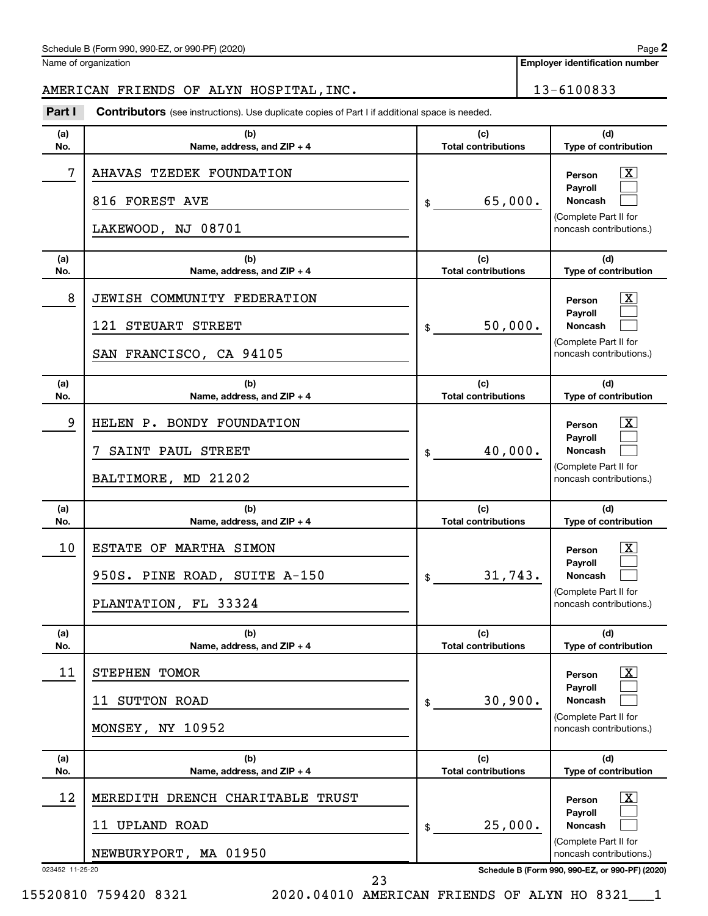**Employer identification number**

# AMERICAN FRIENDS OF ALYN HOSPITAL, INC. 13-6100833

**Part I** Contributors (see instructions). Use duplicate copies of Part I if additional space is needed.

| (a)<br>No.      | (b)<br>Name, address, and ZIP + 4                                                                            | (c)<br><b>Total contributions</b> | (d)<br>Type of contribution                                                                                          |
|-----------------|--------------------------------------------------------------------------------------------------------------|-----------------------------------|----------------------------------------------------------------------------------------------------------------------|
| 7               | AHAVAS TZEDEK FOUNDATION<br>816 FOREST AVE<br>LAKEWOOD, NJ 08701                                             | 65,000.<br>\$                     | x<br>Person<br>Payroll<br><b>Noncash</b><br>(Complete Part II for<br>noncash contributions.)                         |
| (a)<br>No.      | (b)<br>Name, address, and ZIP + 4                                                                            | (c)<br><b>Total contributions</b> | (d)<br>Type of contribution                                                                                          |
| 8               | JEWISH COMMUNITY FEDERATION<br>121 STEUART STREET<br>SAN FRANCISCO, CA 94105                                 | 50,000.<br>\$                     | x<br>Person<br>Payroll<br>Noncash<br>(Complete Part II for<br>noncash contributions.)                                |
| (a)<br>No.      | (b)<br>Name, address, and ZIP + 4                                                                            | (c)<br><b>Total contributions</b> | (d)<br>Type of contribution                                                                                          |
| 9               | HELEN P. BONDY FOUNDATION<br>SAINT PAUL STREET<br>BALTIMORE, MD 21202                                        | 40,000.<br>\$                     | x<br>Person<br>Payroll<br><b>Noncash</b><br>(Complete Part II for<br>noncash contributions.)                         |
|                 | (b)                                                                                                          | (c)                               | (d)                                                                                                                  |
| (a)<br>No.      |                                                                                                              | <b>Total contributions</b>        |                                                                                                                      |
| 10              | Name, address, and ZIP + 4<br>ESTATE OF MARTHA SIMON<br>950S. PINE ROAD, SUITE A-150<br>PLANTATION, FL 33324 | 31,743.<br>\$                     | Type of contribution<br>x<br>Person<br>Payroll<br><b>Noncash</b><br>(Complete Part II for<br>noncash contributions.) |
| (a)<br>No.      | (b)<br>Name, address, and $ZIP + 4$                                                                          | (c)<br><b>Total contributions</b> | (d)<br><b>Type of contribution</b>                                                                                   |
| 11              | STEPHEN TOMOR<br>11 SUTTON ROAD<br>MONSEY, NY 10952                                                          | 30,900.<br>\$                     | $\overline{\text{X}}$<br>Person<br>Payroll<br><b>Noncash</b><br>(Complete Part II for<br>noncash contributions.)     |
| (a)<br>No.      | (b)<br>Name, address, and ZIP + 4                                                                            | (c)<br><b>Total contributions</b> | (d)<br>Type of contribution                                                                                          |
| 12              | MEREDITH DRENCH CHARITABLE TRUST<br>11 UPLAND ROAD                                                           | 25,000.<br>\$                     | $\vert X \vert$<br>Person<br>Payroll<br><b>Noncash</b>                                                               |
| 023452 11-25-20 | NEWBURYPORT, MA 01950                                                                                        |                                   | (Complete Part II for<br>noncash contributions.)<br>Schedule B (Form 990, 990-EZ, or 990-PF) (2020)                  |

15520810 759420 8321 2020.04010 AMERICAN FRIENDS OF ALYN HO 8321\_\_\_1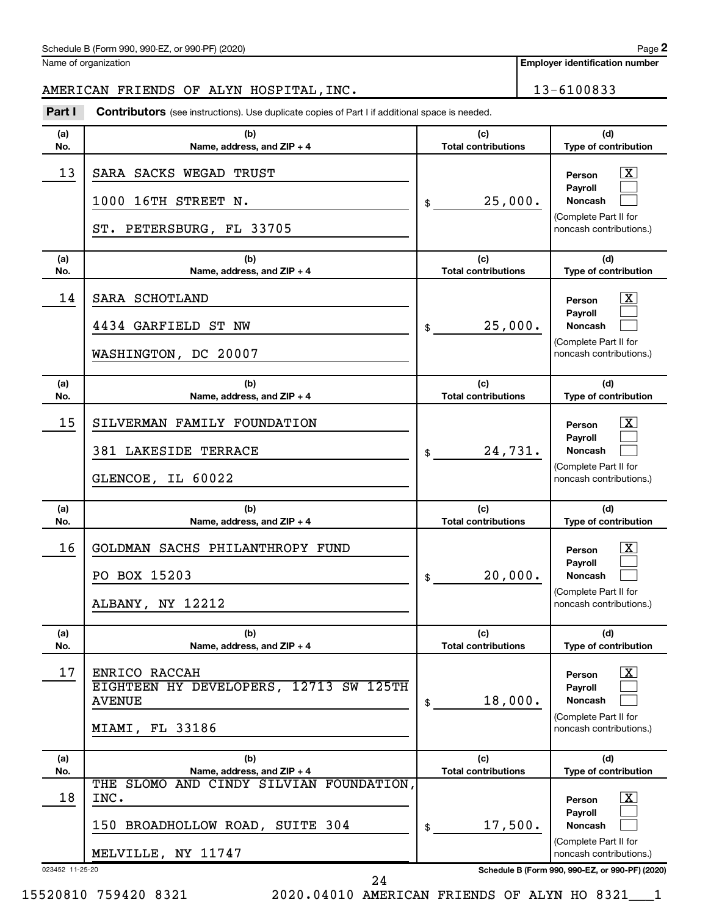Name of organization

**Employer identification number**

AMERICAN FRIENDS OF ALYN HOSPITAL, INC. 13-6100833

| Part I          | <b>Contributors</b> (see instructions). Use duplicate copies of Part I if additional space is needed.    |                                   |                                                                                                                           |  |  |
|-----------------|----------------------------------------------------------------------------------------------------------|-----------------------------------|---------------------------------------------------------------------------------------------------------------------------|--|--|
| (a)<br>No.      | (b)<br>Name, address, and ZIP + 4                                                                        | (c)<br><b>Total contributions</b> | (d)<br>Type of contribution                                                                                               |  |  |
| 13              | SARA SACKS WEGAD TRUST<br>1000 16TH STREET N.<br>25,000.<br>\$<br>ST. PETERSBURG, FL 33705               |                                   | $\overline{\mathbf{X}}$<br>Person<br>Payroll<br><b>Noncash</b><br>(Complete Part II for<br>noncash contributions.)        |  |  |
| (a)<br>No.      | (b)<br>Name, address, and ZIP + 4                                                                        | (c)<br><b>Total contributions</b> | (d)<br>Type of contribution                                                                                               |  |  |
| 14              | SARA SCHOTLAND<br>4434 GARFIELD ST NW<br>WASHINGTON, DC 20007                                            | 25,000.<br>\$                     | $\overline{\mathbf{X}}$<br>Person<br>Payroll<br><b>Noncash</b><br>(Complete Part II for<br>noncash contributions.)        |  |  |
| (a)<br>No.      | (b)<br>Name, address, and ZIP + 4                                                                        | (c)<br><b>Total contributions</b> | (d)<br>Type of contribution                                                                                               |  |  |
| 15              | SILVERMAN FAMILY FOUNDATION<br>381 LAKESIDE TERRACE<br>GLENCOE, IL 60022                                 | 24,731.<br>\$                     | $\overline{\mathbf{X}}$<br>Person<br>Payroll<br><b>Noncash</b><br>(Complete Part II for<br>noncash contributions.)        |  |  |
| (a)<br>No.      | (b)<br>Name, address, and ZIP + 4                                                                        | (c)<br><b>Total contributions</b> | (d)<br>Type of contribution                                                                                               |  |  |
| 16              | GOLDMAN SACHS PHILANTHROPY FUND<br>PO BOX 15203<br>ALBANY, NY 12212                                      | 20,000.<br>\$                     | $\overline{\mathbf{X}}$<br>Person<br><b>Pavroll</b><br><b>Noncash</b><br>(Complete Part II for<br>noncash contributions.) |  |  |
| (a)<br>No.      | (b)<br>Name, address, and ZIP + 4                                                                        | (c)<br><b>Total contributions</b> | (d)<br>Type of contribution                                                                                               |  |  |
| 17              | ENRICO RACCAH<br>EIGHTEEN HY DEVELOPERS, 12713 SW 125TH<br><b>AVENUE</b><br>FL 33186<br>MIAMI,           | 18,000.<br>\$                     | $\mathbf{X}$<br>Person<br>Payroll<br>Noncash<br>(Complete Part II for<br>noncash contributions.)                          |  |  |
| (a)<br>No.      | (b)<br>Name, address, and ZIP + 4                                                                        | (c)<br><b>Total contributions</b> | (d)<br>Type of contribution                                                                                               |  |  |
| 18              | THE SLOMO AND CINDY SILVIAN FOUNDATION,<br>INC.<br>150 BROADHOLLOW ROAD, SUITE 304<br>MELVILLE, NY 11747 | 17,500.<br>\$                     | $\mathbf{X}$<br>Person<br><b>Payroll</b><br>Noncash<br>(Complete Part II for<br>noncash contributions.)                   |  |  |
| 023452 11-25-20 |                                                                                                          |                                   | Schedule B (Form 990, 990-EZ, or 990-PF) (2020)                                                                           |  |  |

24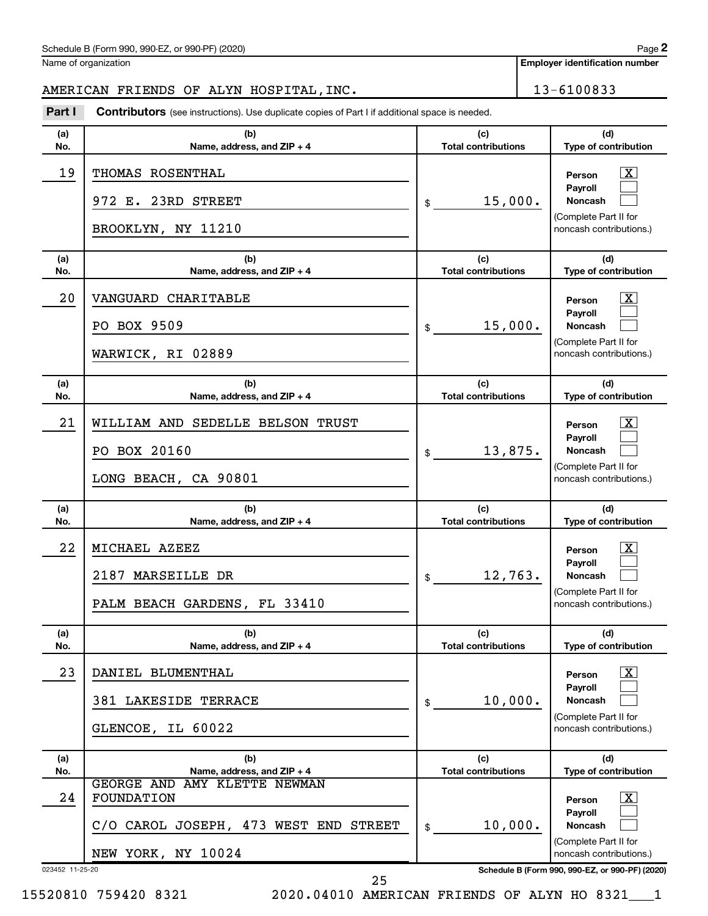Name of organization

**Employer identification number**

# AMERICAN FRIENDS OF ALYN HOSPITAL, INC. 13-6100833

**Part I** Contributors (see instructions). Use duplicate copies of Part I if additional space is needed.

| (a)             |                                                                                                                   |                                             |                                                                                                                      |
|-----------------|-------------------------------------------------------------------------------------------------------------------|---------------------------------------------|----------------------------------------------------------------------------------------------------------------------|
| No.             | (b)<br>Name, address, and ZIP + 4                                                                                 | (c)<br><b>Total contributions</b>           | (d)<br>Type of contribution                                                                                          |
| 19              | THOMAS ROSENTHAL<br>972 E. 23RD STREET<br>BROOKLYN, NY 11210                                                      | 15,000.<br>\$                               | x<br>Person<br>Payroll<br><b>Noncash</b><br>(Complete Part II for<br>noncash contributions.)                         |
| (a)<br>No.      | (b)<br>Name, address, and ZIP + 4                                                                                 | (c)<br><b>Total contributions</b>           | (d)<br>Type of contribution                                                                                          |
| 20              | VANGUARD CHARITABLE<br>PO BOX 9509<br>WARWICK, RI 02889                                                           | 15,000.<br>\$                               | x<br>Person<br>Payroll<br><b>Noncash</b><br>(Complete Part II for<br>noncash contributions.)                         |
| (a)<br>No.      | (b)<br>Name, address, and ZIP + 4                                                                                 | (c)<br><b>Total contributions</b>           | (d)<br><b>Type of contribution</b>                                                                                   |
| 21              | WILLIAM AND SEDELLE BELSON TRUST<br>PO BOX 20160<br>LONG BEACH, CA 90801                                          | 13,875.<br>\$                               | x<br>Person<br>Payroll<br><b>Noncash</b><br>(Complete Part II for<br>noncash contributions.)                         |
|                 |                                                                                                                   |                                             |                                                                                                                      |
| (a)<br>No.      | (b)                                                                                                               | (c)<br><b>Total contributions</b>           | (d)                                                                                                                  |
| 22              | Name, address, and ZIP + 4<br>MICHAEL AZEEZ<br>2187 MARSEILLE DR<br>PALM BEACH GARDENS, FL 33410                  | 12,763.<br>\$                               | Type of contribution<br>x<br>Person<br>Payroll<br><b>Noncash</b><br>(Complete Part II for<br>noncash contributions.) |
| (a)<br>No.      | (b)<br>Name, address, and ZIP + 4                                                                                 | (c)<br><b>Total contributions</b>           | (d)<br>Type of contribution                                                                                          |
| 23              | DANIEL BLUMENTHAL<br>381 LAKESIDE TERRACE<br>GLENCOE, IL 60022                                                    | 10,000.<br>\$                               | $\mathbf{X}$<br>Person<br>Payroll<br><b>Noncash</b><br>(Complete Part II for<br>noncash contributions.)              |
| (a)             | (b)                                                                                                               | (c)                                         | (d)                                                                                                                  |
| No.<br>24       | Name, address, and ZIP + 4<br>GEORGE AND AMY KLETTE NEWMAN<br>FOUNDATION<br>C/O CAROL JOSEPH, 473 WEST END STREET | <b>Total contributions</b><br>10,000.<br>\$ | Type of contribution<br>$\lfloor x \rfloor$<br>Person<br>Payroll<br><b>Noncash</b>                                   |
| 023452 11-25-20 | NEW YORK, NY 10024                                                                                                |                                             | (Complete Part II for<br>noncash contributions.)<br>Schedule B (Form 990, 990-EZ, or 990-PF) (2020)                  |

25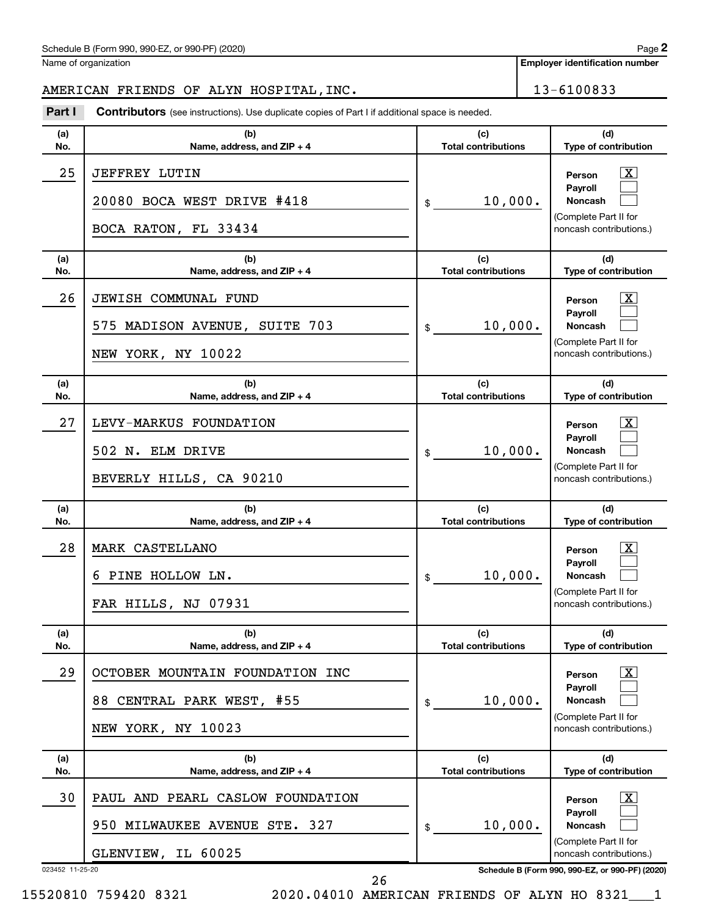Name of organization

**Employer identification number**

# AMERICAN FRIENDS OF ALYN HOSPITAL,INC. | 13-6100833

023452 11-25-20 **Schedule B (Form 990, 990-EZ, or 990-PF) (2020) (a) No. (b) Name, address, and ZIP + 4 (c) Total contributions (d) Type of contribution Person Payroll Noncash (a) No. (b) Name, address, and ZIP + 4 (c) Total contributions (d) Type of contribution Person Payroll Noncash (a) No. (b) Name, address, and ZIP + 4 (c) Total contributions (d) Type of contribution Person Payroll Noncash (a) No. (b) Name, address, and ZIP + 4 (c) Total contributions (d) Type of contribution Person Payroll Noncash (a) No. (b) Name, address, and ZIP + 4 (c) Total contributions (d) Type of contribution Person Payroll Noncash (a) No. (b) Name, address, and ZIP + 4 (c) Total contributions (d) Type of contribution Person Payroll Noncash Part I** Contributors (see instructions). Use duplicate copies of Part I if additional space is needed. \$ (Complete Part II for noncash contributions.) \$ (Complete Part II for noncash contributions.) \$ (Complete Part II for noncash contributions.) \$ (Complete Part II for noncash contributions.) \$ (Complete Part II for noncash contributions.) \$ (Complete Part II for noncash contributions.) †  $\Box$  $\Box$  $\overline{\mathbf{X}}$  $\Box$  $\Box$  $\lceil \text{X} \rceil$  $\Box$  $\Box$  $\boxed{\textbf{X}}$  $\Box$  $\Box$  $\boxed{\textbf{X}}$  $\Box$  $\Box$  $\boxed{\textbf{X}}$  $\Box$  $\Box$ 25 JEFFREY LUTIN X 20080 BOCA WEST DRIVE #418  $\vert \text{\!}_{\$}$  10,000. BOCA RATON, FL 33434 26 JEWISH COMMUNAL FUND X 575 MADISON AVENUE, SUITE 703 10,000. NEW YORK, NY 10022 27 LEVY-MARKUS FOUNDATION X 502 N. ELM DRIVE  $\begin{array}{ccc} 502 & \text{N} & \text{ELM} \end{array}$ BEVERLY HILLS, CA 90210 28 MARK CASTELLANO X  $\sim$  6 PINE HOLLOW LN.  $\sim$  10,000. FAR HILLS, NJ 07931 29 | OCTOBER MOUNTAIN FOUNDATION INC 88 CENTRAL PARK WEST, #55 10,000. NEW YORK, NY 10023 30 PAUL AND PEARL CASLOW FOUNDATION X 950 MILWAUKEE AVENUE STE. 327  $\vert \$  \$ 10,000. GLENVIEW, IL 60025

26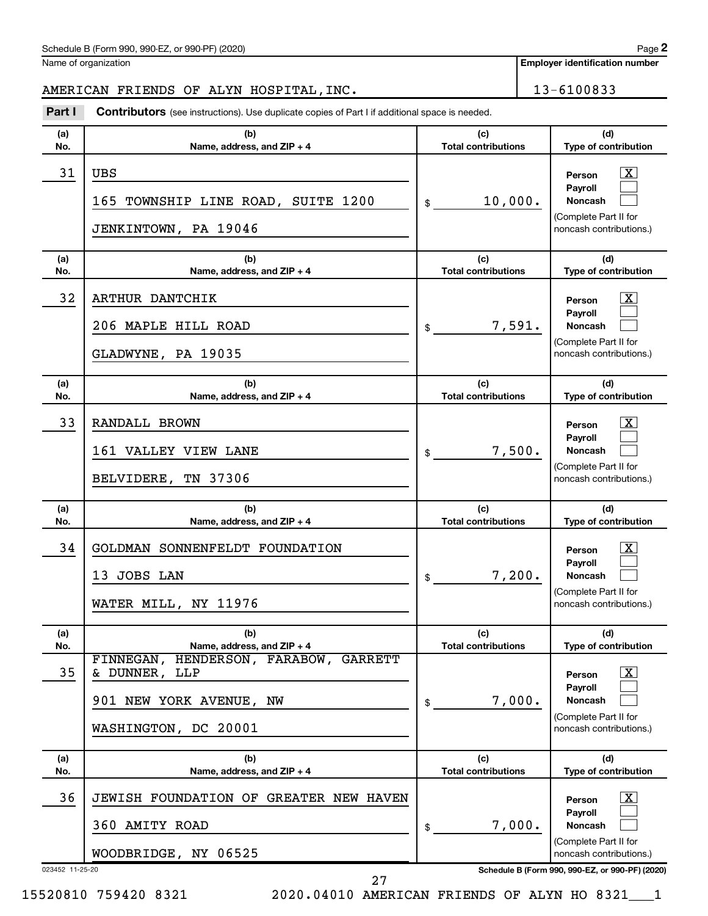Name of organization

**Employer identification number**

AMERICAN FRIENDS OF ALYN HOSPITAL, INC. 13-6100833

| Part I          | <b>Contributors</b> (see instructions). Use duplicate copies of Part I if additional space is needed.               |                                   |                                                                                                         |
|-----------------|---------------------------------------------------------------------------------------------------------------------|-----------------------------------|---------------------------------------------------------------------------------------------------------|
| (a)<br>No.      | (b)<br>Name, address, and ZIP + 4                                                                                   | (c)<br><b>Total contributions</b> | (d)<br>Type of contribution                                                                             |
| 31              | <b>UBS</b><br>165 TOWNSHIP LINE ROAD, SUITE 1200<br>JENKINTOWN, PA 19046                                            | 10,000.<br>\$                     | $\mathbf{X}$<br>Person<br>Payroll<br><b>Noncash</b><br>(Complete Part II for<br>noncash contributions.) |
| (a)<br>No.      | (b)<br>Name, address, and ZIP + 4                                                                                   | (c)<br><b>Total contributions</b> | (d)<br>Type of contribution                                                                             |
| 32              | ARTHUR DANTCHIK<br>206 MAPLE HILL ROAD<br>GLADWYNE, PA 19035                                                        | 7,591.<br>$\frac{1}{2}$           | $\mathbf{X}$<br>Person<br>Payroll<br><b>Noncash</b><br>(Complete Part II for<br>noncash contributions.) |
| (a)<br>No.      | (b)<br>Name, address, and ZIP + 4                                                                                   | (c)<br><b>Total contributions</b> | (d)<br>Type of contribution                                                                             |
| 33              | RANDALL BROWN<br>161 VALLEY VIEW LANE<br>TN 37306<br>BELVIDERE,                                                     | 7,500.<br>\$                      | $\mathbf{X}$<br>Person<br>Payroll<br><b>Noncash</b><br>(Complete Part II for<br>noncash contributions.) |
| (a)<br>No.      | (b)<br>Name, address, and ZIP + 4                                                                                   | (c)<br><b>Total contributions</b> | (d)<br>Type of contribution                                                                             |
| 34              | GOLDMAN SONNENFELDT FOUNDATION<br>13 JOBS LAN<br>WATER MILL, NY 11976                                               | 7,200.<br>$\frac{1}{2}$           | $\mathbf{x}$<br>Person<br>Payroll<br>Noncash<br>(Complete Part II for<br>noncash contributions.)        |
| (a)<br>No.      | (b)<br>Name, address, and ZIP + 4                                                                                   | (c)<br><b>Total contributions</b> | (d)<br>Type of contribution                                                                             |
| 35              | FINNEGAN, HENDERSON, FARABOW,<br><b>GARRETT</b><br>& DUNNER, LLP<br>901 NEW YORK AVENUE, NW<br>WASHINGTON, DC 20001 | 7,000.<br>\$                      | х<br>Person<br>Pavroll<br><b>Noncash</b><br>(Complete Part II for<br>noncash contributions.)            |
| (a)<br>No.      | (b)<br>Name, address, and ZIP + 4                                                                                   | (c)<br><b>Total contributions</b> | (d)<br>Type of contribution                                                                             |
| 36              | JEWISH FOUNDATION OF GREATER NEW HAVEN<br>360 AMITY ROAD                                                            | 7,000.<br>\$                      | x<br>Person<br>Payroll<br><b>Noncash</b>                                                                |
|                 | WOODBRIDGE, NY 06525                                                                                                |                                   | (Complete Part II for<br>noncash contributions.)                                                        |
| 023452 11-25-20 |                                                                                                                     |                                   | Schedule B (Form 990, 990-EZ, or 990-PF) (2020)                                                         |

15520810 759420 8321 2020.04010 AMERICAN FRIENDS OF ALYN HO 8321\_\_\_1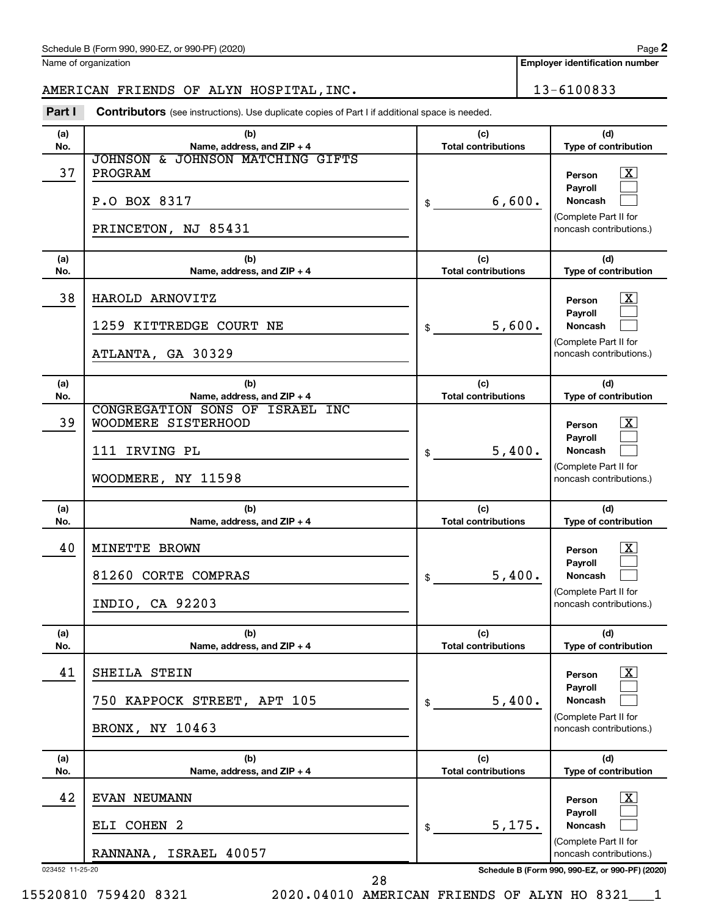Name of organization

**Employer identification number**

# AMERICAN FRIENDS OF ALYN HOSPITAL, INC. 13-6100833

**Part I** Contributors (see instructions). Use duplicate copies of Part I if additional space is needed.

| (b)<br>(c)<br>(a)<br>Name, address, and ZIP + 4<br><b>Total contributions</b><br>No.<br>JOHNSON & JOHNSON MATCHING GIFTS<br>37<br>PROGRAM<br>6,600.<br>P.O BOX 8317<br>\$<br>PRINCETON, NJ 85431<br>(c)<br>(b)<br>(a)<br>No.<br>Name, address, and ZIP + 4<br><b>Total contributions</b> | (d)<br>Type of contribution<br>$\mathbf{X}$<br>Person<br>Payroll<br><b>Noncash</b><br>(Complete Part II for<br>noncash contributions.)<br>(d) |
|------------------------------------------------------------------------------------------------------------------------------------------------------------------------------------------------------------------------------------------------------------------------------------------|-----------------------------------------------------------------------------------------------------------------------------------------------|
|                                                                                                                                                                                                                                                                                          |                                                                                                                                               |
|                                                                                                                                                                                                                                                                                          |                                                                                                                                               |
|                                                                                                                                                                                                                                                                                          | Type of contribution                                                                                                                          |
| 38<br>HAROLD ARNOVITZ<br>5,600.<br>1259 KITTREDGE COURT NE<br>\$<br>ATLANTA, GA 30329                                                                                                                                                                                                    | $\mathbf{X}$<br>Person<br>Payroll<br><b>Noncash</b><br>(Complete Part II for<br>noncash contributions.)                                       |
| (b)<br>(c)<br>(a)                                                                                                                                                                                                                                                                        | (d)                                                                                                                                           |
| Name, address, and ZIP + 4<br><b>Total contributions</b><br>No.<br>CONGREGATION SONS OF ISRAEL INC<br>39<br>WOODMERE SISTERHOOD<br>111 IRVING PL<br>5,400.<br>\$<br>WOODMERE, NY 11598                                                                                                   | Type of contribution<br>$\mathbf{X}$<br>Person<br>Payroll<br><b>Noncash</b><br>(Complete Part II for<br>noncash contributions.)               |
| (c)<br>(b)<br>(a)<br>No.<br>Name, address, and ZIP + 4<br><b>Total contributions</b>                                                                                                                                                                                                     | (d)<br>Type of contribution                                                                                                                   |
|                                                                                                                                                                                                                                                                                          |                                                                                                                                               |
| 40<br>MINETTE BROWN<br>81260 CORTE COMPRAS<br>5,400.<br>\$<br>INDIO, CA 92203                                                                                                                                                                                                            | $\overline{\mathbf{X}}$<br>Person<br>Payroll<br><b>Noncash</b><br>(Complete Part II for<br>noncash contributions.)                            |
| (b)<br>(c)<br>(a)<br>No.<br><b>Total contributions</b><br>Name, address, and ZIP + 4                                                                                                                                                                                                     | (d)<br><b>Type of contribution</b>                                                                                                            |
| 41<br>SHEILA STEIN<br>5,400.<br>750 KAPPOCK STREET, APT 105<br>\$<br>BRONX, NY 10463                                                                                                                                                                                                     | $\overline{\mathbf{X}}$<br>Person<br>Payroll<br><b>Noncash</b><br>(Complete Part II for<br>noncash contributions.)                            |
| (b)<br>(c)<br>(a)<br>No.<br>Name, address, and ZIP + 4<br><b>Total contributions</b>                                                                                                                                                                                                     | (d)<br>Type of contribution                                                                                                                   |
| 42<br><b>EVAN NEUMANN</b>                                                                                                                                                                                                                                                                | $\mathbf{X}$<br>Person                                                                                                                        |
| ELI COHEN 2<br>5,175.<br>\$                                                                                                                                                                                                                                                              | Payroll<br><b>Noncash</b><br>(Complete Part II for                                                                                            |

15520810 759420 8321 2020.04010 AMERICAN FRIENDS OF ALYN HO 8321\_\_\_1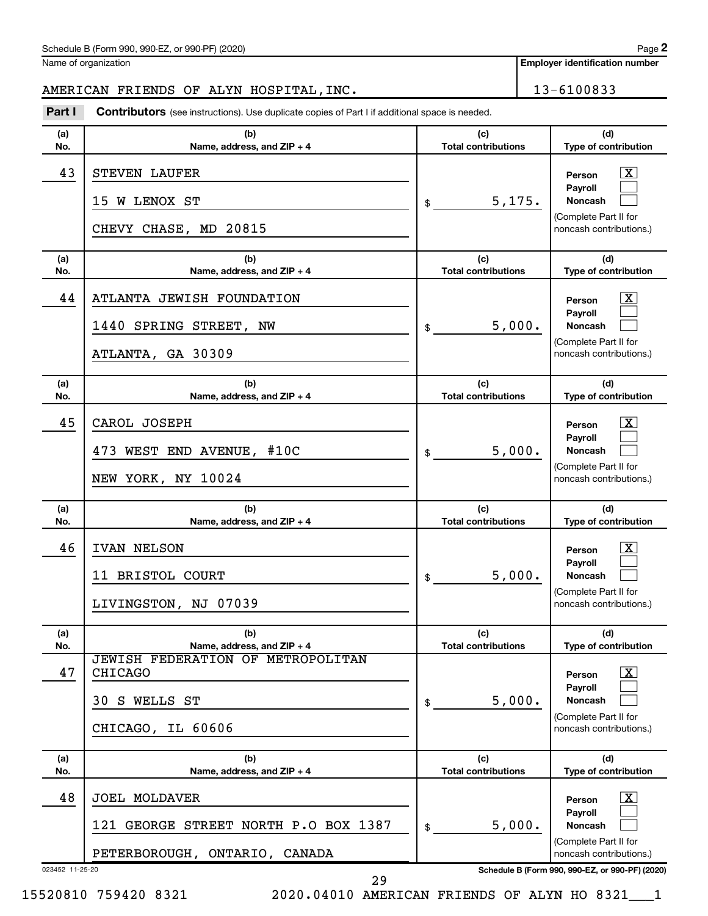Name of organization

**Employer identification number**

# AMERICAN FRIENDS OF ALYN HOSPITAL, INC. 13-6100833

**Part I** Contributors (see instructions). Use duplicate copies of Part I if additional space is needed.

| (a)       | (b)                                                                                                                         | (c)                                        | (d)                                                                                                                                     |
|-----------|-----------------------------------------------------------------------------------------------------------------------------|--------------------------------------------|-----------------------------------------------------------------------------------------------------------------------------------------|
| No.       | Name, address, and ZIP + 4                                                                                                  | <b>Total contributions</b>                 | Type of contribution                                                                                                                    |
| 43        | STEVEN LAUFER<br>15 W LENOX ST<br>CHEVY CHASE, MD 20815                                                                     | 5,175.<br>$\frac{1}{2}$                    | X<br>Person<br>Payroll<br>Noncash<br>(Complete Part II for<br>noncash contributions.)                                                   |
| (a)       | (b)                                                                                                                         | (c)                                        | (d)                                                                                                                                     |
| No.<br>44 | Name, address, and $ZIP + 4$<br>ATLANTA JEWISH FOUNDATION<br>1440 SPRING STREET, NW<br>ATLANTA, GA 30309                    | <b>Total contributions</b><br>5,000.<br>\$ | Type of contribution<br>X<br>Person<br><b>Payroll</b><br>Noncash<br>(Complete Part II for<br>noncash contributions.)                    |
| (a)       | (b)                                                                                                                         | (c)                                        | (d)                                                                                                                                     |
| No.       | Name, address, and $ZIP + 4$                                                                                                | <b>Total contributions</b>                 | Type of contribution                                                                                                                    |
| 45        | CAROL JOSEPH<br>473 WEST END AVENUE, #10C<br>NEW YORK, NY 10024                                                             | 5,000.<br>\$                               | X<br>Person<br>Payroll<br>Noncash<br>(Complete Part II for<br>noncash contributions.)                                                   |
|           |                                                                                                                             |                                            |                                                                                                                                         |
| (a)       | (b)                                                                                                                         | (c)                                        | (d)                                                                                                                                     |
| No.       | Name, address, and $ZIP + 4$                                                                                                | <b>Total contributions</b>                 | Type of contribution                                                                                                                    |
| 46        | IVAN NELSON<br>11 BRISTOL COURT<br>LIVINGSTON, NJ 07039                                                                     | 5,000.<br>\$                               | X<br>Person<br>Payroll<br><b>Noncash</b><br>(Complete Part II for<br>noncash contributions.)                                            |
| (a)       | (b)                                                                                                                         | (c)                                        | (d)                                                                                                                                     |
| No.<br>47 | Name, address, and ZIP + 4<br>JEWISH FEDERATION OF METROPOLITAN<br><b>CHICAGO</b><br>S WELLS ST<br>30.<br>CHICAGO, IL 60606 | <b>Total contributions</b><br>5,000.<br>\$ | Type of contribution<br>$\boxed{\textbf{X}}$<br>Person<br>Payroll<br><b>Noncash</b><br>(Complete Part II for<br>noncash contributions.) |
| (a)       | (b)                                                                                                                         | (c)<br><b>Total contributions</b>          | (d)                                                                                                                                     |
| No.<br>48 | Name, address, and $ZIP + 4$<br><b>JOEL MOLDAVER</b><br>121 GEORGE STREET NORTH P.O BOX 1387                                | 5,000.<br>\$                               | Type of contribution<br>$\lfloor x \rfloor$<br>Person<br>Payroll<br>Noncash                                                             |
|           | PETERBOROUGH, ONTARIO, CANADA                                                                                               |                                            | (Complete Part II for<br>noncash contributions.)                                                                                        |

15520810 759420 8321 2020.04010 AMERICAN FRIENDS OF ALYN HO 8321\_\_\_1

29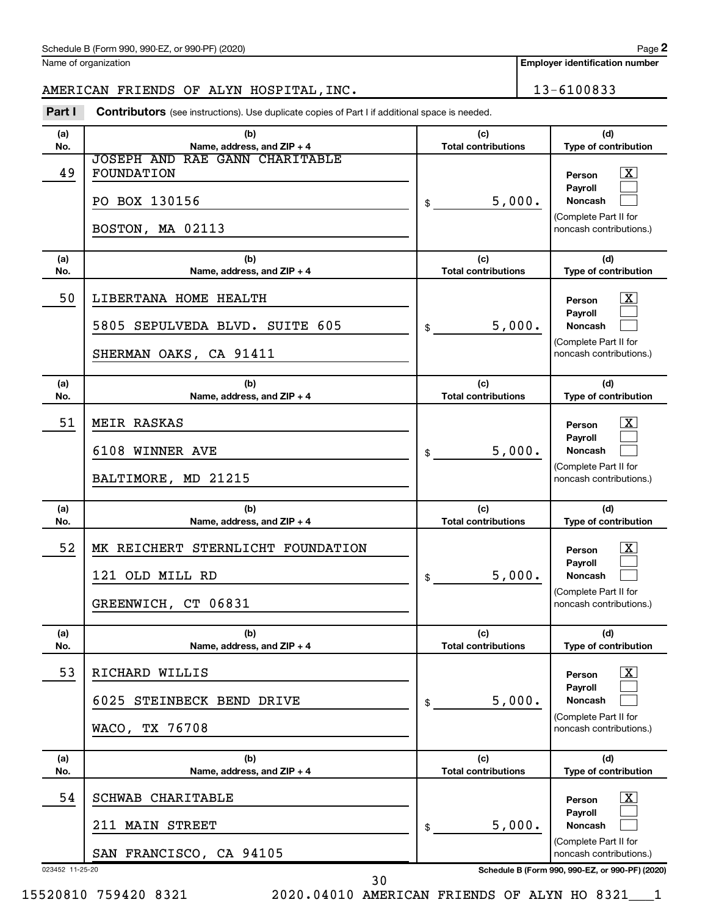Name of organization

# AMERICAN FRIENDS OF ALYN HOSPITAL, INC. 13-6100833

**Part I** Contributors (see instructions). Use duplicate copies of Part I if additional space is needed.

| JOSEPH AND RAE GANN CHARITABLE<br>49<br>FOUNDATION<br>x<br>Person<br>Payroll<br>5,000.<br>PO BOX 130156<br>Noncash<br>\$<br>(Complete Part II for<br>BOSTON, MA 02113<br>noncash contributions.)<br>(b)<br>(c)<br>(d)<br>(a)<br><b>Total contributions</b><br>Type of contribution<br>No.<br>Name, address, and $ZIP + 4$<br>50<br>LIBERTANA HOME HEALTH<br>x<br>Person<br>Payroll<br>5,000.<br>5805 SEPULVEDA BLVD. SUITE 605<br><b>Noncash</b><br>\$<br>(Complete Part II for<br>SHERMAN OAKS, CA 91411<br>noncash contributions.)<br>(c)<br>(d)<br>(b)<br>(a)<br>Name, address, and ZIP + 4<br><b>Total contributions</b><br>Type of contribution<br>No.<br>51<br>MEIR RASKAS<br>x<br>Person<br>Payroll<br>5,000.<br>6108 WINNER AVE<br><b>Noncash</b><br>\$<br>(Complete Part II for<br>BALTIMORE, MD 21215<br>noncash contributions.)<br>(d)<br>(c)<br>(b)<br>(a)<br><b>Total contributions</b><br>Type of contribution<br>No.<br>Name, address, and $ZIP + 4$<br>52<br>MK REICHERT STERNLICHT FOUNDATION<br>x<br>Person<br>Payroll<br>5,000.<br>121 OLD MILL RD<br><b>Noncash</b><br>\$<br>(Complete Part II for<br>GREENWICH, CT 06831<br>noncash contributions.)<br>(b)<br>(c)<br>(d)<br>(a)<br><b>Total contributions</b><br>No.<br>Name, address, and ZIP + 4<br>Type of contribution<br>53<br>RICHARD WILLIS<br>$\overline{\mathbf{X}}$<br>Person<br>Payroll<br>5,000.<br>6025 STEINBECK BEND DRIVE<br><b>Noncash</b><br>\$<br>(Complete Part II for<br>WACO, TX 76708<br>noncash contributions.)<br>(c)<br>(d)<br>(a)<br>(b)<br>Name, address, and ZIP + 4<br><b>Total contributions</b><br>Type of contribution<br>No.<br>54<br>SCHWAB CHARITABLE<br>$\mathbf{X}$<br>Person<br>Payroll<br>5,000.<br>211 MAIN STREET<br><b>Noncash</b><br>\$<br>(Complete Part II for<br>SAN FRANCISCO, CA 94105<br>noncash contributions.)<br>023452 11-25-20<br>Schedule B (Form 990, 990-EZ, or 990-PF) (2020) | (a)<br>No. | (b)<br>Name, address, and ZIP + 4 | (c)<br><b>Total contributions</b> | (d)<br>Type of contribution |
|---------------------------------------------------------------------------------------------------------------------------------------------------------------------------------------------------------------------------------------------------------------------------------------------------------------------------------------------------------------------------------------------------------------------------------------------------------------------------------------------------------------------------------------------------------------------------------------------------------------------------------------------------------------------------------------------------------------------------------------------------------------------------------------------------------------------------------------------------------------------------------------------------------------------------------------------------------------------------------------------------------------------------------------------------------------------------------------------------------------------------------------------------------------------------------------------------------------------------------------------------------------------------------------------------------------------------------------------------------------------------------------------------------------------------------------------------------------------------------------------------------------------------------------------------------------------------------------------------------------------------------------------------------------------------------------------------------------------------------------------------------------------------------------------------------------------------------------------------------------------------------------------------------------|------------|-----------------------------------|-----------------------------------|-----------------------------|
|                                                                                                                                                                                                                                                                                                                                                                                                                                                                                                                                                                                                                                                                                                                                                                                                                                                                                                                                                                                                                                                                                                                                                                                                                                                                                                                                                                                                                                                                                                                                                                                                                                                                                                                                                                                                                                                                                                               |            |                                   |                                   |                             |
|                                                                                                                                                                                                                                                                                                                                                                                                                                                                                                                                                                                                                                                                                                                                                                                                                                                                                                                                                                                                                                                                                                                                                                                                                                                                                                                                                                                                                                                                                                                                                                                                                                                                                                                                                                                                                                                                                                               |            |                                   |                                   |                             |
|                                                                                                                                                                                                                                                                                                                                                                                                                                                                                                                                                                                                                                                                                                                                                                                                                                                                                                                                                                                                                                                                                                                                                                                                                                                                                                                                                                                                                                                                                                                                                                                                                                                                                                                                                                                                                                                                                                               |            |                                   |                                   |                             |
|                                                                                                                                                                                                                                                                                                                                                                                                                                                                                                                                                                                                                                                                                                                                                                                                                                                                                                                                                                                                                                                                                                                                                                                                                                                                                                                                                                                                                                                                                                                                                                                                                                                                                                                                                                                                                                                                                                               |            |                                   |                                   |                             |
|                                                                                                                                                                                                                                                                                                                                                                                                                                                                                                                                                                                                                                                                                                                                                                                                                                                                                                                                                                                                                                                                                                                                                                                                                                                                                                                                                                                                                                                                                                                                                                                                                                                                                                                                                                                                                                                                                                               |            |                                   |                                   |                             |
|                                                                                                                                                                                                                                                                                                                                                                                                                                                                                                                                                                                                                                                                                                                                                                                                                                                                                                                                                                                                                                                                                                                                                                                                                                                                                                                                                                                                                                                                                                                                                                                                                                                                                                                                                                                                                                                                                                               |            |                                   |                                   |                             |
|                                                                                                                                                                                                                                                                                                                                                                                                                                                                                                                                                                                                                                                                                                                                                                                                                                                                                                                                                                                                                                                                                                                                                                                                                                                                                                                                                                                                                                                                                                                                                                                                                                                                                                                                                                                                                                                                                                               |            |                                   |                                   |                             |
|                                                                                                                                                                                                                                                                                                                                                                                                                                                                                                                                                                                                                                                                                                                                                                                                                                                                                                                                                                                                                                                                                                                                                                                                                                                                                                                                                                                                                                                                                                                                                                                                                                                                                                                                                                                                                                                                                                               |            |                                   |                                   |                             |
|                                                                                                                                                                                                                                                                                                                                                                                                                                                                                                                                                                                                                                                                                                                                                                                                                                                                                                                                                                                                                                                                                                                                                                                                                                                                                                                                                                                                                                                                                                                                                                                                                                                                                                                                                                                                                                                                                                               |            |                                   |                                   |                             |
|                                                                                                                                                                                                                                                                                                                                                                                                                                                                                                                                                                                                                                                                                                                                                                                                                                                                                                                                                                                                                                                                                                                                                                                                                                                                                                                                                                                                                                                                                                                                                                                                                                                                                                                                                                                                                                                                                                               |            |                                   |                                   |                             |
| 30                                                                                                                                                                                                                                                                                                                                                                                                                                                                                                                                                                                                                                                                                                                                                                                                                                                                                                                                                                                                                                                                                                                                                                                                                                                                                                                                                                                                                                                                                                                                                                                                                                                                                                                                                                                                                                                                                                            |            |                                   |                                   |                             |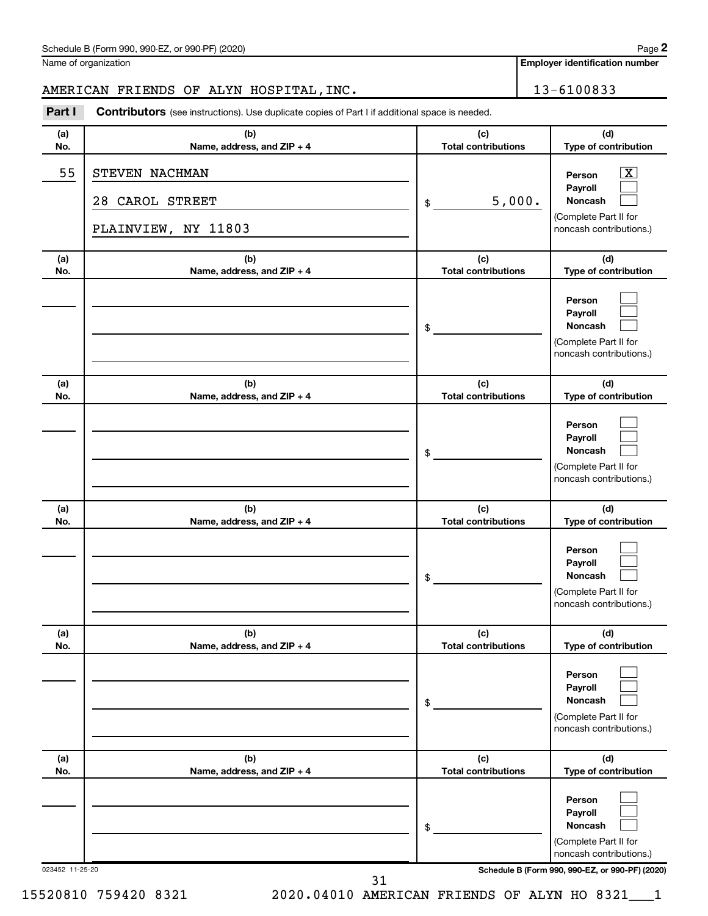| Name of organization |
|----------------------|
|----------------------|

# AMERICAN FRIENDS OF ALYN HOSPITAL, INC. 13-6100833

**Part I** Contributors (see instructions). Use duplicate copies of Part I if additional space is needed.

| (a)             | (b)                                                      | (c)                               | (d)                                                                                                         |
|-----------------|----------------------------------------------------------|-----------------------------------|-------------------------------------------------------------------------------------------------------------|
| No.             | Name, address, and ZIP + 4                               | <b>Total contributions</b>        | Type of contribution                                                                                        |
| 55              | STEVEN NACHMAN<br>28 CAROL STREET<br>PLAINVIEW, NY 11803 | 5,000.<br>\$                      | $\overline{\textbf{x}}$<br>Person<br>Payroll<br>Noncash<br>(Complete Part II for<br>noncash contributions.) |
| (a)             | (b)                                                      | (c)                               | (d)                                                                                                         |
| No.             | Name, address, and ZIP + 4                               | <b>Total contributions</b>        | Type of contribution                                                                                        |
|                 |                                                          | \$                                | Person<br>Payroll<br><b>Noncash</b><br>(Complete Part II for<br>noncash contributions.)                     |
| (a)<br>No.      | (b)<br>Name, address, and ZIP + 4                        | (c)<br><b>Total contributions</b> | (d)<br>Type of contribution                                                                                 |
|                 |                                                          | \$                                | Person<br>Payroll<br>Noncash<br>(Complete Part II for<br>noncash contributions.)                            |
| (a)<br>No.      | (b)<br>Name, address, and ZIP + 4                        | (c)<br><b>Total contributions</b> | (d)<br>Type of contribution                                                                                 |
|                 |                                                          | \$                                | Person<br>Payroll<br><b>Noncash</b><br>(Complete Part II for<br>noncash contributions.)                     |
| (a)<br>No.      | (b)<br>Name, address, and ZIP + 4                        | (c)<br>Total contributions        | (d)<br><b>Type of contribution</b>                                                                          |
|                 |                                                          | \$                                | Person<br>Payroll<br>Noncash<br>(Complete Part II for<br>noncash contributions.)                            |
| (a)<br>No.      | (b)<br>Name, address, and ZIP + 4                        | (c)<br><b>Total contributions</b> | (d)<br>Type of contribution                                                                                 |
|                 |                                                          | \$                                | Person<br>Payroll<br>Noncash<br>(Complete Part II for<br>noncash contributions.)                            |
| 023452 11-25-20 | 21                                                       |                                   | Schedule B (Form 990, 990-EZ, or 990-PF) (2020)                                                             |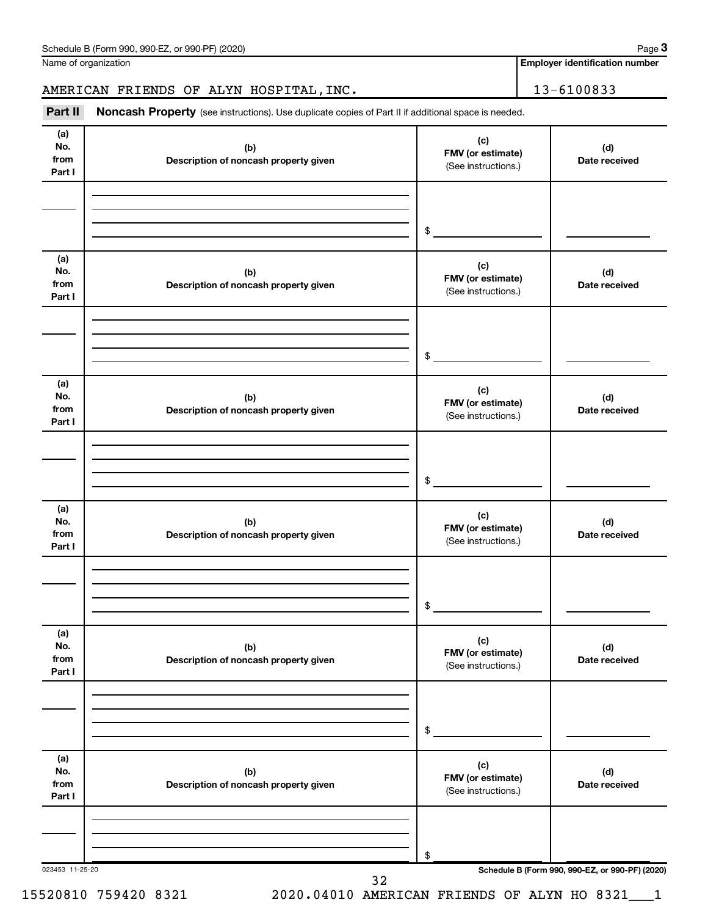**Employer identification number**

# AMERICAN FRIENDS OF ALYN HOSPITAL, INC. 13-6100833

Part II Noncash Property (see instructions). Use duplicate copies of Part II if additional space is needed.

| (a)<br>No.<br>from<br>Part I | (b)<br>Description of noncash property given | (c)<br>FMV (or estimate)<br>(See instructions.) | (d)<br>Date received                            |
|------------------------------|----------------------------------------------|-------------------------------------------------|-------------------------------------------------|
|                              |                                              |                                                 |                                                 |
|                              |                                              | $\frac{1}{2}$                                   |                                                 |
| (a)<br>No.<br>from<br>Part I | (b)<br>Description of noncash property given | (c)<br>FMV (or estimate)<br>(See instructions.) | (d)<br>Date received                            |
|                              |                                              |                                                 |                                                 |
|                              |                                              | $\frac{1}{2}$                                   |                                                 |
| (a)<br>No.<br>from<br>Part I | (b)<br>Description of noncash property given | (c)<br>FMV (or estimate)<br>(See instructions.) | (d)<br>Date received                            |
|                              |                                              |                                                 |                                                 |
|                              |                                              | $\sim$                                          |                                                 |
| (a)<br>No.<br>from<br>Part I | (b)<br>Description of noncash property given | (c)<br>FMV (or estimate)<br>(See instructions.) | (d)<br>Date received                            |
|                              |                                              |                                                 |                                                 |
|                              |                                              | $\frac{1}{2}$                                   |                                                 |
| (a)<br>No.<br>from<br>Part I | (b)<br>Description of noncash property given | (c)<br>FMV (or estimate)<br>(See instructions.) | (d)<br>Date received                            |
|                              |                                              |                                                 |                                                 |
|                              |                                              | \$                                              |                                                 |
| (a)<br>No.<br>from<br>Part I | (b)<br>Description of noncash property given | (c)<br>FMV (or estimate)<br>(See instructions.) | (d)<br>Date received                            |
|                              |                                              |                                                 |                                                 |
| 023453 11-25-20              |                                              | \$                                              | Schedule B (Form 990, 990-EZ, or 990-PF) (2020) |
|                              | 32                                           |                                                 |                                                 |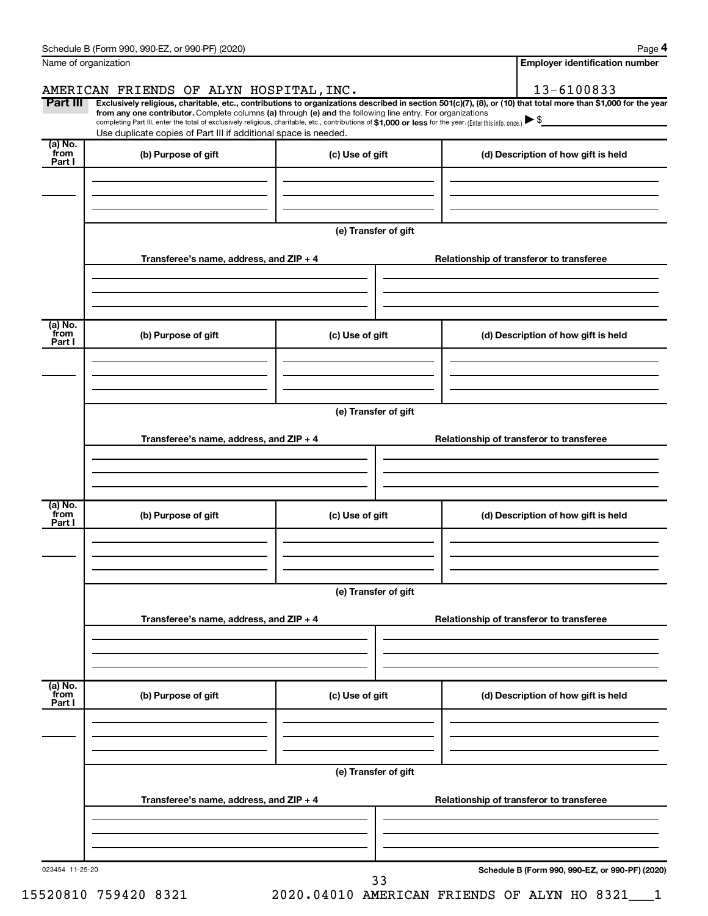| Name of organization       |                                                                                                                                                                                                                                                                                                                                                                                                                                                                                                             |                      | <b>Employer identification number</b>           |
|----------------------------|-------------------------------------------------------------------------------------------------------------------------------------------------------------------------------------------------------------------------------------------------------------------------------------------------------------------------------------------------------------------------------------------------------------------------------------------------------------------------------------------------------------|----------------------|-------------------------------------------------|
|                            | AMERICAN FRIENDS OF ALYN HOSPITAL, INC.                                                                                                                                                                                                                                                                                                                                                                                                                                                                     |                      | 13-6100833                                      |
| Part III                   | Exclusively religious, charitable, etc., contributions to organizations described in section 501(c)(7), (8), or (10) that total more than \$1,000 for the year<br>from any one contributor. Complete columns (a) through (e) and the following line entry. For organizations<br>completing Part III, enter the total of exclusively religious, charitable, etc., contributions of \$1,000 or less for the year. [Enter this info. once.]<br>Use duplicate copies of Part III if additional space is needed. |                      |                                                 |
| (a) No.<br>`from<br>Part I | (b) Purpose of gift                                                                                                                                                                                                                                                                                                                                                                                                                                                                                         | (c) Use of gift      | (d) Description of how gift is held             |
|                            |                                                                                                                                                                                                                                                                                                                                                                                                                                                                                                             |                      |                                                 |
|                            |                                                                                                                                                                                                                                                                                                                                                                                                                                                                                                             | (e) Transfer of gift |                                                 |
|                            | Transferee's name, address, and ZIP + 4                                                                                                                                                                                                                                                                                                                                                                                                                                                                     |                      | Relationship of transferor to transferee        |
| (a) No.<br>from            | (b) Purpose of gift                                                                                                                                                                                                                                                                                                                                                                                                                                                                                         | (c) Use of gift      | (d) Description of how gift is held             |
| Part I                     |                                                                                                                                                                                                                                                                                                                                                                                                                                                                                                             |                      |                                                 |
|                            |                                                                                                                                                                                                                                                                                                                                                                                                                                                                                                             | (e) Transfer of gift |                                                 |
|                            | Transferee's name, address, and ZIP + 4                                                                                                                                                                                                                                                                                                                                                                                                                                                                     |                      | Relationship of transferor to transferee        |
|                            |                                                                                                                                                                                                                                                                                                                                                                                                                                                                                                             |                      |                                                 |
| (a) No.<br>from<br>Part I  | (b) Purpose of gift                                                                                                                                                                                                                                                                                                                                                                                                                                                                                         | (c) Use of gift      | (d) Description of how gift is held             |
|                            |                                                                                                                                                                                                                                                                                                                                                                                                                                                                                                             |                      |                                                 |
|                            |                                                                                                                                                                                                                                                                                                                                                                                                                                                                                                             | (e) Transfer of gift |                                                 |
|                            | Transferee's name, address, and ZIP + 4                                                                                                                                                                                                                                                                                                                                                                                                                                                                     |                      | Relationship of transferor to transferee        |
|                            |                                                                                                                                                                                                                                                                                                                                                                                                                                                                                                             |                      |                                                 |
| (a) No.<br>from<br>Part I  | (b) Purpose of gift                                                                                                                                                                                                                                                                                                                                                                                                                                                                                         | (c) Use of gift      | (d) Description of how gift is held             |
|                            |                                                                                                                                                                                                                                                                                                                                                                                                                                                                                                             | (e) Transfer of gift |                                                 |
|                            | Transferee's name, address, and ZIP + 4                                                                                                                                                                                                                                                                                                                                                                                                                                                                     |                      | Relationship of transferor to transferee        |
|                            |                                                                                                                                                                                                                                                                                                                                                                                                                                                                                                             |                      |                                                 |
| 023454 11-25-20            |                                                                                                                                                                                                                                                                                                                                                                                                                                                                                                             |                      | Schedule B (Form 990, 990-EZ, or 990-PF) (2020) |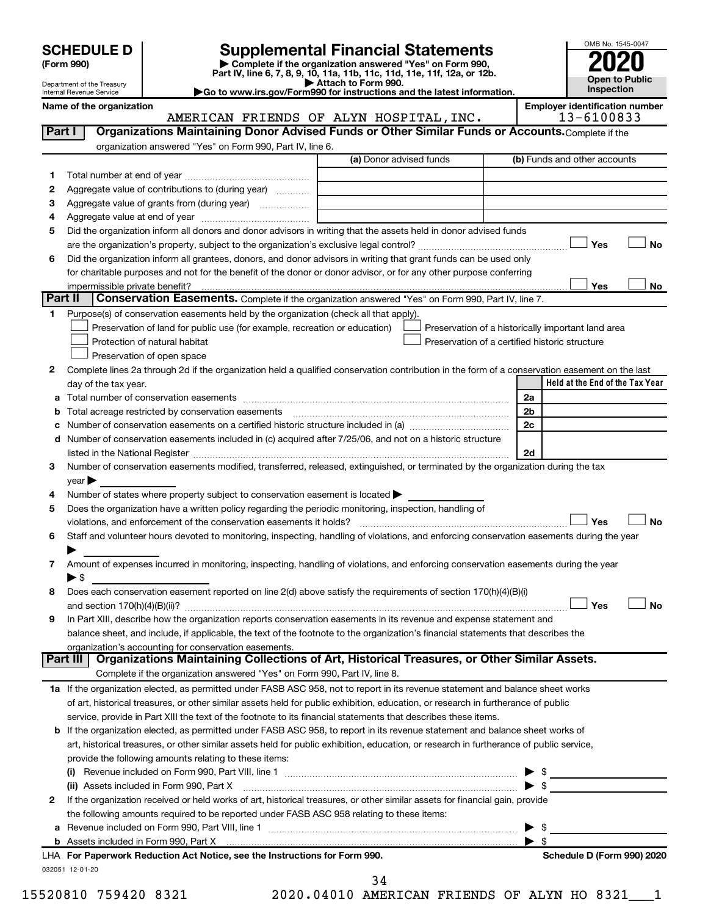| <b>SCHEDULE D</b> |  |
|-------------------|--|
|-------------------|--|

# **SCHEDULE D Supplemental Financial Statements**<br> **Form 990 2020**<br> **Part IV** line 6.7.8.9.10, 11a, 11b, 11d, 11d, 11d, 11d, 11d, 12a, 0r, 12b

**(Form 990) | Complete if the organization answered "Yes" on Form 990, Part IV, line 6, 7, 8, 9, 10, 11a, 11b, 11c, 11d, 11e, 11f, 12a, or 12b.**

**| Attach to Form 990. |Go to www.irs.gov/Form990 for instructions and the latest information.**



Department of the Treasury Internal Revenue Service

**Name of the organization**<br>**AMERICAN FRIENDS OF ALYN HOSPITAL INC** 13-6100833

|             |                                                                                                                                                | AMERICAN FRIENDS OF ALYN HOSPITAL, INC. |    | 13-6100833                                         |
|-------------|------------------------------------------------------------------------------------------------------------------------------------------------|-----------------------------------------|----|----------------------------------------------------|
| Part I      | Organizations Maintaining Donor Advised Funds or Other Similar Funds or Accounts. Complete if the                                              |                                         |    |                                                    |
|             | organization answered "Yes" on Form 990, Part IV, line 6.                                                                                      |                                         |    |                                                    |
|             |                                                                                                                                                | (a) Donor advised funds                 |    | (b) Funds and other accounts                       |
| 1           |                                                                                                                                                |                                         |    |                                                    |
| 2           | Aggregate value of contributions to (during year)                                                                                              |                                         |    |                                                    |
| з           | Aggregate value of grants from (during year)                                                                                                   |                                         |    |                                                    |
| 4           |                                                                                                                                                |                                         |    |                                                    |
| 5           | Did the organization inform all donors and donor advisors in writing that the assets held in donor advised funds                               |                                         |    |                                                    |
|             |                                                                                                                                                |                                         |    | Yes<br>No                                          |
| 6           | Did the organization inform all grantees, donors, and donor advisors in writing that grant funds can be used only                              |                                         |    |                                                    |
|             | for charitable purposes and not for the benefit of the donor or donor advisor, or for any other purpose conferring                             |                                         |    |                                                    |
|             | impermissible private benefit?                                                                                                                 |                                         |    | Yes<br>No                                          |
| Part II     | Conservation Easements. Complete if the organization answered "Yes" on Form 990, Part IV, line 7.                                              |                                         |    |                                                    |
|             |                                                                                                                                                |                                         |    |                                                    |
| $\mathbf 1$ | Purpose(s) of conservation easements held by the organization (check all that apply).                                                          |                                         |    |                                                    |
|             | Preservation of land for public use (for example, recreation or education)                                                                     |                                         |    | Preservation of a historically important land area |
|             | Protection of natural habitat                                                                                                                  |                                         |    | Preservation of a certified historic structure     |
|             | Preservation of open space                                                                                                                     |                                         |    |                                                    |
| 2           | Complete lines 2a through 2d if the organization held a qualified conservation contribution in the form of a conservation easement on the last |                                         |    |                                                    |
|             | day of the tax year.                                                                                                                           |                                         |    | Held at the End of the Tax Year                    |
|             |                                                                                                                                                |                                         | 2a |                                                    |
| b           | Total acreage restricted by conservation easements                                                                                             |                                         | 2b |                                                    |
| с           | Number of conservation easements on a certified historic structure included in (a) manufacture included in (a)                                 |                                         | 2c |                                                    |
|             | d Number of conservation easements included in (c) acquired after 7/25/06, and not on a historic structure                                     |                                         |    |                                                    |
|             |                                                                                                                                                |                                         | 2d |                                                    |
| з           | Number of conservation easements modified, transferred, released, extinguished, or terminated by the organization during the tax               |                                         |    |                                                    |
|             | $year \triangleright$                                                                                                                          |                                         |    |                                                    |
| 4           | Number of states where property subject to conservation easement is located >                                                                  |                                         |    |                                                    |
| 5           | Does the organization have a written policy regarding the periodic monitoring, inspection, handling of                                         |                                         |    |                                                    |
|             | violations, and enforcement of the conservation easements it holds?                                                                            |                                         |    | Yes<br>No                                          |
| 6           | Staff and volunteer hours devoted to monitoring, inspecting, handling of violations, and enforcing conservation easements during the year      |                                         |    |                                                    |
|             |                                                                                                                                                |                                         |    |                                                    |
| 7           | Amount of expenses incurred in monitoring, inspecting, handling of violations, and enforcing conservation easements during the year            |                                         |    |                                                    |
|             | ► S                                                                                                                                            |                                         |    |                                                    |
| 8           | Does each conservation easement reported on line 2(d) above satisfy the requirements of section 170(h)(4)(B)(i)                                |                                         |    |                                                    |
|             |                                                                                                                                                |                                         |    | Yes<br>No                                          |
| 9           | In Part XIII, describe how the organization reports conservation easements in its revenue and expense statement and                            |                                         |    |                                                    |
|             | balance sheet, and include, if applicable, the text of the footnote to the organization's financial statements that describes the              |                                         |    |                                                    |
|             | organization's accounting for conservation easements.                                                                                          |                                         |    |                                                    |
|             | Organizations Maintaining Collections of Art, Historical Treasures, or Other Similar Assets.<br>Part III                                       |                                         |    |                                                    |
|             | Complete if the organization answered "Yes" on Form 990, Part IV, line 8.                                                                      |                                         |    |                                                    |
|             | 1a If the organization elected, as permitted under FASB ASC 958, not to report in its revenue statement and balance sheet works                |                                         |    |                                                    |
|             | of art, historical treasures, or other similar assets held for public exhibition, education, or research in furtherance of public              |                                         |    |                                                    |
|             | service, provide in Part XIII the text of the footnote to its financial statements that describes these items.                                 |                                         |    |                                                    |
|             | <b>b</b> If the organization elected, as permitted under FASB ASC 958, to report in its revenue statement and balance sheet works of           |                                         |    |                                                    |
|             | art, historical treasures, or other similar assets held for public exhibition, education, or research in furtherance of public service,        |                                         |    |                                                    |
|             | provide the following amounts relating to these items:                                                                                         |                                         |    |                                                    |
|             |                                                                                                                                                |                                         |    |                                                    |
|             | (ii) Assets included in Form 990, Part X                                                                                                       |                                         |    | $\blacktriangleright$ s                            |
| 2           | If the organization received or held works of art, historical treasures, or other similar assets for financial gain, provide                   |                                         |    |                                                    |
|             | the following amounts required to be reported under FASB ASC 958 relating to these items:                                                      |                                         |    |                                                    |
|             |                                                                                                                                                |                                         |    |                                                    |
|             |                                                                                                                                                |                                         |    | $\blacktriangleright$ s                            |
|             | LHA For Paperwork Reduction Act Notice, see the Instructions for Form 990.                                                                     |                                         |    | Schedule D (Form 990) 2020                         |
|             | 032051 12-01-20                                                                                                                                |                                         |    |                                                    |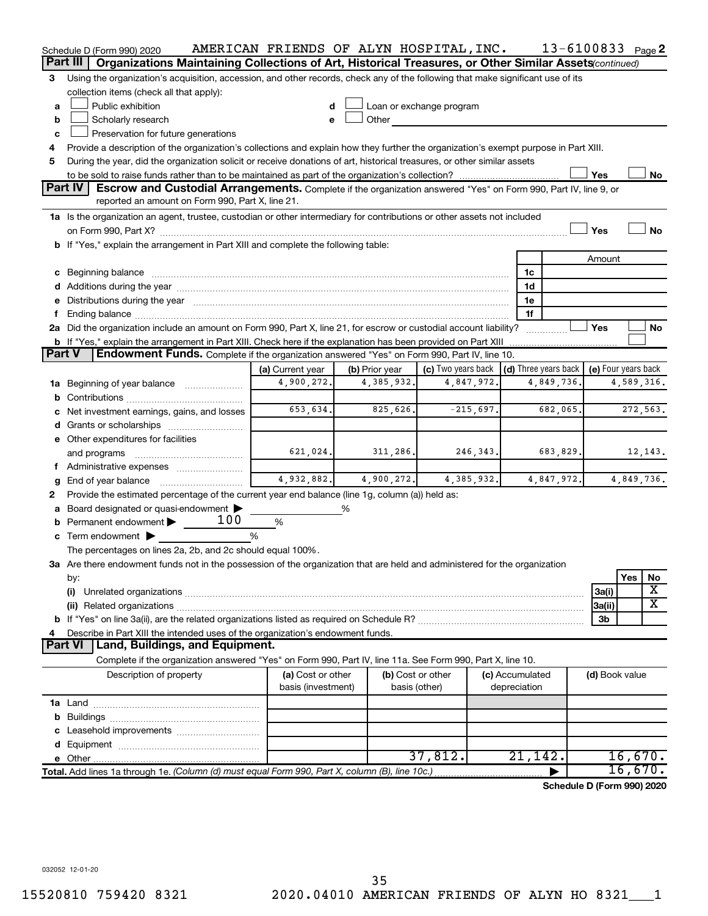|               | Schedule D (Form 990) 2020                                                                                                                                                                                                     | AMERICAN FRIENDS OF ALYN HOSPITAL, INC. |                |                          |             |                              | 13-6100833 Page 2          |            |           |
|---------------|--------------------------------------------------------------------------------------------------------------------------------------------------------------------------------------------------------------------------------|-----------------------------------------|----------------|--------------------------|-------------|------------------------------|----------------------------|------------|-----------|
| Part III      | Organizations Maintaining Collections of Art, Historical Treasures, or Other Similar Assets(continued)                                                                                                                         |                                         |                |                          |             |                              |                            |            |           |
| 3             | Using the organization's acquisition, accession, and other records, check any of the following that make significant use of its                                                                                                |                                         |                |                          |             |                              |                            |            |           |
|               | collection items (check all that apply):                                                                                                                                                                                       |                                         |                |                          |             |                              |                            |            |           |
| a             | Public exhibition                                                                                                                                                                                                              | d                                       |                | Loan or exchange program |             |                              |                            |            |           |
| b             | Scholarly research                                                                                                                                                                                                             | e                                       | Other          |                          |             |                              |                            |            |           |
| c             | Preservation for future generations                                                                                                                                                                                            |                                         |                |                          |             |                              |                            |            |           |
| 4             | Provide a description of the organization's collections and explain how they further the organization's exempt purpose in Part XIII.                                                                                           |                                         |                |                          |             |                              |                            |            |           |
| 5             | During the year, did the organization solicit or receive donations of art, historical treasures, or other similar assets                                                                                                       |                                         |                |                          |             |                              |                            |            |           |
|               |                                                                                                                                                                                                                                |                                         |                |                          |             |                              | Yes                        |            | No        |
|               | <b>Part IV</b><br>Escrow and Custodial Arrangements. Complete if the organization answered "Yes" on Form 990, Part IV, line 9, or<br>reported an amount on Form 990, Part X, line 21.                                          |                                         |                |                          |             |                              |                            |            |           |
|               | 1a Is the organization an agent, trustee, custodian or other intermediary for contributions or other assets not included                                                                                                       |                                         |                |                          |             |                              |                            |            |           |
|               |                                                                                                                                                                                                                                |                                         |                |                          |             |                              | Yes                        |            | <b>No</b> |
|               | b If "Yes," explain the arrangement in Part XIII and complete the following table:                                                                                                                                             |                                         |                |                          |             |                              |                            |            |           |
|               |                                                                                                                                                                                                                                |                                         |                |                          |             |                              | Amount                     |            |           |
|               | c Beginning balance measurements and the contract of the contract of the contract of the contract of the contract of the contract of the contract of the contract of the contract of the contract of the contract of the contr |                                         |                |                          |             | 1c                           |                            |            |           |
|               |                                                                                                                                                                                                                                |                                         |                |                          |             | 1d                           |                            |            |           |
|               | e Distributions during the year manufactured and continuum and control of the state of the Distributions during the year                                                                                                       |                                         |                |                          |             | 1e                           |                            |            |           |
|               |                                                                                                                                                                                                                                |                                         |                |                          |             | 1f                           |                            |            |           |
|               | 2a Did the organization include an amount on Form 990, Part X, line 21, for escrow or custodial account liability?                                                                                                             |                                         |                |                          |             |                              | Yes                        |            | No        |
|               | b If "Yes," explain the arrangement in Part XIII. Check here if the explanation has been provided on Part XIII                                                                                                                 |                                         |                |                          |             |                              |                            |            |           |
| <b>Part V</b> | <b>Endowment Funds.</b> Complete if the organization answered "Yes" on Form 990, Part IV, line 10.                                                                                                                             |                                         |                |                          |             |                              |                            |            |           |
|               |                                                                                                                                                                                                                                | (a) Current year                        | (b) Prior year | (c) Two years back       |             | $\vert$ (d) Three years back | (e) Four years back        |            |           |
|               | <b>1a</b> Beginning of year balance <i>manument</i>                                                                                                                                                                            | 4,900,272.                              | 4,385,932.     |                          | 4,847,972.  | 4,849,736.                   |                            | 4,589,316. |           |
| b             |                                                                                                                                                                                                                                |                                         |                |                          |             |                              |                            |            |           |
|               | Net investment earnings, gains, and losses                                                                                                                                                                                     | 653,634.                                | 825,626.       |                          | $-215,697.$ | 682,065.                     |                            | 272,563.   |           |
|               |                                                                                                                                                                                                                                |                                         |                |                          |             |                              |                            |            |           |
|               | e Other expenditures for facilities                                                                                                                                                                                            | 621,024.                                | 311,286.       |                          |             |                              |                            |            | 12, 143.  |
|               | and programs                                                                                                                                                                                                                   |                                         |                |                          | 246,343.    | 683,829.                     |                            |            |           |
|               |                                                                                                                                                                                                                                | 4,932,882.                              | 4,900,272.     |                          | 4,385,932.  | 4,847,972.                   |                            | 4,849,736. |           |
| g<br>2        | End of year balance<br>Provide the estimated percentage of the current year end balance (line 1g, column (a)) held as:                                                                                                         |                                         |                |                          |             |                              |                            |            |           |
|               | Board designated or quasi-endowment                                                                                                                                                                                            |                                         | ℅              |                          |             |                              |                            |            |           |
|               | 100<br><b>b</b> Permanent endowment $\blacktriangleright$                                                                                                                                                                      | $\%$                                    |                |                          |             |                              |                            |            |           |
|               | c Term endowment $\blacktriangleright$                                                                                                                                                                                         | %                                       |                |                          |             |                              |                            |            |           |
|               | The percentages on lines 2a, 2b, and 2c should equal 100%.                                                                                                                                                                     |                                         |                |                          |             |                              |                            |            |           |
|               | 3a Are there endowment funds not in the possession of the organization that are held and administered for the organization                                                                                                     |                                         |                |                          |             |                              |                            |            |           |
|               | by:                                                                                                                                                                                                                            |                                         |                |                          |             |                              |                            | Yes        | No        |
|               | (i)                                                                                                                                                                                                                            |                                         |                |                          |             |                              | 3a(i)                      |            | х         |
|               |                                                                                                                                                                                                                                |                                         |                |                          |             |                              | 3a(ii)                     |            | х         |
|               |                                                                                                                                                                                                                                |                                         |                |                          |             |                              | 3b                         |            |           |
|               | Describe in Part XIII the intended uses of the organization's endowment funds.                                                                                                                                                 |                                         |                |                          |             |                              |                            |            |           |
|               | Land, Buildings, and Equipment.<br><b>Part VI</b>                                                                                                                                                                              |                                         |                |                          |             |                              |                            |            |           |
|               | Complete if the organization answered "Yes" on Form 990, Part IV, line 11a. See Form 990, Part X, line 10.                                                                                                                     |                                         |                |                          |             |                              |                            |            |           |
|               | Description of property                                                                                                                                                                                                        | (a) Cost or other                       |                | (b) Cost or other        |             | (c) Accumulated              | (d) Book value             |            |           |
|               |                                                                                                                                                                                                                                | basis (investment)                      |                | basis (other)            |             | depreciation                 |                            |            |           |
|               |                                                                                                                                                                                                                                |                                         |                |                          |             |                              |                            |            |           |
|               |                                                                                                                                                                                                                                |                                         |                |                          |             |                              |                            |            |           |
|               |                                                                                                                                                                                                                                |                                         |                |                          |             |                              |                            |            |           |
|               |                                                                                                                                                                                                                                |                                         |                |                          |             |                              |                            |            |           |
|               |                                                                                                                                                                                                                                |                                         |                | 37,812.                  |             | 21,142.                      |                            | 16,670.    |           |
|               | Total. Add lines 1a through 1e. (Column (d) must equal Form 990, Part X, column (B), line 10c.)                                                                                                                                |                                         |                |                          |             |                              |                            | 16,670.    |           |
|               |                                                                                                                                                                                                                                |                                         |                |                          |             |                              | Schedule D (Form 990) 2020 |            |           |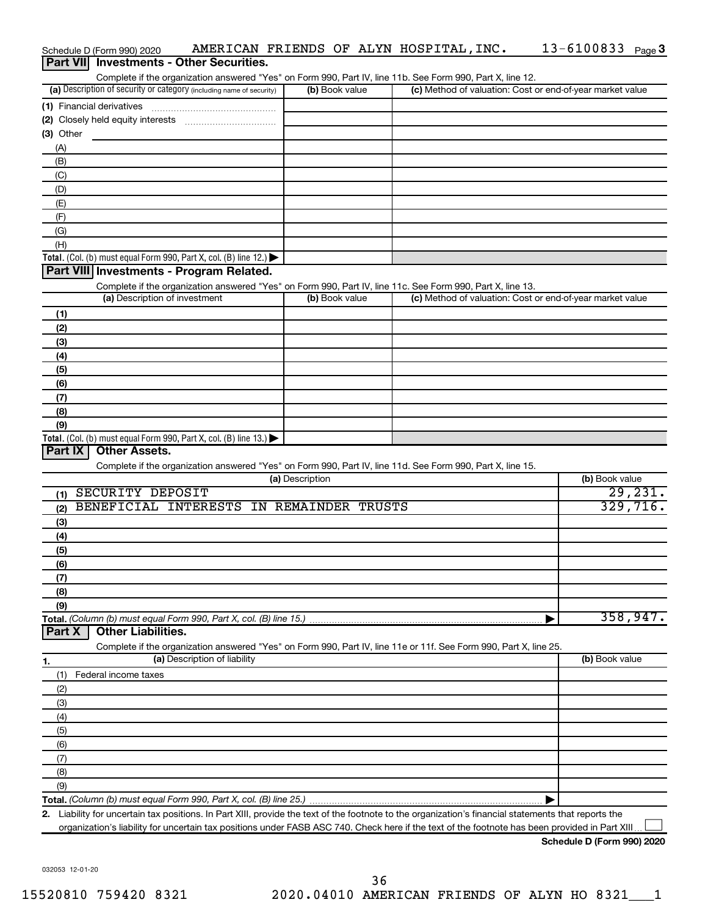|                  | Schedule D (Form 990) 2020                                                             |                                        |                                          | AMERICAN FRIENDS OF ALYN HOSPITAL, INC.                                                                                                              | 13-6100833<br>Page 3                                      |
|------------------|----------------------------------------------------------------------------------------|----------------------------------------|------------------------------------------|------------------------------------------------------------------------------------------------------------------------------------------------------|-----------------------------------------------------------|
| <b>Part VIII</b> |                                                                                        | <b>Investments - Other Securities.</b> |                                          |                                                                                                                                                      |                                                           |
|                  |                                                                                        |                                        |                                          | Complete if the organization answered "Yes" on Form 990, Part IV, line 11b. See Form 990, Part X, line 12.                                           |                                                           |
|                  | (a) Description of security or category (including name of security)                   |                                        | (b) Book value                           |                                                                                                                                                      | (c) Method of valuation: Cost or end-of-year market value |
|                  | (1) Financial derivatives                                                              |                                        |                                          |                                                                                                                                                      |                                                           |
|                  |                                                                                        |                                        |                                          |                                                                                                                                                      |                                                           |
| (3) Other        |                                                                                        |                                        |                                          |                                                                                                                                                      |                                                           |
| (A)              |                                                                                        |                                        |                                          |                                                                                                                                                      |                                                           |
| (B)              |                                                                                        |                                        |                                          |                                                                                                                                                      |                                                           |
| (C)              |                                                                                        |                                        |                                          |                                                                                                                                                      |                                                           |
| (D)              |                                                                                        |                                        |                                          |                                                                                                                                                      |                                                           |
| (E)              |                                                                                        |                                        |                                          |                                                                                                                                                      |                                                           |
| (F)              |                                                                                        |                                        |                                          |                                                                                                                                                      |                                                           |
| (G)              |                                                                                        |                                        |                                          |                                                                                                                                                      |                                                           |
| (H)              |                                                                                        |                                        |                                          |                                                                                                                                                      |                                                           |
|                  | Total. (Col. (b) must equal Form 990, Part X, col. (B) line 12.) $\blacktriangleright$ |                                        |                                          |                                                                                                                                                      |                                                           |
|                  | Part VIII Investments - Program Related.                                               |                                        |                                          |                                                                                                                                                      |                                                           |
|                  |                                                                                        |                                        |                                          | Complete if the organization answered "Yes" on Form 990, Part IV, line 11c. See Form 990, Part X, line 13.                                           |                                                           |
|                  | (a) Description of investment                                                          |                                        | (b) Book value                           |                                                                                                                                                      | (c) Method of valuation: Cost or end-of-year market value |
| (1)              |                                                                                        |                                        |                                          |                                                                                                                                                      |                                                           |
| (2)              |                                                                                        |                                        |                                          |                                                                                                                                                      |                                                           |
| (3)              |                                                                                        |                                        |                                          |                                                                                                                                                      |                                                           |
| (4)              |                                                                                        |                                        |                                          |                                                                                                                                                      |                                                           |
| (5)              |                                                                                        |                                        |                                          |                                                                                                                                                      |                                                           |
| (6)              |                                                                                        |                                        |                                          |                                                                                                                                                      |                                                           |
| (7)              |                                                                                        |                                        |                                          |                                                                                                                                                      |                                                           |
| (8)              |                                                                                        |                                        |                                          |                                                                                                                                                      |                                                           |
| (9)              |                                                                                        |                                        |                                          |                                                                                                                                                      |                                                           |
|                  | Total. (Col. (b) must equal Form 990, Part X, col. (B) line 13.)                       |                                        |                                          |                                                                                                                                                      |                                                           |
| Part IX          | <b>Other Assets.</b>                                                                   |                                        |                                          |                                                                                                                                                      |                                                           |
|                  |                                                                                        |                                        |                                          | Complete if the organization answered "Yes" on Form 990, Part IV, line 11d. See Form 990, Part X, line 15.                                           |                                                           |
|                  |                                                                                        |                                        | (a) Description                          |                                                                                                                                                      | (b) Book value                                            |
| (1)              | SECURITY DEPOSIT                                                                       |                                        |                                          |                                                                                                                                                      | 29,231.                                                   |
| (2)              |                                                                                        |                                        | BENEFICIAL INTERESTS IN REMAINDER TRUSTS |                                                                                                                                                      | 329,716.                                                  |
| (3)              |                                                                                        |                                        |                                          |                                                                                                                                                      |                                                           |
| (4)              |                                                                                        |                                        |                                          |                                                                                                                                                      |                                                           |
| (5)              |                                                                                        |                                        |                                          |                                                                                                                                                      |                                                           |
| (6)              |                                                                                        |                                        |                                          |                                                                                                                                                      |                                                           |
| (7)              |                                                                                        |                                        |                                          |                                                                                                                                                      |                                                           |
| (8)              |                                                                                        |                                        |                                          |                                                                                                                                                      |                                                           |
| (9)              |                                                                                        |                                        |                                          |                                                                                                                                                      |                                                           |
|                  | Total. (Column (b) must equal Form 990, Part X, col. (B) line 15.)                     |                                        |                                          |                                                                                                                                                      | 358, 947.                                                 |
| Part X           | <b>Other Liabilities.</b>                                                              |                                        |                                          |                                                                                                                                                      |                                                           |
|                  |                                                                                        |                                        |                                          | Complete if the organization answered "Yes" on Form 990, Part IV, line 11e or 11f. See Form 990, Part X, line 25.                                    |                                                           |
| 1.               |                                                                                        | (a) Description of liability           |                                          |                                                                                                                                                      | (b) Book value                                            |
| (1)              | Federal income taxes                                                                   |                                        |                                          |                                                                                                                                                      |                                                           |
| (2)              |                                                                                        |                                        |                                          |                                                                                                                                                      |                                                           |
| (3)              |                                                                                        |                                        |                                          |                                                                                                                                                      |                                                           |
| (4)              |                                                                                        |                                        |                                          |                                                                                                                                                      |                                                           |
| (5)              |                                                                                        |                                        |                                          |                                                                                                                                                      |                                                           |
| (6)              |                                                                                        |                                        |                                          |                                                                                                                                                      |                                                           |
| (7)              |                                                                                        |                                        |                                          |                                                                                                                                                      |                                                           |
| (8)              |                                                                                        |                                        |                                          |                                                                                                                                                      |                                                           |
| (9)              |                                                                                        |                                        |                                          |                                                                                                                                                      |                                                           |
|                  |                                                                                        |                                        |                                          |                                                                                                                                                      |                                                           |
|                  |                                                                                        |                                        |                                          | 2. Liability for uncertain tax positions. In Part XIII, provide the text of the footnote to the organization's financial statements that reports the |                                                           |
|                  |                                                                                        |                                        |                                          | organization's liability for uncertain tax positions under FASB ASC 740. Check here if the text of the footnote has been provided in Part XIII.      |                                                           |

13-6100833 Page 3

032053 12-01-20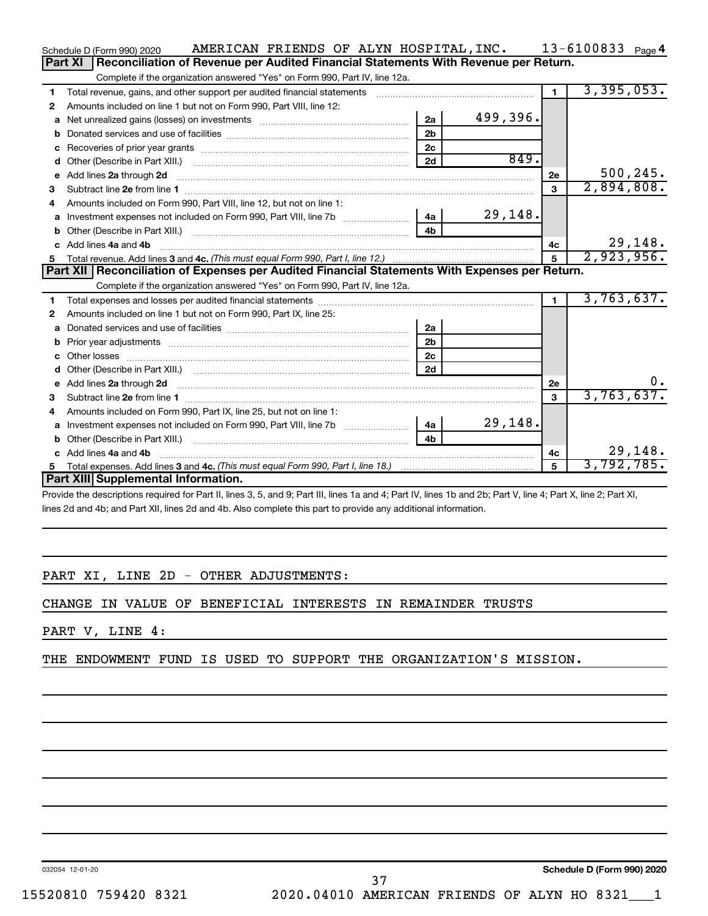|    | AMERICAN FRIENDS OF ALYN HOSPITAL, INC.<br>Schedule D (Form 990) 2020                                                                                                                                                               |                |          |                         | 13-6100833 $_{Page 4}$ |
|----|-------------------------------------------------------------------------------------------------------------------------------------------------------------------------------------------------------------------------------------|----------------|----------|-------------------------|------------------------|
|    | Part XI<br>Reconciliation of Revenue per Audited Financial Statements With Revenue per Return.                                                                                                                                      |                |          |                         |                        |
|    | Complete if the organization answered "Yes" on Form 990, Part IV, line 12a.                                                                                                                                                         |                |          |                         |                        |
| 1  | Total revenue, gains, and other support per audited financial statements                                                                                                                                                            |                |          | $\mathbf{1}$            | 3,395,053.             |
| 2  | Amounts included on line 1 but not on Form 990, Part VIII, line 12:                                                                                                                                                                 |                |          |                         |                        |
| a  |                                                                                                                                                                                                                                     | 2a             | 499,396. |                         |                        |
| b  |                                                                                                                                                                                                                                     | 2 <sub>b</sub> |          |                         |                        |
| c  |                                                                                                                                                                                                                                     | 2 <sub>c</sub> |          |                         |                        |
| d  |                                                                                                                                                                                                                                     | 2d             | 849.     |                         |                        |
| е  | Add lines 2a through 2d                                                                                                                                                                                                             |                |          | 2e                      | 500, 245.              |
| З  |                                                                                                                                                                                                                                     |                |          | 3                       | 2,894,808.             |
| 4  | Amounts included on Form 990, Part VIII, line 12, but not on line 1:                                                                                                                                                                |                |          |                         |                        |
|    |                                                                                                                                                                                                                                     |                | 29,148.  |                         |                        |
| b  |                                                                                                                                                                                                                                     | 4 <sub>b</sub> |          |                         |                        |
| c. | Add lines 4a and 4b                                                                                                                                                                                                                 |                |          | 4с                      | 29,148.                |
|    |                                                                                                                                                                                                                                     |                |          | 5                       | 2,923,956.             |
|    |                                                                                                                                                                                                                                     |                |          |                         |                        |
|    | Part XII   Reconciliation of Expenses per Audited Financial Statements With Expenses per Return.                                                                                                                                    |                |          |                         |                        |
|    | Complete if the organization answered "Yes" on Form 990, Part IV, line 12a.                                                                                                                                                         |                |          |                         |                        |
| 1  |                                                                                                                                                                                                                                     |                |          | $\blacksquare$          | 3,763,637.             |
| 2  | Amounts included on line 1 but not on Form 990, Part IX, line 25:                                                                                                                                                                   |                |          |                         |                        |
| a  |                                                                                                                                                                                                                                     | 2a             |          |                         |                        |
| b  |                                                                                                                                                                                                                                     | 2 <sub>b</sub> |          |                         |                        |
|    |                                                                                                                                                                                                                                     | 2 <sub>c</sub> |          |                         |                        |
| d  |                                                                                                                                                                                                                                     | 2d             |          |                         |                        |
| е  | Add lines 2a through 2d <b>contained a contained a contained a contained a</b> contained a contained a contained a contained a contained a contained a contained a contained a contained a contained a contained a contained a cont |                |          | 2e                      | $0 \cdot$              |
| 3  |                                                                                                                                                                                                                                     |                |          | $\overline{\mathbf{3}}$ | 3,763,637.             |
| 4  | Amounts included on Form 990, Part IX, line 25, but not on line 1:                                                                                                                                                                  |                |          |                         |                        |
| a  |                                                                                                                                                                                                                                     | 4a             | 29,148.  |                         |                        |
| b  |                                                                                                                                                                                                                                     | 4 <sub>b</sub> |          |                         |                        |
|    | c Add lines 4a and 4b                                                                                                                                                                                                               |                |          | 4c                      | 29,148.                |
| 5  | Part XIII Supplemental Information.                                                                                                                                                                                                 |                |          | 5                       | 3,792,785.             |

Provide the descriptions required for Part II, lines 3, 5, and 9; Part III, lines 1a and 4; Part IV, lines 1b and 2b; Part V, line 4; Part X, line 2; Part XI, lines 2d and 4b; and Part XII, lines 2d and 4b. Also complete this part to provide any additional information.

# PART XI, LINE 2D - OTHER ADJUSTMENTS:

CHANGE IN VALUE OF BENEFICIAL INTERESTS IN REMAINDER TRUSTS

# PART V, LINE 4:

THE ENDOWMENT FUND IS USED TO SUPPORT THE ORGANIZATION'S MISSION.

032054 12-01-20

**Schedule D (Form 990) 2020**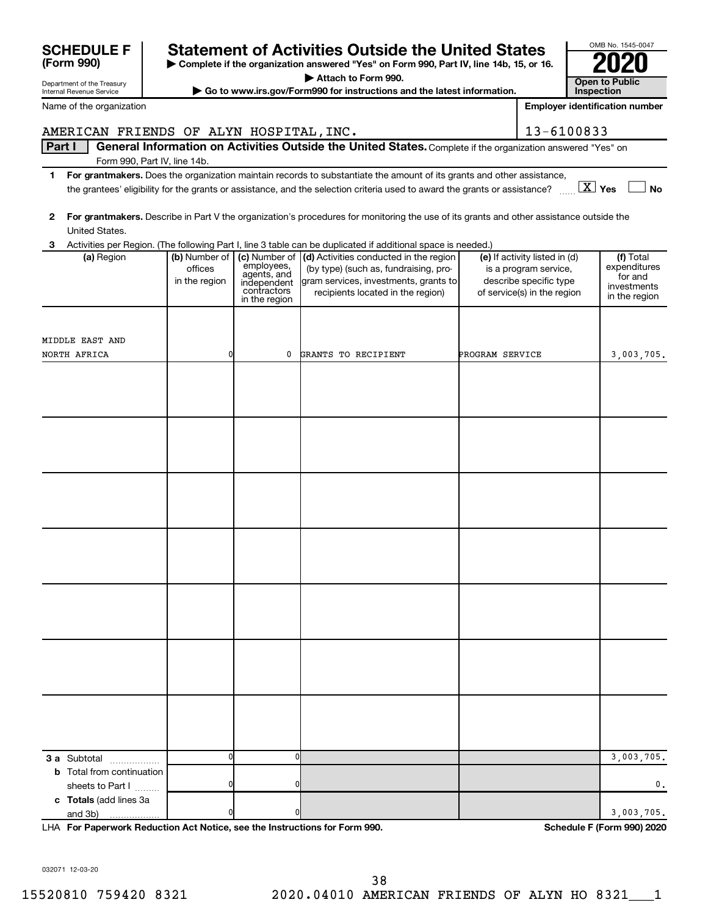|                                                                                                                                    |                                           |                                                                                           | Attach to Form 990.                                                                                                                                           |                 |                                                                                                                 |                                                                      |  |  |
|------------------------------------------------------------------------------------------------------------------------------------|-------------------------------------------|-------------------------------------------------------------------------------------------|---------------------------------------------------------------------------------------------------------------------------------------------------------------|-----------------|-----------------------------------------------------------------------------------------------------------------|----------------------------------------------------------------------|--|--|
| Department of the Treasury<br>► Go to www.irs.gov/Form990 for instructions and the latest information.<br>Internal Revenue Service |                                           |                                                                                           |                                                                                                                                                               |                 |                                                                                                                 | <b>Open to Public</b><br>Inspection                                  |  |  |
| Name of the organization                                                                                                           |                                           |                                                                                           |                                                                                                                                                               |                 |                                                                                                                 | <b>Employer identification number</b>                                |  |  |
| AMERICAN FRIENDS OF ALYN HOSPITAL, INC.                                                                                            |                                           |                                                                                           |                                                                                                                                                               |                 | 13-6100833                                                                                                      |                                                                      |  |  |
| Part I                                                                                                                             |                                           |                                                                                           | General Information on Activities Outside the United States. Complete if the organization answered "Yes" on                                                   |                 |                                                                                                                 |                                                                      |  |  |
|                                                                                                                                    | Form 990, Part IV, line 14b.              |                                                                                           |                                                                                                                                                               |                 |                                                                                                                 |                                                                      |  |  |
| 1                                                                                                                                  |                                           |                                                                                           | For grantmakers. Does the organization maintain records to substantiate the amount of its grants and other assistance,                                        |                 |                                                                                                                 |                                                                      |  |  |
|                                                                                                                                    |                                           |                                                                                           | the grantees' eligibility for the grants or assistance, and the selection criteria used to award the grants or assistance?                                    |                 |                                                                                                                 | $\boxed{\text{X}}$ Yes<br><b>No</b>                                  |  |  |
| 2<br>United States.                                                                                                                |                                           |                                                                                           | For grantmakers. Describe in Part V the organization's procedures for monitoring the use of its grants and other assistance outside the                       |                 |                                                                                                                 |                                                                      |  |  |
| 3                                                                                                                                  |                                           |                                                                                           | Activities per Region. (The following Part I, line 3 table can be duplicated if additional space is needed.)                                                  |                 |                                                                                                                 |                                                                      |  |  |
| (a) Region                                                                                                                         | (b) Number of<br>offices<br>in the region | (c) Number of<br>employees,<br>agents, and<br>independent<br>contractors<br>in the region | (d) Activities conducted in the region<br>(by type) (such as, fundraising, pro-<br>gram services, investments, grants to<br>recipients located in the region) |                 | (e) If activity listed in (d)<br>is a program service,<br>describe specific type<br>of service(s) in the region | (f) Total<br>expenditures<br>for and<br>investments<br>in the region |  |  |
| MIDDLE EAST AND                                                                                                                    |                                           |                                                                                           |                                                                                                                                                               |                 |                                                                                                                 |                                                                      |  |  |
| NORTH AFRICA                                                                                                                       | 0                                         | 0                                                                                         | GRANTS TO RECIPIENT                                                                                                                                           | PROGRAM SERVICE |                                                                                                                 | 3,003,705.                                                           |  |  |
|                                                                                                                                    |                                           |                                                                                           |                                                                                                                                                               |                 |                                                                                                                 |                                                                      |  |  |
|                                                                                                                                    |                                           |                                                                                           |                                                                                                                                                               |                 |                                                                                                                 |                                                                      |  |  |
|                                                                                                                                    |                                           |                                                                                           |                                                                                                                                                               |                 |                                                                                                                 |                                                                      |  |  |
|                                                                                                                                    |                                           |                                                                                           |                                                                                                                                                               |                 |                                                                                                                 |                                                                      |  |  |
|                                                                                                                                    |                                           |                                                                                           |                                                                                                                                                               |                 |                                                                                                                 |                                                                      |  |  |
|                                                                                                                                    |                                           |                                                                                           |                                                                                                                                                               |                 |                                                                                                                 |                                                                      |  |  |
| <b>3 a</b> Subtotal                                                                                                                | 0                                         | 0                                                                                         |                                                                                                                                                               |                 |                                                                                                                 | 3,003,705.                                                           |  |  |
| <b>b</b> Total from continuation<br>sheets to Part I                                                                               |                                           | 0                                                                                         |                                                                                                                                                               |                 |                                                                                                                 | 0.                                                                   |  |  |
| c Totals (add lines 3a<br>and 3b)<br>.                                                                                             |                                           | 0                                                                                         |                                                                                                                                                               |                 |                                                                                                                 | 3,003,705.                                                           |  |  |

**For Paperwork Reduction Act Notice, see the Instructions for Form 990. Schedule F (Form 990) 2020** LHA

032071 12-03-20

15520810 759420 8321 2020.04010 AMERICAN FRIENDS OF ALYN HO 8321\_\_\_1 38

#### **| Complete if the organization answered "Yes" on Form 990, Part IV, line 14b, 15, or 16. (Form 990)** Statement of Activities Outside the United States<br> **Depromplete if the organization answered "Yes" on Form 990, Part IV, line 14b, 15, or 16. 2020**

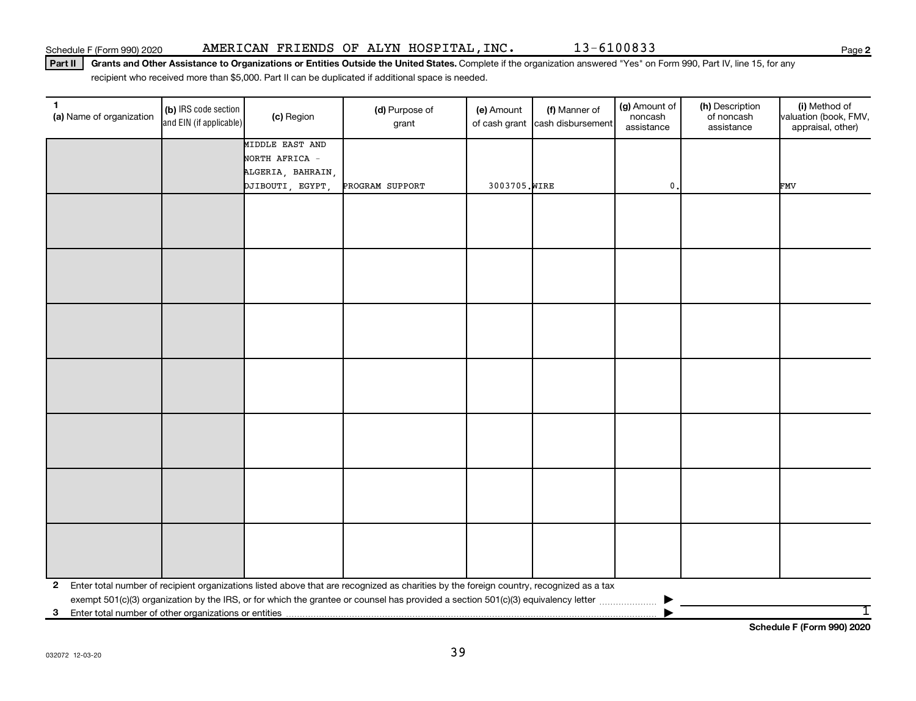Part II | Grants and Other Assistance to Organizations or Entities Outside the United States. Complete if the organization answered "Yes" on Form 990, Part IV, line 15, for any recipient who received more than \$5,000. Part II can be duplicated if additional space is needed.

| (b) IRS code section                                                                                                                                    | (c) Region | (d) Purpose of<br>grant                                                                               | (e) Amount      | (f) Manner of | (g) Amount of<br>noncash<br>assistance           | (h) Description<br>of noncash<br>assistance | (i) Method of<br>valuation (book, FMV,<br>appraisal, other) |  |  |  |
|---------------------------------------------------------------------------------------------------------------------------------------------------------|------------|-------------------------------------------------------------------------------------------------------|-----------------|---------------|--------------------------------------------------|---------------------------------------------|-------------------------------------------------------------|--|--|--|
|                                                                                                                                                         |            |                                                                                                       |                 |               |                                                  |                                             |                                                             |  |  |  |
|                                                                                                                                                         |            |                                                                                                       |                 |               |                                                  |                                             |                                                             |  |  |  |
|                                                                                                                                                         |            |                                                                                                       |                 |               |                                                  |                                             |                                                             |  |  |  |
|                                                                                                                                                         |            |                                                                                                       |                 |               |                                                  |                                             | <b>FMV</b>                                                  |  |  |  |
|                                                                                                                                                         |            |                                                                                                       |                 |               |                                                  |                                             |                                                             |  |  |  |
|                                                                                                                                                         |            |                                                                                                       |                 |               |                                                  |                                             |                                                             |  |  |  |
|                                                                                                                                                         |            |                                                                                                       |                 |               |                                                  |                                             |                                                             |  |  |  |
|                                                                                                                                                         |            |                                                                                                       |                 |               |                                                  |                                             |                                                             |  |  |  |
|                                                                                                                                                         |            |                                                                                                       |                 |               |                                                  |                                             |                                                             |  |  |  |
|                                                                                                                                                         |            |                                                                                                       |                 |               |                                                  |                                             |                                                             |  |  |  |
|                                                                                                                                                         |            |                                                                                                       |                 |               |                                                  |                                             |                                                             |  |  |  |
|                                                                                                                                                         |            |                                                                                                       |                 |               |                                                  |                                             |                                                             |  |  |  |
|                                                                                                                                                         |            |                                                                                                       |                 |               |                                                  |                                             |                                                             |  |  |  |
|                                                                                                                                                         |            |                                                                                                       |                 |               |                                                  |                                             |                                                             |  |  |  |
|                                                                                                                                                         |            |                                                                                                       |                 |               |                                                  |                                             |                                                             |  |  |  |
|                                                                                                                                                         |            |                                                                                                       |                 |               |                                                  |                                             |                                                             |  |  |  |
|                                                                                                                                                         |            |                                                                                                       |                 |               |                                                  |                                             |                                                             |  |  |  |
|                                                                                                                                                         |            |                                                                                                       |                 |               |                                                  |                                             |                                                             |  |  |  |
|                                                                                                                                                         |            |                                                                                                       |                 |               |                                                  |                                             |                                                             |  |  |  |
|                                                                                                                                                         |            |                                                                                                       |                 |               |                                                  |                                             |                                                             |  |  |  |
|                                                                                                                                                         |            |                                                                                                       |                 |               |                                                  |                                             |                                                             |  |  |  |
|                                                                                                                                                         |            |                                                                                                       |                 |               |                                                  |                                             |                                                             |  |  |  |
|                                                                                                                                                         |            |                                                                                                       |                 |               |                                                  |                                             |                                                             |  |  |  |
|                                                                                                                                                         |            |                                                                                                       |                 |               |                                                  |                                             |                                                             |  |  |  |
|                                                                                                                                                         |            |                                                                                                       |                 |               |                                                  |                                             |                                                             |  |  |  |
|                                                                                                                                                         |            |                                                                                                       |                 |               |                                                  |                                             |                                                             |  |  |  |
| Enter total number of recipient organizations listed above that are recognized as charities by the foreign country, recognized as a tax<br>$\mathbf{2}$ |            |                                                                                                       |                 |               |                                                  |                                             |                                                             |  |  |  |
|                                                                                                                                                         |            |                                                                                                       |                 |               |                                                  |                                             | 1                                                           |  |  |  |
|                                                                                                                                                         |            | and EIN (if applicable)<br>MIDDLE EAST AND<br>NORTH AFRICA -<br>ALGERIA, BAHRAIN,<br>DJIBOUTI, EGYPT, | PROGRAM SUPPORT |               | of cash grant cash disbursement<br>3003705. WIRE | $\mathbf{0}$ .                              |                                                             |  |  |  |

**Schedule F (Form 990) 2020**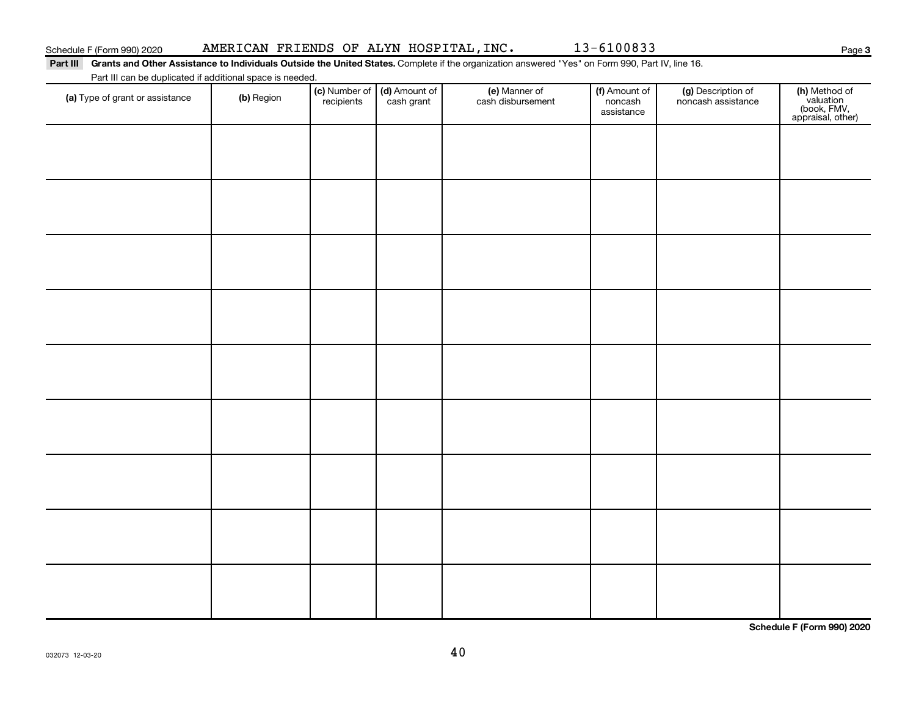032073 12-03-20

40

| Fait in carrier duplicated in additional space is riceded.<br>(a) Type of grant or assistance | (b) Region | recipients | (c) Number of $\vert$ (d) Amount of<br>cash grant | (e) Manner of<br>cash disbursement | (f) Amount of<br>noncash<br>assistance | (g) Description of<br>noncash assistance | (h) Method of<br>valuation<br>(book, FMV,<br>appraisal, other) |
|-----------------------------------------------------------------------------------------------|------------|------------|---------------------------------------------------|------------------------------------|----------------------------------------|------------------------------------------|----------------------------------------------------------------|
|                                                                                               |            |            |                                                   |                                    |                                        |                                          |                                                                |
|                                                                                               |            |            |                                                   |                                    |                                        |                                          |                                                                |
|                                                                                               |            |            |                                                   |                                    |                                        |                                          |                                                                |
|                                                                                               |            |            |                                                   |                                    |                                        |                                          |                                                                |
|                                                                                               |            |            |                                                   |                                    |                                        |                                          |                                                                |
|                                                                                               |            |            |                                                   |                                    |                                        |                                          |                                                                |
|                                                                                               |            |            |                                                   |                                    |                                        |                                          |                                                                |
|                                                                                               |            |            |                                                   |                                    |                                        |                                          |                                                                |
|                                                                                               |            |            |                                                   |                                    |                                        |                                          |                                                                |
|                                                                                               |            |            |                                                   |                                    |                                        |                                          |                                                                |
|                                                                                               |            |            |                                                   |                                    |                                        |                                          |                                                                |
|                                                                                               |            |            |                                                   |                                    |                                        |                                          | Schedule F (Form 990) 2020                                     |

# Part III Grants and Other Assistance to Individuals Outside the United States. Complete if the organization answered "Yes" on Form 990, Part IV, line 16.

Part III can be duplicated if additional space is needed.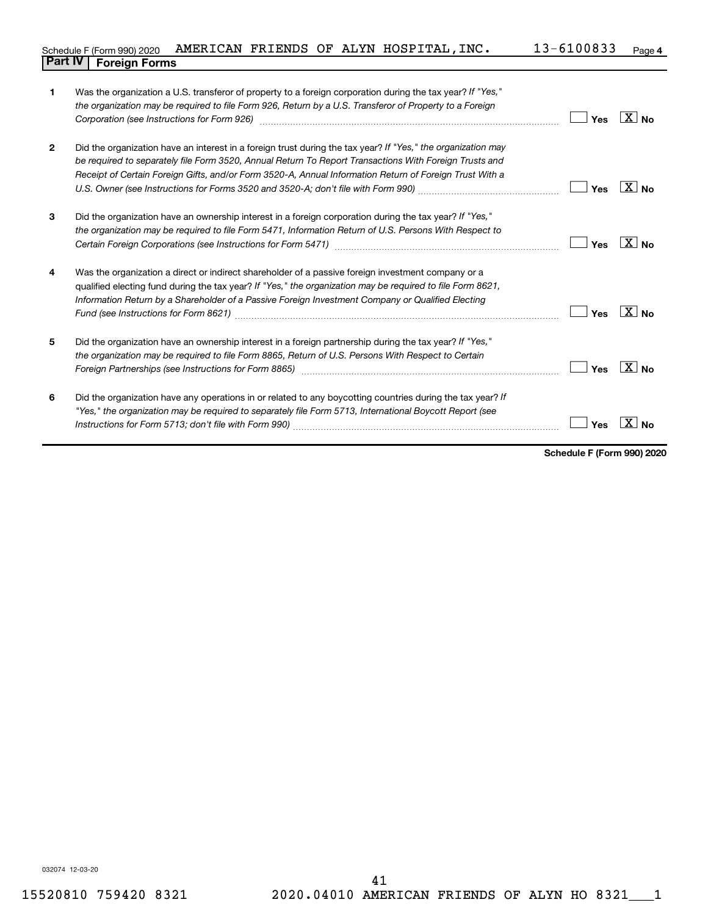#### 13-6100833 Page 4 Schedule F (Form 990) 2020 AMERICAN FRIENDS OF ALYN HOSPITAL,INC.  $13-6100833$  Page **Part IV F** (Form 990) 2020 **1**<br>**Part IV Foreign Forms**

| 1              | Was the organization a U.S. transferor of property to a foreign corporation during the tax year? If "Yes,"<br>the organization may be required to file Form 926, Return by a U.S. Transferor of Property to a Foreign<br>Corporation (see Instructions for Form 926) manufactured controller controller to the control of the control of | Yes | $\mathbf{X}$ No     |
|----------------|------------------------------------------------------------------------------------------------------------------------------------------------------------------------------------------------------------------------------------------------------------------------------------------------------------------------------------------|-----|---------------------|
| $\overline{2}$ | Did the organization have an interest in a foreign trust during the tax year? If "Yes," the organization may<br>be required to separately file Form 3520, Annual Return To Report Transactions With Foreign Trusts and<br>Receipt of Certain Foreign Gifts, and/or Form 3520-A, Annual Information Return of Foreign Trust With a        | Yes | X∣ No               |
| 3              | Did the organization have an ownership interest in a foreign corporation during the tax year? If "Yes,"<br>the organization may be required to file Form 5471, Information Return of U.S. Persons With Respect to                                                                                                                        | Yes | $X_{\text{No}}$     |
| 4              | Was the organization a direct or indirect shareholder of a passive foreign investment company or a<br>qualified electing fund during the tax year? If "Yes," the organization may be required to file Form 8621,<br>Information Return by a Shareholder of a Passive Foreign Investment Company or Qualified Electing                    | Yes | $ X _{\mathsf{No}}$ |
| 5              | Did the organization have an ownership interest in a foreign partnership during the tax year? If "Yes,"<br>the organization may be required to file Form 8865, Return of U.S. Persons With Respect to Certain                                                                                                                            | Yes | $X_{\text{No}}$     |
| 6              | Did the organization have any operations in or related to any boycotting countries during the tax year? If<br>"Yes," the organization may be required to separately file Form 5713, International Boycott Report (see                                                                                                                    | Yes |                     |

**Schedule F (Form 990) 2020**

032074 12-03-20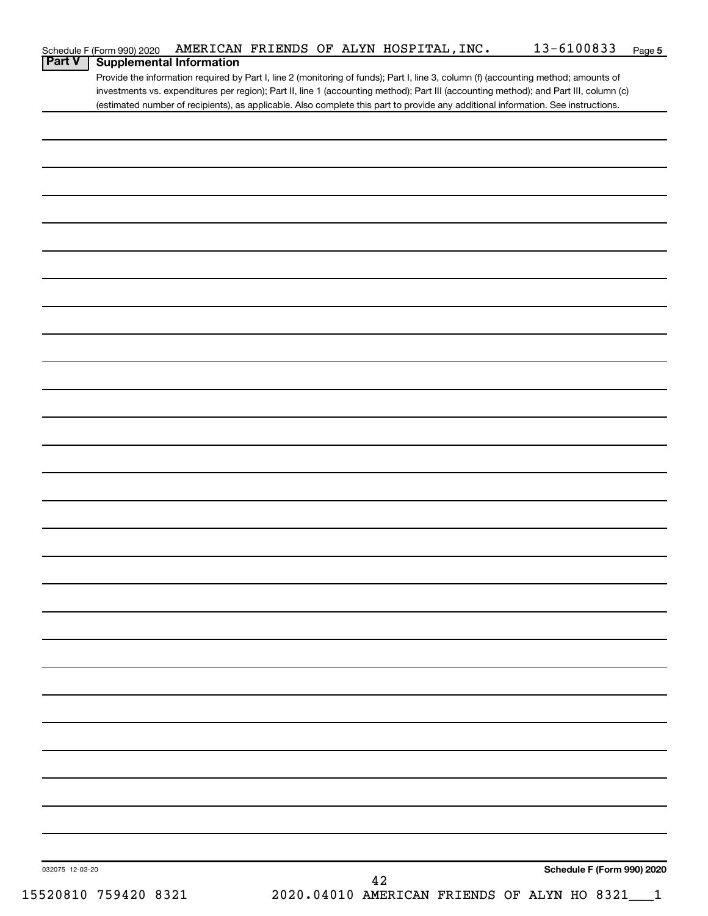| Schedule F (Form 990) 2020                       | AMERICAN FRIENDS OF ALYN HOSPITAL, INC.                                                                                               | 13-6100833<br>Page 5       |
|--------------------------------------------------|---------------------------------------------------------------------------------------------------------------------------------------|----------------------------|
| <b>Part V</b><br><b>Supplemental Information</b> |                                                                                                                                       |                            |
|                                                  | Provide the information required by Part I, line 2 (monitoring of funds); Part I, line 3, column (f) (accounting method; amounts of   |                            |
|                                                  | investments vs. expenditures per region); Part II, line 1 (accounting method); Part III (accounting method); and Part III, column (c) |                            |
|                                                  | (estimated number of recipients), as applicable. Also complete this part to provide any additional information. See instructions.     |                            |
|                                                  |                                                                                                                                       |                            |
|                                                  |                                                                                                                                       |                            |
|                                                  |                                                                                                                                       |                            |
|                                                  |                                                                                                                                       |                            |
|                                                  |                                                                                                                                       |                            |
|                                                  |                                                                                                                                       |                            |
|                                                  |                                                                                                                                       |                            |
|                                                  |                                                                                                                                       |                            |
|                                                  |                                                                                                                                       |                            |
|                                                  |                                                                                                                                       |                            |
|                                                  |                                                                                                                                       |                            |
|                                                  |                                                                                                                                       |                            |
|                                                  |                                                                                                                                       |                            |
|                                                  |                                                                                                                                       |                            |
|                                                  |                                                                                                                                       |                            |
|                                                  |                                                                                                                                       |                            |
|                                                  |                                                                                                                                       |                            |
|                                                  |                                                                                                                                       |                            |
|                                                  |                                                                                                                                       |                            |
|                                                  |                                                                                                                                       |                            |
|                                                  |                                                                                                                                       |                            |
|                                                  |                                                                                                                                       |                            |
|                                                  |                                                                                                                                       |                            |
|                                                  |                                                                                                                                       |                            |
|                                                  |                                                                                                                                       |                            |
|                                                  |                                                                                                                                       |                            |
|                                                  |                                                                                                                                       |                            |
|                                                  |                                                                                                                                       |                            |
|                                                  |                                                                                                                                       |                            |
|                                                  |                                                                                                                                       |                            |
|                                                  |                                                                                                                                       |                            |
|                                                  |                                                                                                                                       |                            |
|                                                  |                                                                                                                                       |                            |
|                                                  |                                                                                                                                       |                            |
|                                                  |                                                                                                                                       |                            |
|                                                  |                                                                                                                                       |                            |
|                                                  |                                                                                                                                       |                            |
|                                                  |                                                                                                                                       |                            |
|                                                  |                                                                                                                                       |                            |
|                                                  |                                                                                                                                       |                            |
|                                                  |                                                                                                                                       |                            |
|                                                  |                                                                                                                                       |                            |
|                                                  |                                                                                                                                       |                            |
|                                                  |                                                                                                                                       |                            |
|                                                  |                                                                                                                                       |                            |
|                                                  |                                                                                                                                       |                            |
|                                                  |                                                                                                                                       |                            |
|                                                  |                                                                                                                                       |                            |
|                                                  |                                                                                                                                       |                            |
|                                                  |                                                                                                                                       |                            |
|                                                  |                                                                                                                                       |                            |
|                                                  |                                                                                                                                       |                            |
|                                                  |                                                                                                                                       |                            |
|                                                  |                                                                                                                                       |                            |
|                                                  |                                                                                                                                       |                            |
|                                                  |                                                                                                                                       |                            |
| 032075 12-03-20                                  | 42                                                                                                                                    | Schedule F (Form 990) 2020 |
| 15520810 759420 8321                             | 2020.04010 AMERICAN FRIENDS OF ALYN HO 8321___1                                                                                       |                            |
|                                                  |                                                                                                                                       |                            |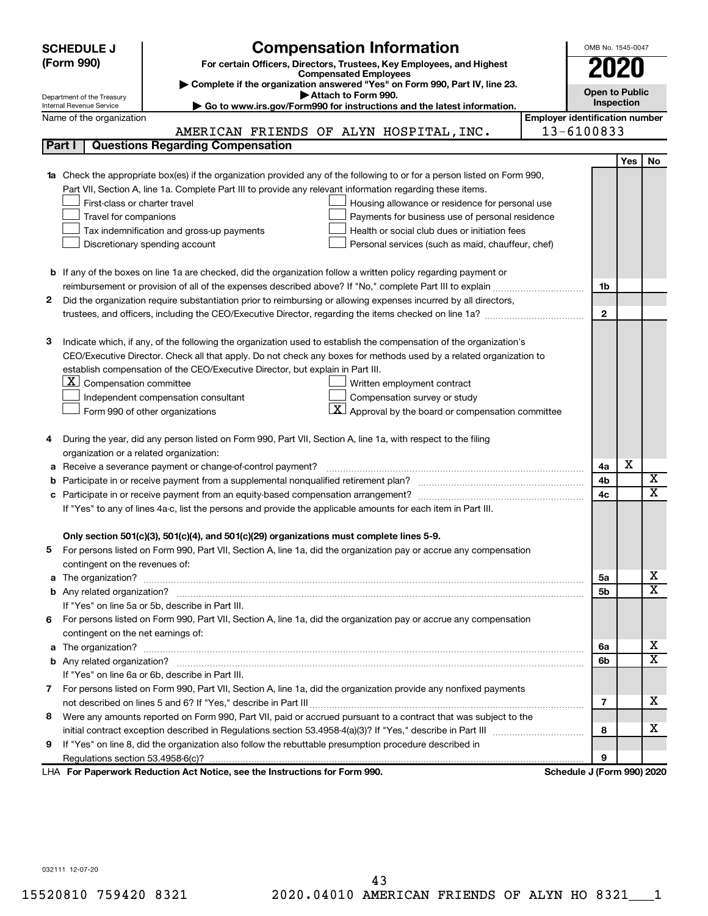|        | <b>Compensation Information</b><br><b>SCHEDULE J</b>                                                                                                    |                                       | OMB No. 1545-0047          |            |    |
|--------|---------------------------------------------------------------------------------------------------------------------------------------------------------|---------------------------------------|----------------------------|------------|----|
|        | (Form 990)<br>For certain Officers, Directors, Trustees, Key Employees, and Highest                                                                     |                                       |                            |            |    |
|        | <b>Compensated Employees</b>                                                                                                                            |                                       | 2020                       |            |    |
|        | Complete if the organization answered "Yes" on Form 990, Part IV, line 23.                                                                              |                                       | <b>Open to Public</b>      |            |    |
|        | Attach to Form 990.<br>Department of the Treasury<br>Go to www.irs.gov/Form990 for instructions and the latest information.<br>Internal Revenue Service |                                       | Inspection                 |            |    |
|        | Name of the organization                                                                                                                                | <b>Employer identification number</b> |                            |            |    |
|        | AMERICAN FRIENDS OF ALYN HOSPITAL, INC.                                                                                                                 |                                       | 13-6100833                 |            |    |
|        | <b>Questions Regarding Compensation</b><br>Part I                                                                                                       |                                       |                            |            |    |
|        |                                                                                                                                                         |                                       |                            | <b>Yes</b> | No |
|        | Check the appropriate box(es) if the organization provided any of the following to or for a person listed on Form 990,                                  |                                       |                            |            |    |
|        | Part VII, Section A, line 1a. Complete Part III to provide any relevant information regarding these items.                                              |                                       |                            |            |    |
|        | First-class or charter travel<br>Housing allowance or residence for personal use                                                                        |                                       |                            |            |    |
|        | Travel for companions<br>Payments for business use of personal residence                                                                                |                                       |                            |            |    |
|        | Health or social club dues or initiation fees<br>Tax indemnification and gross-up payments                                                              |                                       |                            |            |    |
|        | Discretionary spending account<br>Personal services (such as maid, chauffeur, chef)                                                                     |                                       |                            |            |    |
|        |                                                                                                                                                         |                                       |                            |            |    |
|        | <b>b</b> If any of the boxes on line 1a are checked, did the organization follow a written policy regarding payment or                                  |                                       |                            |            |    |
|        |                                                                                                                                                         |                                       | 1b                         |            |    |
| 2      | Did the organization require substantiation prior to reimbursing or allowing expenses incurred by all directors,                                        |                                       |                            |            |    |
|        |                                                                                                                                                         |                                       | $\mathbf{2}$               |            |    |
|        |                                                                                                                                                         |                                       |                            |            |    |
| з      | Indicate which, if any, of the following the organization used to establish the compensation of the organization's                                      |                                       |                            |            |    |
|        | CEO/Executive Director. Check all that apply. Do not check any boxes for methods used by a related organization to                                      |                                       |                            |            |    |
|        | establish compensation of the CEO/Executive Director, but explain in Part III.                                                                          |                                       |                            |            |    |
|        | $ \mathbf{X} $ Compensation committee<br>Written employment contract                                                                                    |                                       |                            |            |    |
|        | Compensation survey or study<br>Independent compensation consultant                                                                                     |                                       |                            |            |    |
|        | $\mathbf{X}$ Approval by the board or compensation committee<br>Form 990 of other organizations                                                         |                                       |                            |            |    |
|        |                                                                                                                                                         |                                       |                            |            |    |
| 4      | During the year, did any person listed on Form 990, Part VII, Section A, line 1a, with respect to the filing                                            |                                       |                            |            |    |
|        | organization or a related organization:                                                                                                                 |                                       | 4a                         | х          |    |
| а<br>b | Receive a severance payment or change-of-control payment?                                                                                               |                                       | 4b                         |            | X  |
| с      |                                                                                                                                                         |                                       | 4c                         |            | X  |
|        | If "Yes" to any of lines 4a-c, list the persons and provide the applicable amounts for each item in Part III.                                           |                                       |                            |            |    |
|        |                                                                                                                                                         |                                       |                            |            |    |
|        | Only section 501(c)(3), 501(c)(4), and 501(c)(29) organizations must complete lines 5-9.                                                                |                                       |                            |            |    |
| b.     | For persons listed on Form 990, Part VII, Section A, line 1a, did the organization pay or accrue any compensation                                       |                                       |                            |            |    |
|        | contingent on the revenues of:                                                                                                                          |                                       |                            |            |    |
| a      |                                                                                                                                                         |                                       | 5a                         |            | x  |
|        |                                                                                                                                                         |                                       | 5b                         |            | X  |
|        | If "Yes" on line 5a or 5b, describe in Part III.                                                                                                        |                                       |                            |            |    |
|        | 6 For persons listed on Form 990, Part VII, Section A, line 1a, did the organization pay or accrue any compensation                                     |                                       |                            |            |    |
|        | contingent on the net earnings of:                                                                                                                      |                                       |                            |            |    |
| a      |                                                                                                                                                         |                                       | 6a                         |            | x  |
|        |                                                                                                                                                         |                                       | 6b                         |            | X  |
|        | If "Yes" on line 6a or 6b, describe in Part III.                                                                                                        |                                       |                            |            |    |
|        | 7 For persons listed on Form 990, Part VII, Section A, line 1a, did the organization provide any nonfixed payments                                      |                                       |                            |            |    |
|        |                                                                                                                                                         |                                       | 7                          |            | x  |
| 8      | Were any amounts reported on Form 990, Part VII, paid or accrued pursuant to a contract that was subject to the                                         |                                       |                            |            |    |
|        |                                                                                                                                                         |                                       | 8                          |            | x  |
| 9      | If "Yes" on line 8, did the organization also follow the rebuttable presumption procedure described in                                                  |                                       |                            |            |    |
|        |                                                                                                                                                         |                                       | 9                          |            |    |
|        | LHA For Paperwork Reduction Act Notice, see the Instructions for Form 990.                                                                              |                                       | Schedule J (Form 990) 2020 |            |    |

032111 12-07-20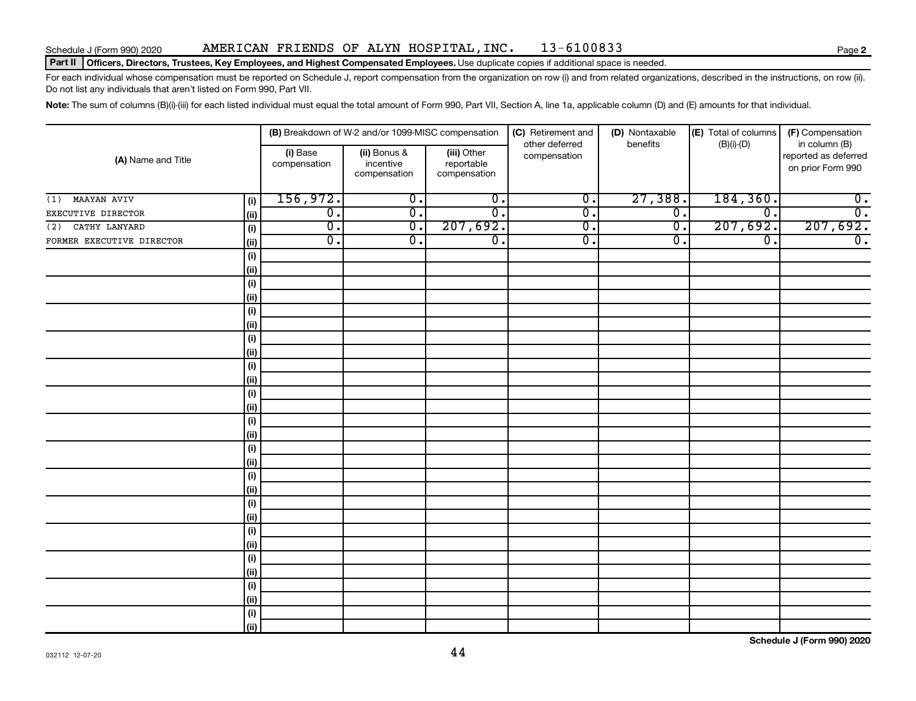## Schedule J (Form 990) 2020 Page AMERICAN FRIENDS OF ALYN HOSPITAL,INC. 13-6100833

#### Part II | Officers, Directors, Trustees, Key Employees, and Highest Compensated Employees. Use duplicate copies if additional space is needed.

For each individual whose compensation must be reported on Schedule J, report compensation from the organization on row (i) and from related organizations, described in the instructions, on row (ii). Do not list any individuals that aren't listed on Form 990, Part VII.

Note: The sum of columns (B)(i)-(iii) for each listed individual must equal the total amount of Form 990, Part VII, Section A, line 1a, applicable column (D) and (E) amounts for that individual.

|                                   | (B) Breakdown of W-2 and/or 1099-MISC compensation |                                           |                                           | (C) Retirement and<br>other deferred | (D) Nontaxable<br>benefits  | (E) Total of columns | (F) Compensation<br>in column (B)         |  |
|-----------------------------------|----------------------------------------------------|-------------------------------------------|-------------------------------------------|--------------------------------------|-----------------------------|----------------------|-------------------------------------------|--|
| (A) Name and Title                | (i) Base<br>compensation                           | (ii) Bonus &<br>incentive<br>compensation | (iii) Other<br>reportable<br>compensation | compensation                         |                             | $(B)(i)$ - $(D)$     | reported as deferred<br>on prior Form 990 |  |
| $(1)$ MAAYAN AVIV<br>(i)          | 156,972.                                           | $\overline{0}$ .                          | $\overline{0}$ .                          | $\overline{\mathfrak{o}}$ .          | 27,388.                     | 184,360.             | $\overline{0}$ .                          |  |
| EXECUTIVE DIRECTOR<br>(ii)        | $\overline{0}$ .                                   | $\overline{\mathfrak{o}}$ .               | $\overline{0}$ .                          | $\overline{\mathfrak{o}}$ .          | $\overline{0}$ .            | 0.                   | $\overline{0}$ .                          |  |
| CATHY LANYARD<br>(i)<br>(2)       | $\overline{\mathfrak{o}}$ .                        | $\overline{0}$ .                          | 207,692.                                  | $\overline{0}$ .                     | $\overline{\mathfrak{o}}$ . | 207,692.             | 207,692.                                  |  |
| FORMER EXECUTIVE DIRECTOR<br>(ii) | $\overline{0}$ .                                   | σ.                                        | $\overline{\mathfrak{o}}$ .               | $\overline{0}$ .                     | $\overline{0}$ .            | $\overline{0}$ .     | $\overline{0}$ .                          |  |
| $(\sf{i})$                        |                                                    |                                           |                                           |                                      |                             |                      |                                           |  |
| (ii)                              |                                                    |                                           |                                           |                                      |                             |                      |                                           |  |
| $(\sf{i})$                        |                                                    |                                           |                                           |                                      |                             |                      |                                           |  |
| (ii)                              |                                                    |                                           |                                           |                                      |                             |                      |                                           |  |
| (i)                               |                                                    |                                           |                                           |                                      |                             |                      |                                           |  |
| (ii)                              |                                                    |                                           |                                           |                                      |                             |                      |                                           |  |
| $(\sf{i})$                        |                                                    |                                           |                                           |                                      |                             |                      |                                           |  |
| (ii)                              |                                                    |                                           |                                           |                                      |                             |                      |                                           |  |
| $(\sf{i})$                        |                                                    |                                           |                                           |                                      |                             |                      |                                           |  |
| (ii)                              |                                                    |                                           |                                           |                                      |                             |                      |                                           |  |
| $(\sf{i})$                        |                                                    |                                           |                                           |                                      |                             |                      |                                           |  |
| (i)                               |                                                    |                                           |                                           |                                      |                             |                      |                                           |  |
| $(\sf{i})$                        |                                                    |                                           |                                           |                                      |                             |                      |                                           |  |
| (ii)                              |                                                    |                                           |                                           |                                      |                             |                      |                                           |  |
| $(\sf{i})$                        |                                                    |                                           |                                           |                                      |                             |                      |                                           |  |
| (i)                               |                                                    |                                           |                                           |                                      |                             |                      |                                           |  |
| $(\sf{i})$                        |                                                    |                                           |                                           |                                      |                             |                      |                                           |  |
| (ii)                              |                                                    |                                           |                                           |                                      |                             |                      |                                           |  |
| $(\sf{i})$                        |                                                    |                                           |                                           |                                      |                             |                      |                                           |  |
| (ii)                              |                                                    |                                           |                                           |                                      |                             |                      |                                           |  |
| $(\sf{i})$<br>(i)                 |                                                    |                                           |                                           |                                      |                             |                      |                                           |  |
| $(\sf{i})$                        |                                                    |                                           |                                           |                                      |                             |                      |                                           |  |
| (ii)                              |                                                    |                                           |                                           |                                      |                             |                      |                                           |  |
| $(\sf{i})$                        |                                                    |                                           |                                           |                                      |                             |                      |                                           |  |
| (i)                               |                                                    |                                           |                                           |                                      |                             |                      |                                           |  |
| (i)                               |                                                    |                                           |                                           |                                      |                             |                      |                                           |  |
| (ii)                              |                                                    |                                           |                                           |                                      |                             |                      |                                           |  |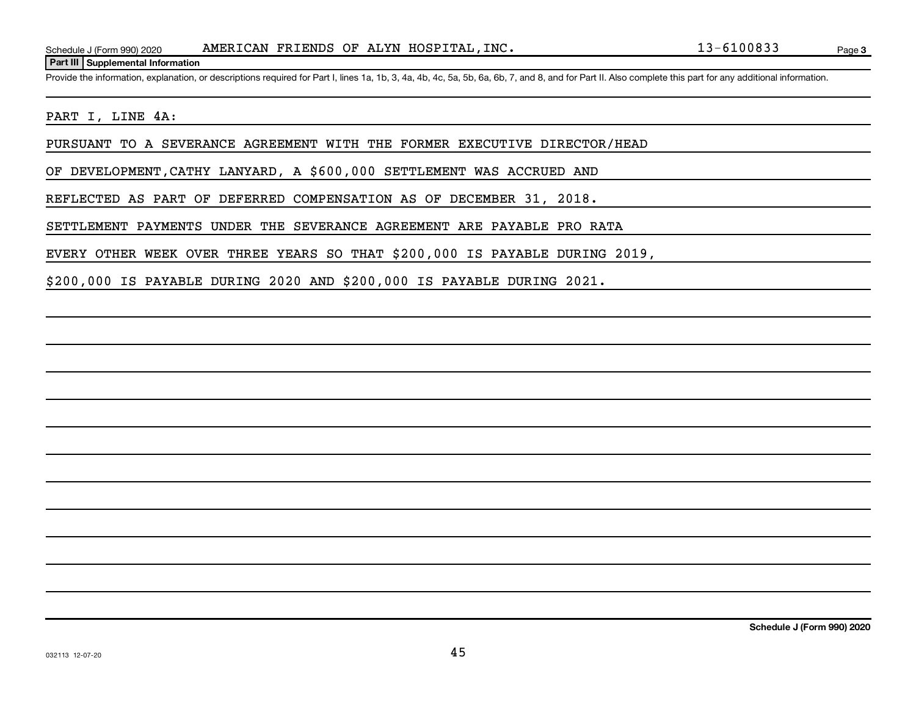#### **Part III Supplemental Information**

Provide the information, explanation, or descriptions required for Part I, lines 1a, 1b, 3, 4a, 4b, 4c, 5a, 5b, 6a, 6b, 7, and 8, and for Part II. Also complete this part for any additional information.

### PART I, LINE 4A:

PURSUANT TO A SEVERANCE AGREEMENT WITH THE FORMER EXECUTIVE DIRECTOR/HEAD

OF DEVELOPMENT,CATHY LANYARD, A \$600,000 SETTLEMENT WAS ACCRUED AND

REFLECTED AS PART OF DEFERRED COMPENSATION AS OF DECEMBER 31, 2018.

SETTLEMENT PAYMENTS UNDER THE SEVERANCE AGREEMENT ARE PAYABLE PRO RATA

EVERY OTHER WEEK OVER THREE YEARS SO THAT \$200,000 IS PAYABLE DURING 2019,

\$200,000 IS PAYABLE DURING 2020 AND \$200,000 IS PAYABLE DURING 2021.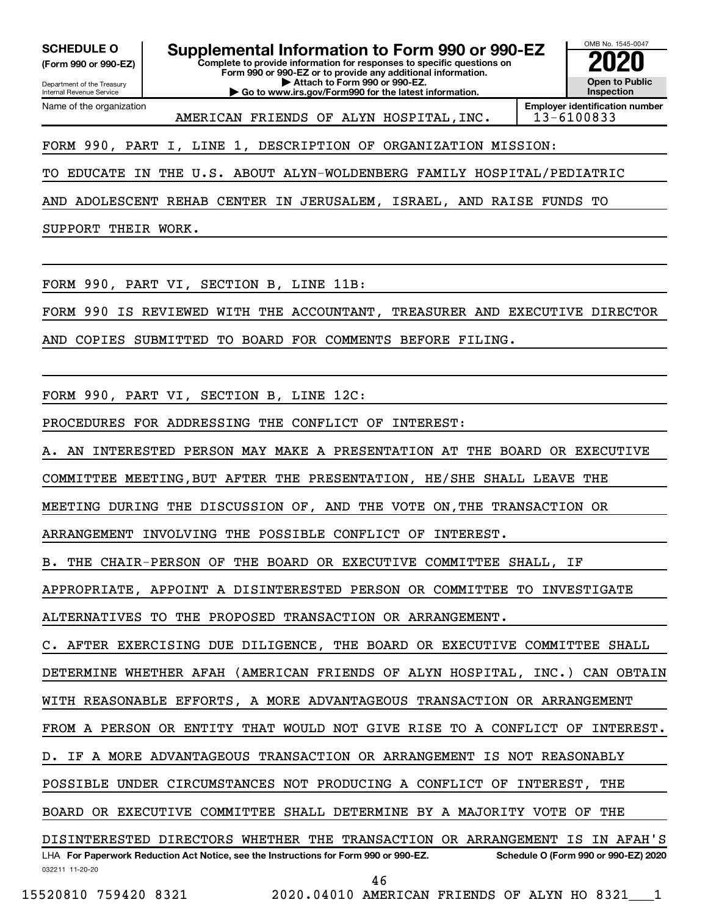**(Form 990 or 990-EZ)**

**Complete to provide information for responses to specific questions on SCHEDULE O Supplemental Information to Form 990 or 990-EZ 2020**<br>(Form 990 or 990-EZ) Complete to provide information for responses to specific questions on

Department of the Treasury Internal Revenue Service Name of the organization **Form 990 or 990-EZ or to provide any additional information. | Attach to Form 990 or 990-EZ. | Go to www.irs.gov/Form990 for the latest information.**



AMERICAN FRIENDS OF ALYN HOSPITAL, INC. | 13-6100833

FORM 990, PART I, LINE 1, DESCRIPTION OF ORGANIZATION MISSION:

TO EDUCATE IN THE U.S. ABOUT ALYN-WOLDENBERG FAMILY HOSPITAL/PEDIATRIC

AND ADOLESCENT REHAB CENTER IN JERUSALEM, ISRAEL, AND RAISE FUNDS TO

SUPPORT THEIR WORK.

FORM 990, PART VI, SECTION B, LINE 11B:

FORM 990 IS REVIEWED WITH THE ACCOUNTANT, TREASURER AND EXECUTIVE DIRECTOR

AND COPIES SUBMITTED TO BOARD FOR COMMENTS BEFORE FILING.

FORM 990, PART VI, SECTION B, LINE 12C:

PROCEDURES FOR ADDRESSING THE CONFLICT OF INTEREST:

A. AN INTERESTED PERSON MAY MAKE A PRESENTATION AT THE BOARD OR EXECUTIVE

COMMITTEE MEETING,BUT AFTER THE PRESENTATION, HE/SHE SHALL LEAVE THE

MEETING DURING THE DISCUSSION OF, AND THE VOTE ON,THE TRANSACTION OR

ARRANGEMENT INVOLVING THE POSSIBLE CONFLICT OF INTEREST.

B. THE CHAIR-PERSON OF THE BOARD OR EXECUTIVE COMMITTEE SHALL, IF

APPROPRIATE, APPOINT A DISINTERESTED PERSON OR COMMITTEE TO INVESTIGATE

ALTERNATIVES TO THE PROPOSED TRANSACTION OR ARRANGEMENT.

C. AFTER EXERCISING DUE DILIGENCE, THE BOARD OR EXECUTIVE COMMITTEE SHALL

DETERMINE WHETHER AFAH (AMERICAN FRIENDS OF ALYN HOSPITAL, INC.) CAN OBTAIN

WITH REASONABLE EFFORTS, A MORE ADVANTAGEOUS TRANSACTION OR ARRANGEMENT

FROM A PERSON OR ENTITY THAT WOULD NOT GIVE RISE TO A CONFLICT OF INTEREST.

D. IF A MORE ADVANTAGEOUS TRANSACTION OR ARRANGEMENT IS NOT REASONABLY

POSSIBLE UNDER CIRCUMSTANCES NOT PRODUCING A CONFLICT OF INTEREST, THE

BOARD OR EXECUTIVE COMMITTEE SHALL DETERMINE BY A MAJORITY VOTE OF THE

032211 11-20-20 **For Paperwork Reduction Act Notice, see the Instructions for Form 990 or 990-EZ. Schedule O (Form 990 or 990-EZ) 2020** LHA DISINTERESTED DIRECTORS WHETHER THE TRANSACTION OR ARRANGEMENT IS IN AFAH'S